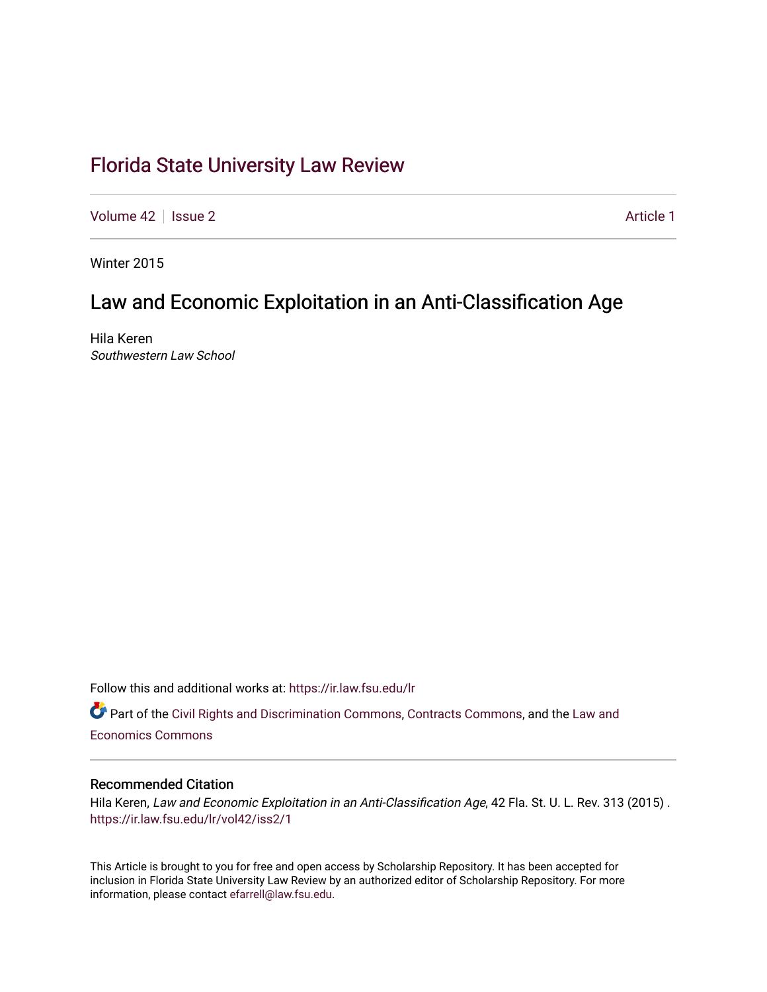# [Florida State University Law Review](https://ir.law.fsu.edu/lr)

[Volume 42](https://ir.law.fsu.edu/lr/vol42) | [Issue 2](https://ir.law.fsu.edu/lr/vol42/iss2) Article 1

Winter 2015

# Law and Economic Exploitation in an Anti-Classification Age

Hila Keren Southwestern Law School

Follow this and additional works at: [https://ir.law.fsu.edu/lr](https://ir.law.fsu.edu/lr?utm_source=ir.law.fsu.edu%2Flr%2Fvol42%2Fiss2%2F1&utm_medium=PDF&utm_campaign=PDFCoverPages) 

Part of the [Civil Rights and Discrimination Commons,](https://network.bepress.com/hgg/discipline/585?utm_source=ir.law.fsu.edu%2Flr%2Fvol42%2Fiss2%2F1&utm_medium=PDF&utm_campaign=PDFCoverPages) [Contracts Commons](https://network.bepress.com/hgg/discipline/591?utm_source=ir.law.fsu.edu%2Flr%2Fvol42%2Fiss2%2F1&utm_medium=PDF&utm_campaign=PDFCoverPages), and the Law and [Economics Commons](https://network.bepress.com/hgg/discipline/612?utm_source=ir.law.fsu.edu%2Flr%2Fvol42%2Fiss2%2F1&utm_medium=PDF&utm_campaign=PDFCoverPages) 

## Recommended Citation

Hila Keren, Law and Economic Exploitation in an Anti-Classification Age, 42 Fla. St. U. L. Rev. 313 (2015) . [https://ir.law.fsu.edu/lr/vol42/iss2/1](https://ir.law.fsu.edu/lr/vol42/iss2/1?utm_source=ir.law.fsu.edu%2Flr%2Fvol42%2Fiss2%2F1&utm_medium=PDF&utm_campaign=PDFCoverPages)

This Article is brought to you for free and open access by Scholarship Repository. It has been accepted for inclusion in Florida State University Law Review by an authorized editor of Scholarship Repository. For more information, please contact [efarrell@law.fsu.edu](mailto:efarrell@law.fsu.edu).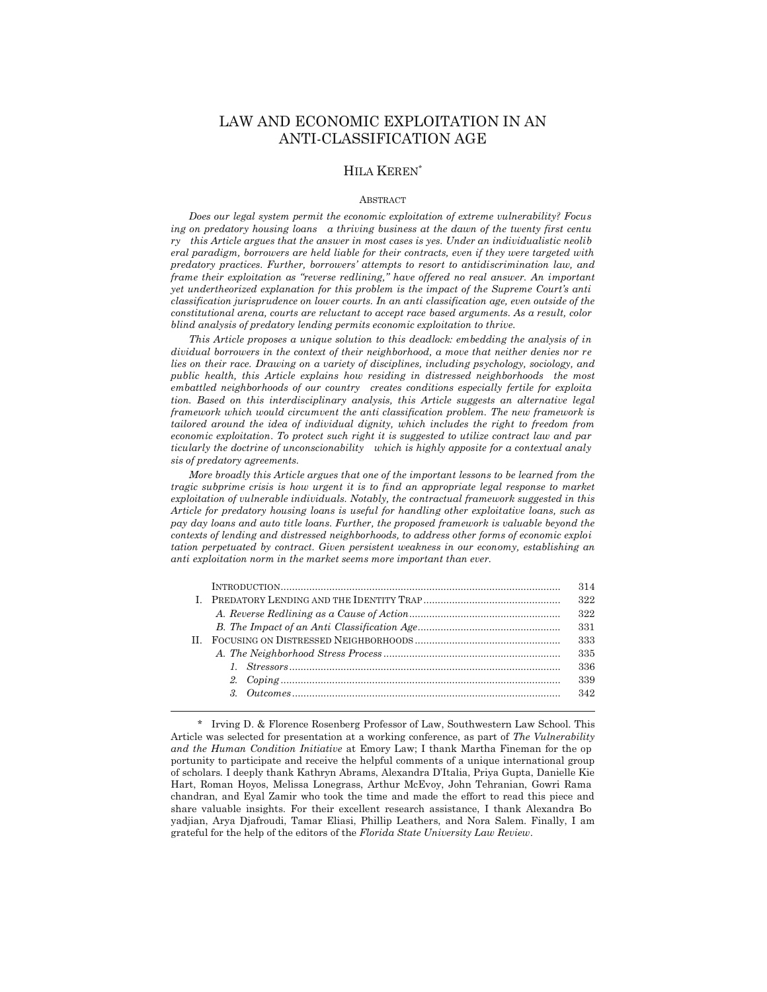## LAW AND ECONOMIC EXPLOITATION IN AN ANTI-CLASSIFICATION AGE

#### HILA KEREN\*

#### **ABSTRACT**

 *Does our legal system permit the economic exploitation of extreme vulnerability? Focus ing on predatory housing loans a thriving business at the dawn of the twenty first centu ry this Article argues that the answer in most cases is yes. Under an individualistic neolib eral paradigm, borrowers are held liable for their contracts, even if they were targeted with predatory practices. Further, borrowers' attempts to resort to antidiscrimination law, and frame their exploitation as "reverse redlining," have offered no real answer. An important yet undertheorized explanation for this problem is the impact of the Supreme Court's anti classification jurisprudence on lower courts. In an anti classification age, even outside of the constitutional arena, courts are reluctant to accept race based arguments. As a result, color blind analysis of predatory lending permits economic exploitation to thrive.* 

 *This Article proposes a unique solution to this deadlock: embedding the analysis of in dividual borrowers in the context of their neighborhood, a move that neither denies nor re lies on their race. Drawing on a variety of disciplines, including psychology, sociology, and public health, this Article explains how residing in distressed neighborhoods the most embattled neighborhoods of our country creates conditions especially fertile for exploita tion. Based on this interdisciplinary analysis, this Article suggests an alternative legal framework which would circumvent the anti classification problem. The new framework is tailored around the idea of individual dignity, which includes the right to freedom from economic exploitation*. *To protect such right it is suggested to utilize contract law and par ticularly the doctrine of unconscionability which is highly apposite for a contextual analy sis of predatory agreements.* 

 *More broadly this Article argues that one of the important lessons to be learned from the tragic subprime crisis is how urgent it is to find an appropriate legal response to market exploitation of vulnerable individuals. Notably, the contractual framework suggested in this Article for predatory housing loans is useful for handling other exploitative loans, such as pay day loans and auto title loans. Further, the proposed framework is valuable beyond the contexts of lending and distressed neighborhoods, to address other forms of economic exploi tation perpetuated by contract. Given persistent weakness in our economy, establishing an anti exploitation norm in the market seems more important than ever.* 

|    | 314 |
|----|-----|
|    | 322 |
|    | 322 |
|    | 331 |
| H. | 333 |
|    | 335 |
|    | 336 |
|    | 339 |
|    | 342 |
|    |     |

 <sup>\*</sup> Irving D. & Florence Rosenberg Professor of Law, Southwestern Law School. This Article was selected for presentation at a working conference, as part of *The Vulnerability and the Human Condition Initiative* at Emory Law; I thank Martha Fineman for the op portunity to participate and receive the helpful comments of a unique international group of scholars*.* I deeply thank Kathryn Abrams, Alexandra D'Italia, Priya Gupta, Danielle Kie Hart, Roman Hoyos, Melissa Lonegrass, Arthur McEvoy, John Tehranian, Gowri Rama chandran, and Eyal Zamir who took the time and made the effort to read this piece and share valuable insights. For their excellent research assistance, I thank Alexandra Bo yadjian, Arya Djafroudi, Tamar Eliasi, Phillip Leathers, and Nora Salem. Finally, I am grateful for the help of the editors of the *Florida State University Law Review*.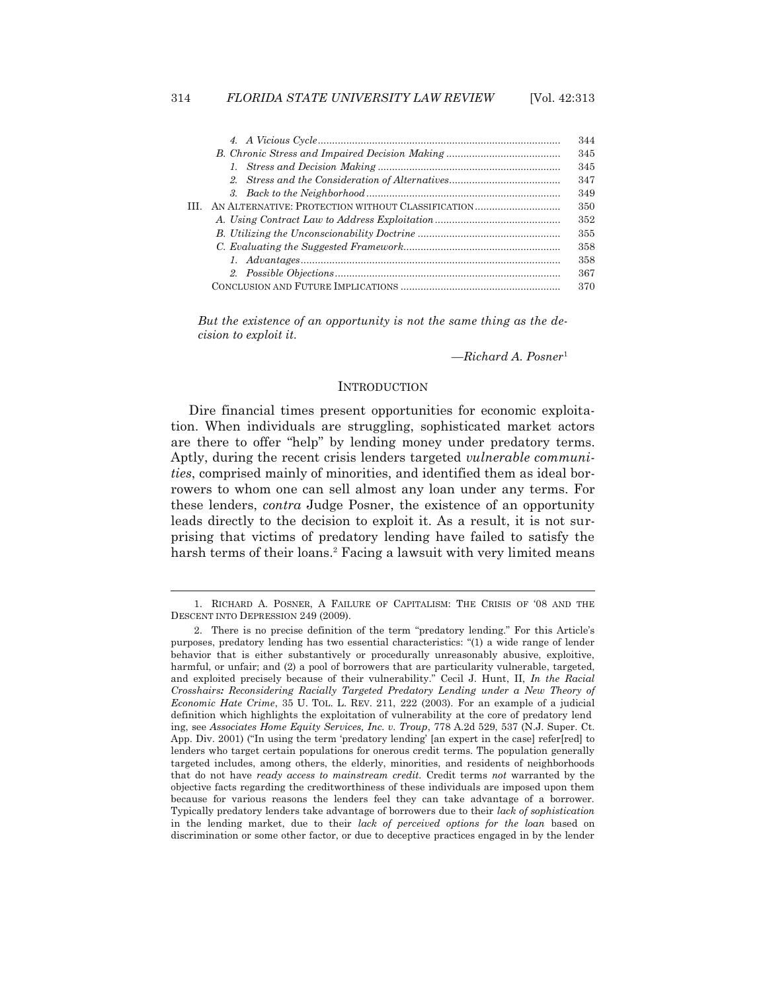| 344 |
|-----|
| 345 |
| 345 |
| 347 |
| 349 |
| 350 |
| 352 |
| 355 |
| 358 |
| 358 |
| 367 |
| 370 |

*But the existence of an opportunity is not the same thing as the decision to exploit it.* 

*—Richard A. Posner*<sup>1</sup>

## **INTRODUCTION**

 Dire financial times present opportunities for economic exploitation. When individuals are struggling, sophisticated market actors are there to offer "help" by lending money under predatory terms. Aptly, during the recent crisis lenders targeted *vulnerable communities*, comprised mainly of minorities, and identified them as ideal borrowers to whom one can sell almost any loan under any terms. For these lenders, *contra* Judge Posner, the existence of an opportunity leads directly to the decision to exploit it. As a result, it is not surprising that victims of predatory lending have failed to satisfy the harsh terms of their loans.<sup>2</sup> Facing a lawsuit with very limited means

<sup>1.</sup> RICHARD A. POSNER, A FAILURE OF CAPITALISM: THE CRISIS OF '08 AND THE DESCENT INTO DEPRESSION 249 (2009).

 <sup>2.</sup> There is no precise definition of the term "predatory lending." For this Article's purposes, predatory lending has two essential characteristics: "(1) a wide range of lender behavior that is either substantively or procedurally unreasonably abusive, exploitive, harmful, or unfair; and (2) a pool of borrowers that are particularity vulnerable, targeted, and exploited precisely because of their vulnerability." Cecil J. Hunt, II, *In the Racial Crosshairs: Reconsidering Racially Targeted Predatory Lending under a New Theory of Economic Hate Crime*, 35 U. TOL. L. REV. 211, 222 (2003). For an example of a judicial definition which highlights the exploitation of vulnerability at the core of predatory lend ing, see *Associates Home Equity Services, Inc. v. Troup*, 778 A.2d 529, 537 (N.J. Super. Ct. App. Div. 2001) ("In using the term 'predatory lending' [an expert in the case] refer[red] to lenders who target certain populations for onerous credit terms. The population generally targeted includes, among others, the elderly, minorities, and residents of neighborhoods that do not have *ready access to mainstream credit.* Credit terms *not* warranted by the objective facts regarding the creditworthiness of these individuals are imposed upon them because for various reasons the lenders feel they can take advantage of a borrower. Typically predatory lenders take advantage of borrowers due to their *lack of sophistication* in the lending market, due to their *lack of perceived options for the loan* based on discrimination or some other factor, or due to deceptive practices engaged in by the lender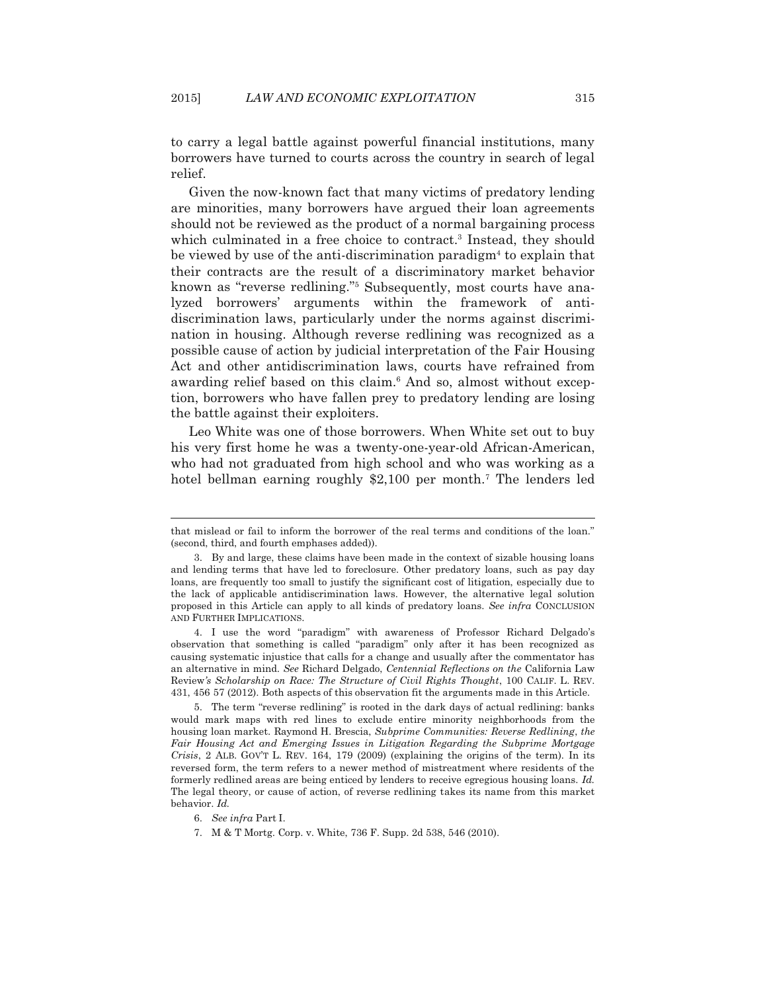to carry a legal battle against powerful financial institutions, many borrowers have turned to courts across the country in search of legal relief.

 Given the now-known fact that many victims of predatory lending are minorities, many borrowers have argued their loan agreements should not be reviewed as the product of a normal bargaining process which culminated in a free choice to contract.<sup>3</sup> Instead, they should be viewed by use of the anti-discrimination paradigm<sup>4</sup> to explain that their contracts are the result of a discriminatory market behavior known as "reverse redlining."5 Subsequently, most courts have analyzed borrowers' arguments within the framework of antidiscrimination laws, particularly under the norms against discrimination in housing. Although reverse redlining was recognized as a possible cause of action by judicial interpretation of the Fair Housing Act and other antidiscrimination laws, courts have refrained from awarding relief based on this claim.<sup>6</sup> And so, almost without exception, borrowers who have fallen prey to predatory lending are losing the battle against their exploiters.

 Leo White was one of those borrowers. When White set out to buy his very first home he was a twenty-one-year-old African-American, who had not graduated from high school and who was working as a hotel bellman earning roughly \$2,100 per month.<sup>7</sup> The lenders led

that mislead or fail to inform the borrower of the real terms and conditions of the loan." (second, third, and fourth emphases added)).

 <sup>3.</sup> By and large, these claims have been made in the context of sizable housing loans and lending terms that have led to foreclosure. Other predatory loans, such as pay day loans, are frequently too small to justify the significant cost of litigation, especially due to the lack of applicable antidiscrimination laws. However, the alternative legal solution proposed in this Article can apply to all kinds of predatory loans. *See infra* CONCLUSION AND FURTHER IMPLICATIONS.

 <sup>4.</sup> I use the word "paradigm" with awareness of Professor Richard Delgado's observation that something is called "paradigm" only after it has been recognized as causing systematic injustice that calls for a change and usually after the commentator has an alternative in mind. *See* Richard Delgado, *Centennial Reflections on the* California Law Review*'s Scholarship on Race: The Structure of Civil Rights Thought*, 100 CALIF. L. REV. 431, 456 57 (2012). Both aspects of this observation fit the arguments made in this Article.

 <sup>5.</sup> The term "reverse redlining" is rooted in the dark days of actual redlining: banks would mark maps with red lines to exclude entire minority neighborhoods from the housing loan market. Raymond H. Brescia, *Subprime Communities: Reverse Redlining*, *the Fair Housing Act and Emerging Issues in Litigation Regarding the Subprime Mortgage Crisis*, 2 ALB. GOV'T L. REV. 164, 179 (2009) (explaining the origins of the term). In its reversed form, the term refers to a newer method of mistreatment where residents of the formerly redlined areas are being enticed by lenders to receive egregious housing loans. *Id.*  The legal theory, or cause of action, of reverse redlining takes its name from this market behavior. *Id.*

 <sup>6.</sup> *See infra* Part I.

 <sup>7.</sup> M & T Mortg. Corp. v. White, 736 F. Supp. 2d 538, 546 (2010).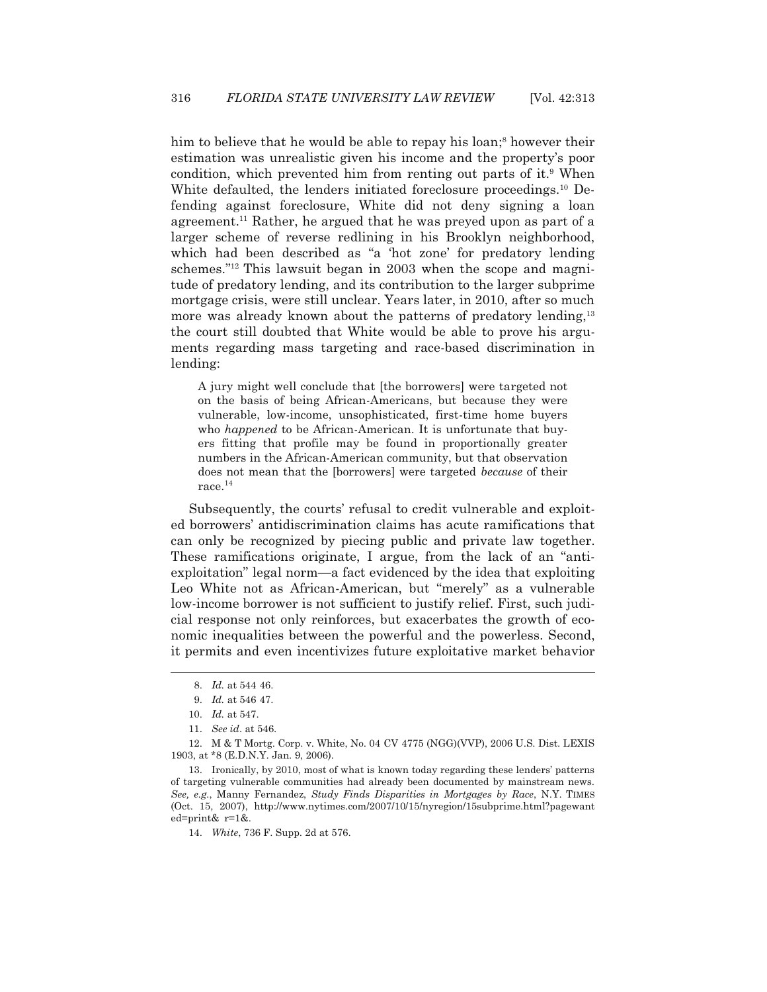him to believe that he would be able to repay his loan;<sup>8</sup> however their estimation was unrealistic given his income and the property's poor condition, which prevented him from renting out parts of it.<sup>9</sup> When White defaulted, the lenders initiated foreclosure proceedings.<sup>10</sup> Defending against foreclosure, White did not deny signing a loan agreement.11 Rather, he argued that he was preyed upon as part of a larger scheme of reverse redlining in his Brooklyn neighborhood, which had been described as "a 'hot zone' for predatory lending schemes."12 This lawsuit began in 2003 when the scope and magnitude of predatory lending, and its contribution to the larger subprime mortgage crisis, were still unclear. Years later, in 2010, after so much more was already known about the patterns of predatory lending,<sup>13</sup> the court still doubted that White would be able to prove his arguments regarding mass targeting and race-based discrimination in lending:

A jury might well conclude that [the borrowers] were targeted not on the basis of being African-Americans, but because they were vulnerable, low-income, unsophisticated, first-time home buyers who *happened* to be African-American. It is unfortunate that buyers fitting that profile may be found in proportionally greater numbers in the African-American community, but that observation does not mean that the [borrowers] were targeted *because* of their race.14

 Subsequently, the courts' refusal to credit vulnerable and exploited borrowers' antidiscrimination claims has acute ramifications that can only be recognized by piecing public and private law together. These ramifications originate, I argue, from the lack of an "antiexploitation" legal norm—a fact evidenced by the idea that exploiting Leo White not as African-American, but "merely" as a vulnerable low-income borrower is not sufficient to justify relief. First, such judicial response not only reinforces, but exacerbates the growth of economic inequalities between the powerful and the powerless. Second, it permits and even incentivizes future exploitative market behavior

 <sup>8.</sup> *Id.* at 544 46.

 <sup>9.</sup> *Id.* at 546 47.

 <sup>10.</sup> *Id.* at 547.

 <sup>11.</sup> *See id*. at 546.

 <sup>12.</sup> M & T Mortg. Corp. v. White, No. 04 CV 4775 (NGG)(VVP), 2006 U.S. Dist. LEXIS 1903, at \*8 (E.D.N.Y. Jan. 9, 2006).

 <sup>13.</sup> Ironically, by 2010, most of what is known today regarding these lenders' patterns of targeting vulnerable communities had already been documented by mainstream news. *See, e.g.*, Manny Fernandez, *Study Finds Disparities in Mortgages by Race*, N.Y. TIMES (Oct. 15, 2007), http://www.nytimes.com/2007/10/15/nyregion/15subprime.html?pagewant ed=print& r=1&.

 <sup>14.</sup> *White*, 736 F. Supp. 2d at 576.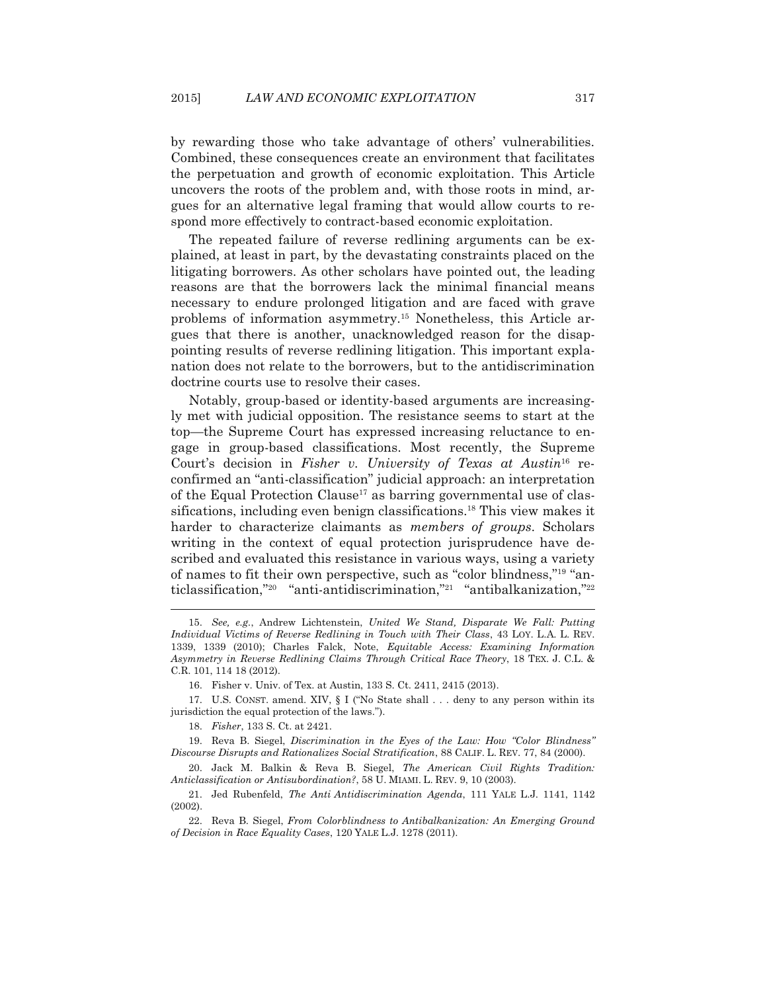by rewarding those who take advantage of others' vulnerabilities. Combined, these consequences create an environment that facilitates the perpetuation and growth of economic exploitation. This Article uncovers the roots of the problem and, with those roots in mind, argues for an alternative legal framing that would allow courts to respond more effectively to contract-based economic exploitation.

 The repeated failure of reverse redlining arguments can be explained, at least in part, by the devastating constraints placed on the litigating borrowers. As other scholars have pointed out, the leading reasons are that the borrowers lack the minimal financial means necessary to endure prolonged litigation and are faced with grave problems of information asymmetry.15 Nonetheless, this Article argues that there is another, unacknowledged reason for the disappointing results of reverse redlining litigation. This important explanation does not relate to the borrowers, but to the antidiscrimination doctrine courts use to resolve their cases.

 Notably, group-based or identity-based arguments are increasingly met with judicial opposition. The resistance seems to start at the top—the Supreme Court has expressed increasing reluctance to engage in group-based classifications. Most recently, the Supreme Court's decision in *Fisher v. University of Texas at Austin*16 reconfirmed an "anti-classification" judicial approach: an interpretation of the Equal Protection Clause<sup>17</sup> as barring governmental use of classifications, including even benign classifications.18 This view makes it harder to characterize claimants as *members of groups*. Scholars writing in the context of equal protection jurisprudence have described and evaluated this resistance in various ways, using a variety of names to fit their own perspective, such as "color blindness,"19 "anticlassification,"20 "anti-antidiscrimination,"21 "antibalkanization,"22

 <sup>15.</sup> *See, e.g.*, Andrew Lichtenstein, *United We Stand, Disparate We Fall: Putting Individual Victims of Reverse Redlining in Touch with Their Class*, 43 LOY. L.A. L. REV. 1339, 1339 (2010); Charles Falck, Note, *Equitable Access: Examining Information Asymmetry in Reverse Redlining Claims Through Critical Race Theory*, 18 TEX. J. C.L. & C.R. 101, 114 18 (2012).

 <sup>16.</sup> Fisher v. Univ. of Tex. at Austin, 133 S. Ct. 2411, 2415 (2013).

 <sup>17.</sup> U.S. CONST. amend. XIV, § I ("No State shall . . . deny to any person within its jurisdiction the equal protection of the laws.").

 <sup>18.</sup> *Fisher*, 133 S. Ct. at 2421.

 <sup>19.</sup> Reva B. Siegel, *Discrimination in the Eyes of the Law: How "Color Blindness" Discourse Disrupts and Rationalizes Social Stratification*, 88 CALIF. L. REV. 77, 84 (2000).

 <sup>20.</sup> Jack M. Balkin & Reva B. Siegel, *The American Civil Rights Tradition: Anticlassification or Antisubordination?*, 58 U. MIAMI. L. REV. 9, 10 (2003).

 <sup>21.</sup> Jed Rubenfeld, *The Anti Antidiscrimination Agenda*, 111 YALE L.J. 1141, 1142 (2002).

 <sup>22.</sup> Reva B. Siegel, *From Colorblindness to Antibalkanization: An Emerging Ground of Decision in Race Equality Cases*, 120 YALE L.J. 1278 (2011).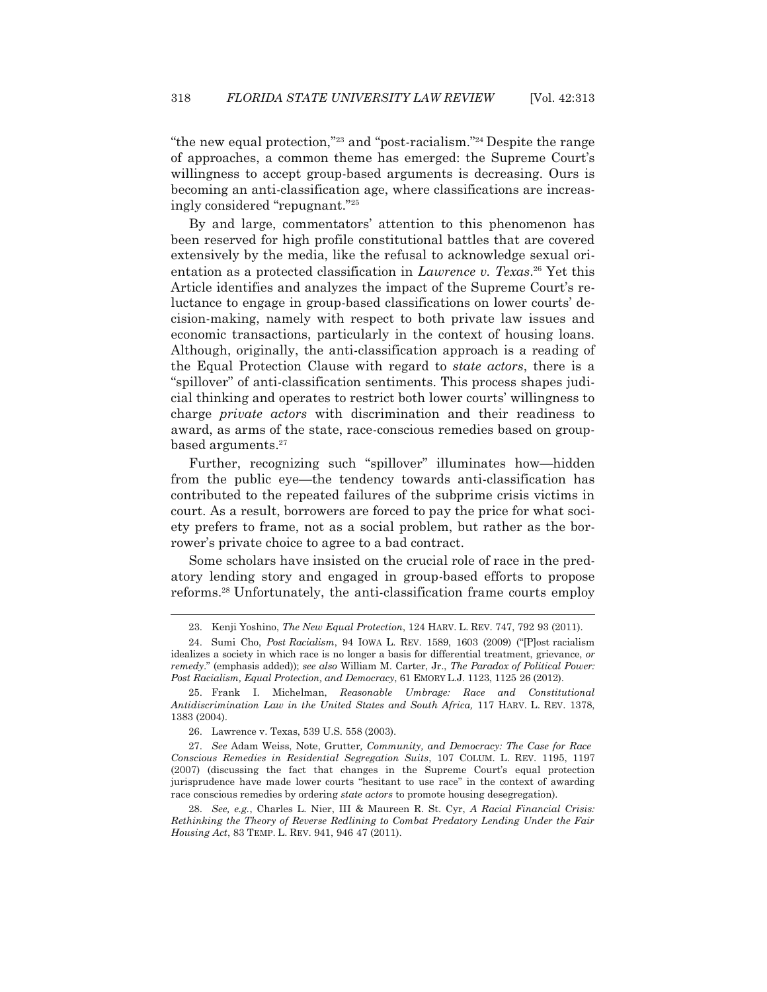"the new equal protection,"23 and "post-racialism."24 Despite the range of approaches, a common theme has emerged: the Supreme Court's willingness to accept group-based arguments is decreasing. Ours is becoming an anti-classification age, where classifications are increasingly considered "repugnant."25

 By and large, commentators' attention to this phenomenon has been reserved for high profile constitutional battles that are covered extensively by the media, like the refusal to acknowledge sexual orientation as a protected classification in *Lawrence v. Texas*. 26 Yet this Article identifies and analyzes the impact of the Supreme Court's reluctance to engage in group-based classifications on lower courts' decision-making, namely with respect to both private law issues and economic transactions, particularly in the context of housing loans. Although, originally, the anti-classification approach is a reading of the Equal Protection Clause with regard to *state actors*, there is a "spillover" of anti-classification sentiments. This process shapes judicial thinking and operates to restrict both lower courts' willingness to charge *private actors* with discrimination and their readiness to award, as arms of the state, race-conscious remedies based on groupbased arguments.27

 Further, recognizing such "spillover" illuminates how—hidden from the public eye—the tendency towards anti-classification has contributed to the repeated failures of the subprime crisis victims in court. As a result, borrowers are forced to pay the price for what society prefers to frame, not as a social problem, but rather as the borrower's private choice to agree to a bad contract.

 Some scholars have insisted on the crucial role of race in the predatory lending story and engaged in group-based efforts to propose reforms.28 Unfortunately, the anti-classification frame courts employ

 <sup>23.</sup> Kenji Yoshino, *The New Equal Protection*, 124 HARV. L. REV. 747, 792 93 (2011).

 <sup>24.</sup> Sumi Cho, *Post Racialism*, 94 IOWA L. REV. 1589, 1603 (2009) ("[P]ost racialism idealizes a society in which race is no longer a basis for differential treatment, grievance, *or remedy*." (emphasis added)); *see also* William M. Carter, Jr., *The Paradox of Political Power: Post Racialism, Equal Protection, and Democracy*, 61 EMORY L.J. 1123, 1125 26 (2012).

 <sup>25.</sup> Frank I. Michelman, *Reasonable Umbrage: Race and Constitutional Antidiscrimination Law in the United States and South Africa,* 117 HARV. L. REV. 1378, 1383 (2004).

 <sup>26.</sup> Lawrence v. Texas, 539 U.S. 558 (2003).

 <sup>27.</sup> *See* Adam Weiss, Note, Grutter*, Community, and Democracy: The Case for Race Conscious Remedies in Residential Segregation Suits*, 107 COLUM. L. REV. 1195, 1197 (2007) (discussing the fact that changes in the Supreme Court's equal protection jurisprudence have made lower courts "hesitant to use race" in the context of awarding race conscious remedies by ordering *state actors* to promote housing desegregation).

 <sup>28.</sup> *See, e.g.*, Charles L. Nier, III & Maureen R. St. Cyr, *A Racial Financial Crisis: Rethinking the Theory of Reverse Redlining to Combat Predatory Lending Under the Fair Housing Act*, 83 TEMP. L. REV. 941, 946 47 (2011).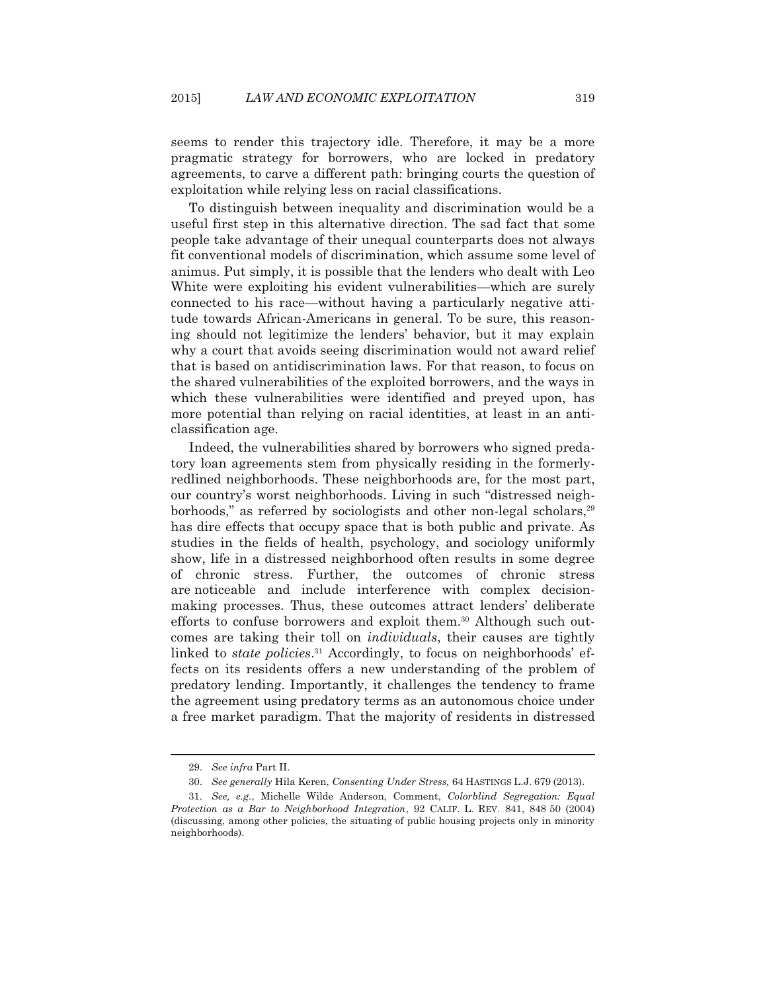seems to render this trajectory idle. Therefore, it may be a more pragmatic strategy for borrowers, who are locked in predatory agreements, to carve a different path: bringing courts the question of exploitation while relying less on racial classifications.

 To distinguish between inequality and discrimination would be a useful first step in this alternative direction. The sad fact that some people take advantage of their unequal counterparts does not always fit conventional models of discrimination, which assume some level of animus. Put simply, it is possible that the lenders who dealt with Leo White were exploiting his evident vulnerabilities—which are surely connected to his race—without having a particularly negative attitude towards African-Americans in general. To be sure, this reasoning should not legitimize the lenders' behavior, but it may explain why a court that avoids seeing discrimination would not award relief that is based on antidiscrimination laws. For that reason, to focus on the shared vulnerabilities of the exploited borrowers, and the ways in which these vulnerabilities were identified and preyed upon, has more potential than relying on racial identities, at least in an anticlassification age.

 Indeed, the vulnerabilities shared by borrowers who signed predatory loan agreements stem from physically residing in the formerlyredlined neighborhoods. These neighborhoods are, for the most part, our country's worst neighborhoods. Living in such "distressed neighborhoods," as referred by sociologists and other non-legal scholars,<sup>29</sup> has dire effects that occupy space that is both public and private. As studies in the fields of health, psychology, and sociology uniformly show, life in a distressed neighborhood often results in some degree of chronic stress. Further, the outcomes of chronic stress are noticeable and include interference with complex decisionmaking processes. Thus, these outcomes attract lenders' deliberate efforts to confuse borrowers and exploit them.<sup>30</sup> Although such outcomes are taking their toll on *individuals*, their causes are tightly linked to *state policies*. 31 Accordingly, to focus on neighborhoods' effects on its residents offers a new understanding of the problem of predatory lending. Importantly, it challenges the tendency to frame the agreement using predatory terms as an autonomous choice under a free market paradigm. That the majority of residents in distressed

 <sup>29.</sup> *See infra* Part II.

 <sup>30.</sup> *See generally* Hila Keren, *Consenting Under Stress,* 64 HASTINGS L.J. 679 (2013).

 <sup>31.</sup> *See, e.g.*, Michelle Wilde Anderson, Comment, *Colorblind Segregation: Equal Protection as a Bar to Neighborhood Integration*, 92 CALIF. L. REV. 841, 848 50 (2004) (discussing, among other policies, the situating of public housing projects only in minority neighborhoods).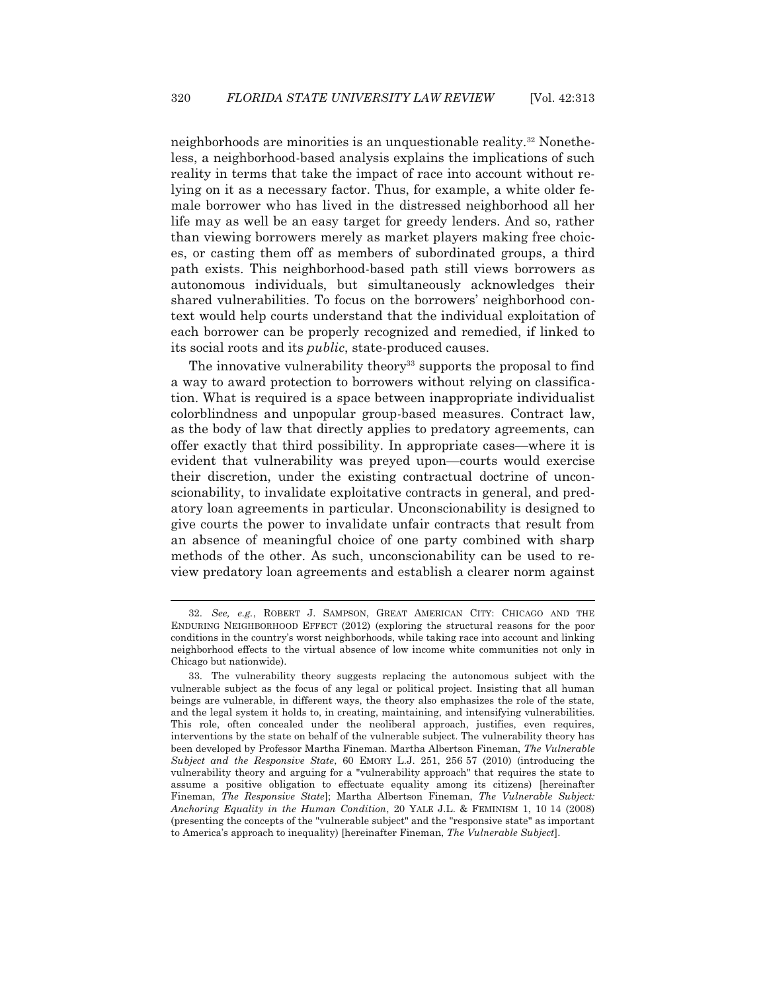neighborhoods are minorities is an unquestionable reality.32 Nonetheless, a neighborhood-based analysis explains the implications of such reality in terms that take the impact of race into account without relying on it as a necessary factor. Thus, for example, a white older female borrower who has lived in the distressed neighborhood all her life may as well be an easy target for greedy lenders. And so, rather than viewing borrowers merely as market players making free choices, or casting them off as members of subordinated groups, a third path exists. This neighborhood-based path still views borrowers as autonomous individuals, but simultaneously acknowledges their shared vulnerabilities. To focus on the borrowers' neighborhood context would help courts understand that the individual exploitation of each borrower can be properly recognized and remedied, if linked to its social roots and its *public*, state-produced causes.

The innovative vulnerability theory<sup>33</sup> supports the proposal to find a way to award protection to borrowers without relying on classification. What is required is a space between inappropriate individualist colorblindness and unpopular group-based measures. Contract law, as the body of law that directly applies to predatory agreements, can offer exactly that third possibility. In appropriate cases—where it is evident that vulnerability was preyed upon—courts would exercise their discretion, under the existing contractual doctrine of unconscionability, to invalidate exploitative contracts in general, and predatory loan agreements in particular. Unconscionability is designed to give courts the power to invalidate unfair contracts that result from an absence of meaningful choice of one party combined with sharp methods of the other. As such, unconscionability can be used to review predatory loan agreements and establish a clearer norm against

 <sup>32.</sup> *See, e.g.*, ROBERT J. SAMPSON, GREAT AMERICAN CITY: CHICAGO AND THE ENDURING NEIGHBORHOOD EFFECT (2012) (exploring the structural reasons for the poor conditions in the country's worst neighborhoods, while taking race into account and linking neighborhood effects to the virtual absence of low income white communities not only in Chicago but nationwide).

 <sup>33.</sup> The vulnerability theory suggests replacing the autonomous subject with the vulnerable subject as the focus of any legal or political project. Insisting that all human beings are vulnerable, in different ways, the theory also emphasizes the role of the state, and the legal system it holds to, in creating, maintaining, and intensifying vulnerabilities. This role, often concealed under the neoliberal approach, justifies, even requires, interventions by the state on behalf of the vulnerable subject. The vulnerability theory has been developed by Professor Martha Fineman. Martha Albertson Fineman, *The Vulnerable Subject and the Responsive State*, 60 EMORY L.J. 251, 256 57 (2010) (introducing the vulnerability theory and arguing for a "vulnerability approach" that requires the state to assume a positive obligation to effectuate equality among its citizens) [hereinafter Fineman, *The Responsive State*]; Martha Albertson Fineman, *The Vulnerable Subject: Anchoring Equality in the Human Condition*, 20 YALE J.L. & FEMINISM 1, 10 14 (2008) (presenting the concepts of the "vulnerable subject" and the "responsive state" as important to America's approach to inequality) [hereinafter Fineman, *The Vulnerable Subject*].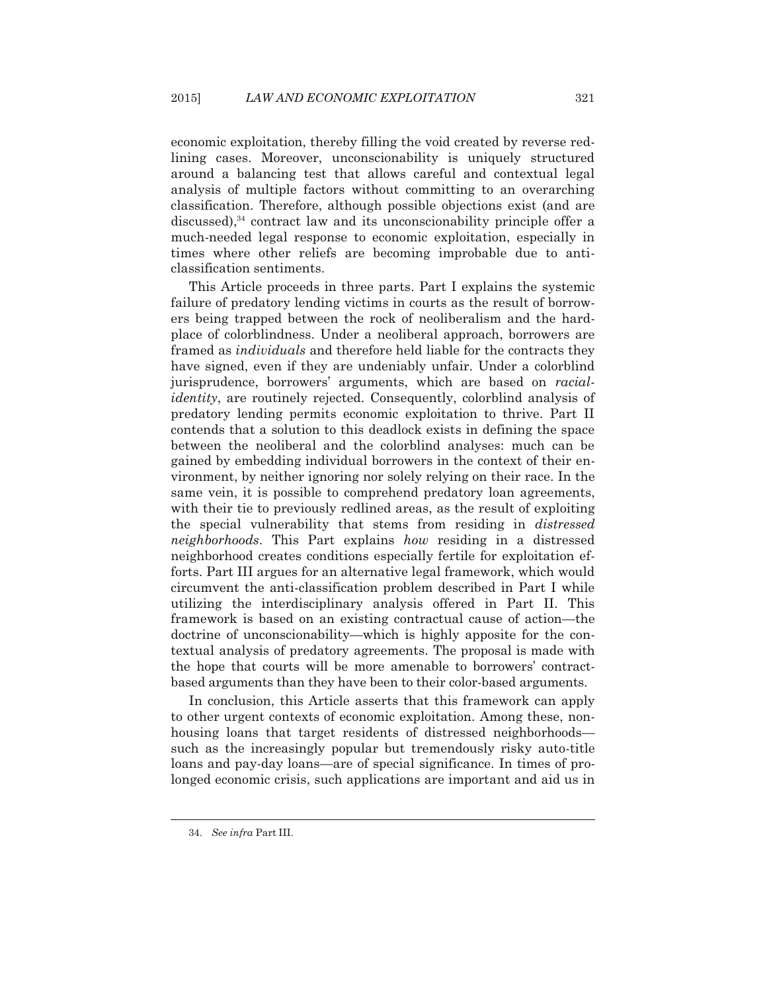economic exploitation, thereby filling the void created by reverse redlining cases. Moreover, unconscionability is uniquely structured around a balancing test that allows careful and contextual legal analysis of multiple factors without committing to an overarching classification. Therefore, although possible objections exist (and are discussed),<sup>34</sup> contract law and its unconscionability principle offer a much-needed legal response to economic exploitation, especially in times where other reliefs are becoming improbable due to anticlassification sentiments.

 This Article proceeds in three parts. Part I explains the systemic failure of predatory lending victims in courts as the result of borrowers being trapped between the rock of neoliberalism and the hardplace of colorblindness. Under a neoliberal approach, borrowers are framed as *individuals* and therefore held liable for the contracts they have signed, even if they are undeniably unfair. Under a colorblind jurisprudence, borrowers' arguments, which are based on *racialidentity*, are routinely rejected. Consequently, colorblind analysis of predatory lending permits economic exploitation to thrive. Part II contends that a solution to this deadlock exists in defining the space between the neoliberal and the colorblind analyses: much can be gained by embedding individual borrowers in the context of their environment, by neither ignoring nor solely relying on their race. In the same vein, it is possible to comprehend predatory loan agreements, with their tie to previously redlined areas, as the result of exploiting the special vulnerability that stems from residing in *distressed neighborhoods*. This Part explains *how* residing in a distressed neighborhood creates conditions especially fertile for exploitation efforts. Part III argues for an alternative legal framework, which would circumvent the anti-classification problem described in Part I while utilizing the interdisciplinary analysis offered in Part II. This framework is based on an existing contractual cause of action—the doctrine of unconscionability—which is highly apposite for the contextual analysis of predatory agreements. The proposal is made with the hope that courts will be more amenable to borrowers' contractbased arguments than they have been to their color-based arguments.

 In conclusion, this Article asserts that this framework can apply to other urgent contexts of economic exploitation. Among these, nonhousing loans that target residents of distressed neighborhoods such as the increasingly popular but tremendously risky auto-title loans and pay-day loans—are of special significance. In times of prolonged economic crisis, such applications are important and aid us in

 <sup>34.</sup> *See infra* Part III.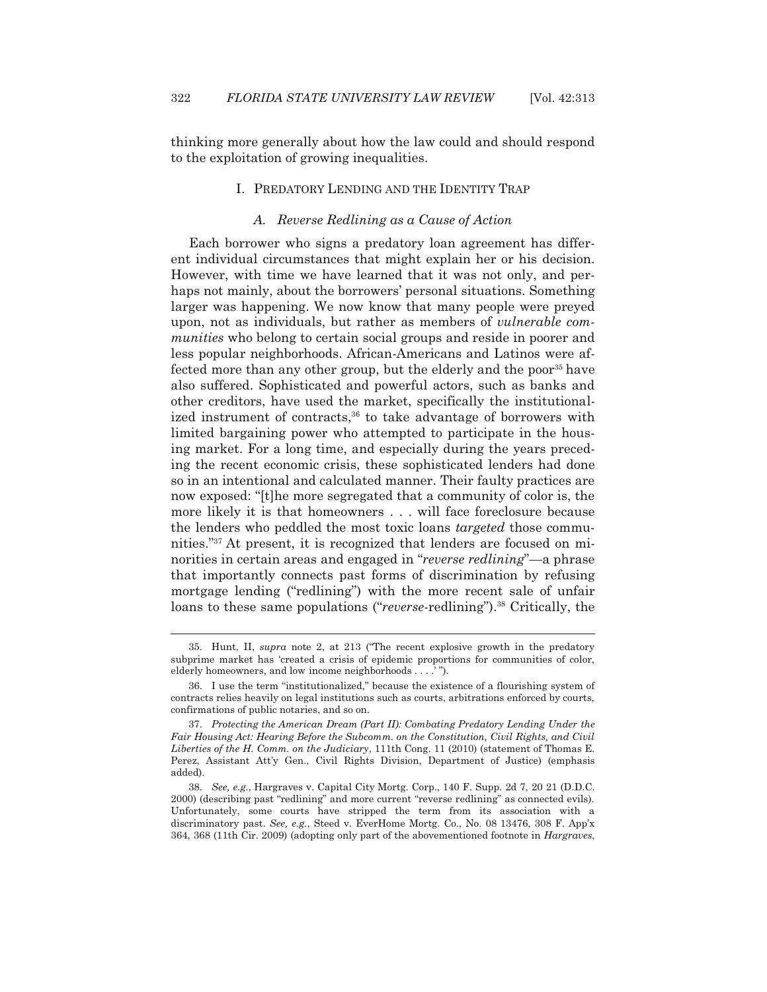thinking more generally about how the law could and should respond to the exploitation of growing inequalities.

## I. PREDATORY LENDING AND THE IDENTITY TRAP

## *A. Reverse Redlining as a Cause of Action*

 Each borrower who signs a predatory loan agreement has different individual circumstances that might explain her or his decision. However, with time we have learned that it was not only, and perhaps not mainly, about the borrowers' personal situations. Something larger was happening. We now know that many people were preyed upon, not as individuals, but rather as members of *vulnerable communities* who belong to certain social groups and reside in poorer and less popular neighborhoods. African-Americans and Latinos were affected more than any other group, but the elderly and the poor<sup>35</sup> have also suffered. Sophisticated and powerful actors, such as banks and other creditors, have used the market, specifically the institutionalized instrument of contracts,<sup>36</sup> to take advantage of borrowers with limited bargaining power who attempted to participate in the housing market. For a long time, and especially during the years preceding the recent economic crisis, these sophisticated lenders had done so in an intentional and calculated manner. Their faulty practices are now exposed: "[t]he more segregated that a community of color is, the more likely it is that homeowners . . . will face foreclosure because the lenders who peddled the most toxic loans *targeted* those communities."37 At present, it is recognized that lenders are focused on minorities in certain areas and engaged in "*reverse redlining*"—a phrase that importantly connects past forms of discrimination by refusing mortgage lending ("redlining") with the more recent sale of unfair loans to these same populations ("*reverse*-redlining").<sup>38</sup> Critically, the

 <sup>35.</sup> Hunt, II, *supra* note 2, at 213 ("The recent explosive growth in the predatory subprime market has 'created a crisis of epidemic proportions for communities of color, elderly homeowners, and low income neighborhoods . . . .' ").

 <sup>36.</sup> I use the term "institutionalized," because the existence of a flourishing system of contracts relies heavily on legal institutions such as courts, arbitrations enforced by courts, confirmations of public notaries, and so on.

 <sup>37.</sup> *Protecting the American Dream (Part II): Combating Predatory Lending Under the*  Fair Housing Act: Hearing Before the Subcomm. on the Constitution, Civil Rights, and Civil *Liberties of the H. Comm. on the Judiciary*, 111th Cong. 11 (2010) (statement of Thomas E. Perez, Assistant Att'y Gen., Civil Rights Division, Department of Justice) (emphasis added).

 <sup>38.</sup> *See, e.g.*, Hargraves v. Capital City Mortg. Corp., 140 F. Supp. 2d 7, 20 21 (D.D.C. 2000) (describing past "redlining" and more current "reverse redlining" as connected evils). Unfortunately, some courts have stripped the term from its association with a discriminatory past. *See, e.g.*, Steed v. EverHome Mortg. Co., No. 08 13476, 308 F. App'x 364, 368 (11th Cir. 2009) (adopting only part of the abovementioned footnote in *Hargraves*,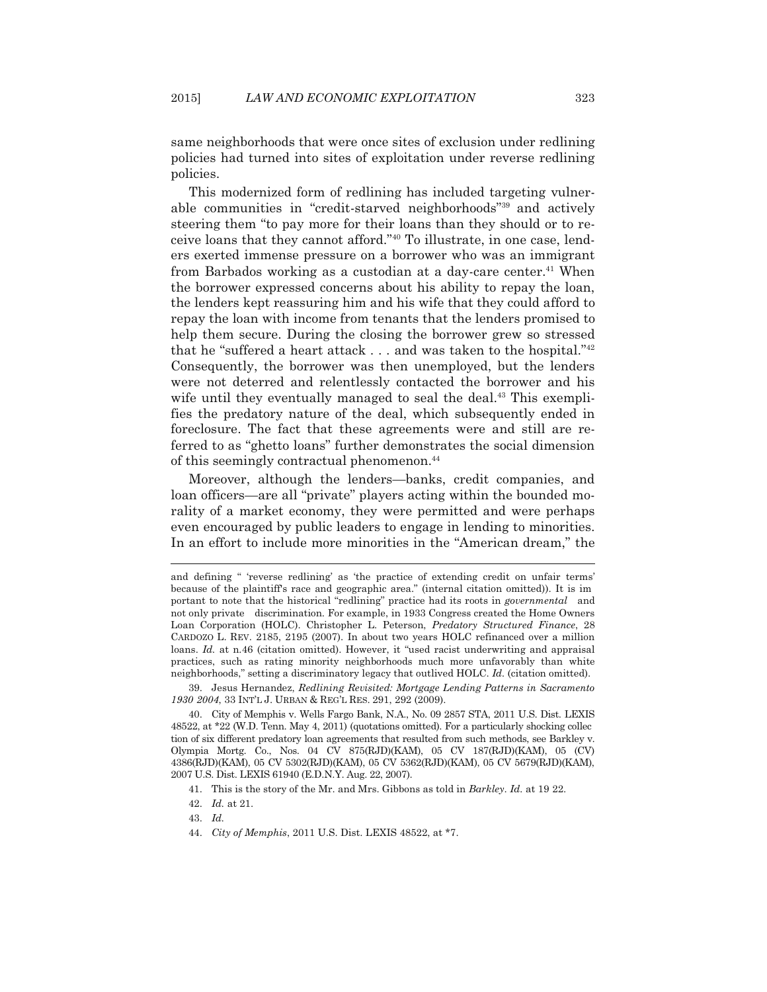same neighborhoods that were once sites of exclusion under redlining policies had turned into sites of exploitation under reverse redlining policies.

 This modernized form of redlining has included targeting vulnerable communities in "credit-starved neighborhoods"39 and actively steering them "to pay more for their loans than they should or to receive loans that they cannot afford."40 To illustrate, in one case, lenders exerted immense pressure on a borrower who was an immigrant from Barbados working as a custodian at a day-care center.<sup>41</sup> When the borrower expressed concerns about his ability to repay the loan, the lenders kept reassuring him and his wife that they could afford to repay the loan with income from tenants that the lenders promised to help them secure. During the closing the borrower grew so stressed that he "suffered a heart attack  $\dots$  and was taken to the hospital." $42$ Consequently, the borrower was then unemployed, but the lenders were not deterred and relentlessly contacted the borrower and his wife until they eventually managed to seal the deal.<sup>43</sup> This exemplifies the predatory nature of the deal, which subsequently ended in foreclosure. The fact that these agreements were and still are referred to as "ghetto loans" further demonstrates the social dimension of this seemingly contractual phenomenon.44

 Moreover, although the lenders—banks, credit companies, and loan officers—are all "private" players acting within the bounded morality of a market economy, they were permitted and were perhaps even encouraged by public leaders to engage in lending to minorities. In an effort to include more minorities in the "American dream," the

and defining " 'reverse redlining' as 'the practice of extending credit on unfair terms' because of the plaintiff's race and geographic area." (internal citation omitted)). It is im portant to note that the historical "redlining" practice had its roots in *governmental* and not only private discrimination. For example, in 1933 Congress created the Home Owners Loan Corporation (HOLC). Christopher L. Peterson, *Predatory Structured Finance*, 28 CARDOZO L. REV. 2185, 2195 (2007). In about two years HOLC refinanced over a million loans. *Id.* at n.46 (citation omitted). However, it "used racist underwriting and appraisal practices, such as rating minority neighborhoods much more unfavorably than white neighborhoods," setting a discriminatory legacy that outlived HOLC. *Id.* (citation omitted).

 <sup>39.</sup> Jesus Hernandez, *Redlining Revisited: Mortgage Lending Patterns in Sacramento 1930 2004*, 33 INT'L J. URBAN & REG'L RES. 291, 292 (2009).

 <sup>40.</sup> City of Memphis v. Wells Fargo Bank, N.A., No. 09 2857 STA, 2011 U.S. Dist. LEXIS 48522, at \*22 (W.D. Tenn. May 4, 2011) (quotations omitted). For a particularly shocking collec tion of six different predatory loan agreements that resulted from such methods, see Barkley v. Olympia Mortg. Co., Nos. 04 CV 875(RJD)(KAM), 05 CV 187(RJD)(KAM), 05 (CV) 4386(RJD)(KAM), 05 CV 5302(RJD)(KAM), 05 CV 5362(RJD)(KAM), 05 CV 5679(RJD)(KAM), 2007 U.S. Dist. LEXIS 61940 (E.D.N.Y. Aug. 22, 2007).

 <sup>41.</sup> This is the story of the Mr. and Mrs. Gibbons as told in *Barkley*. *Id.* at 19 22.

 <sup>42.</sup> *Id.* at 21.

 <sup>43.</sup> *Id.*

 <sup>44.</sup> *City of Memphis*, 2011 U.S. Dist. LEXIS 48522, at \*7.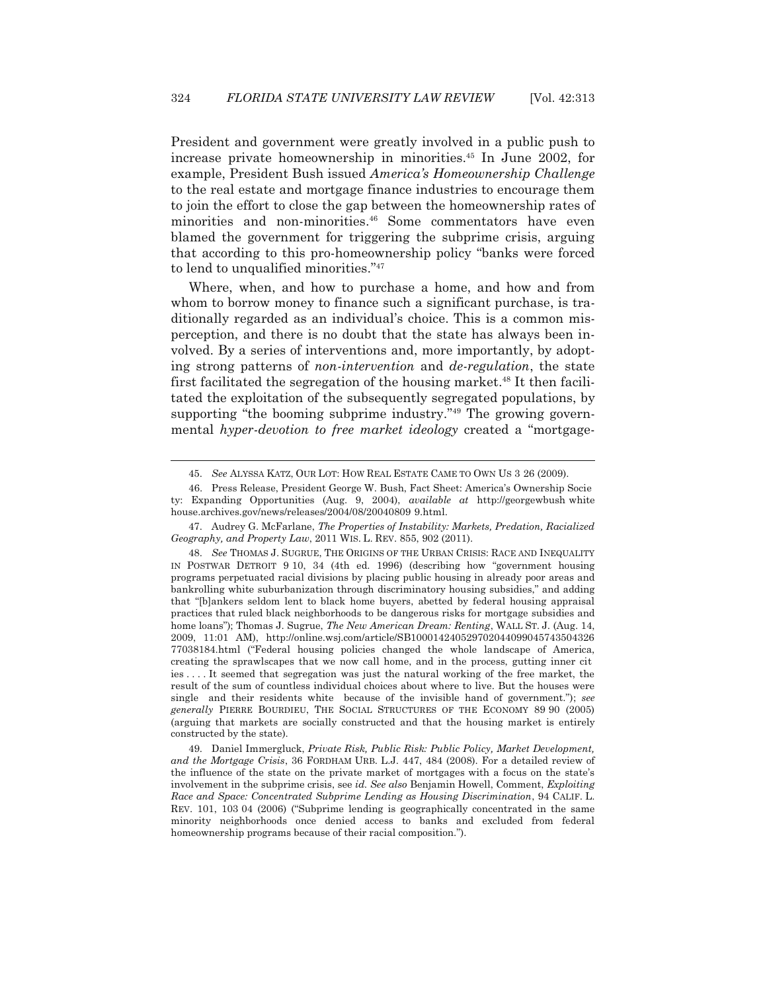President and government were greatly involved in a public push to increase private homeownership in minorities.45 In June 2002, for example, President Bush issued *America's Homeownership Challenge* to the real estate and mortgage finance industries to encourage them to join the effort to close the gap between the homeownership rates of minorities and non-minorities.<sup>46</sup> Some commentators have even blamed the government for triggering the subprime crisis, arguing that according to this pro-homeownership policy "banks were forced to lend to unqualified minorities."47

 Where, when, and how to purchase a home, and how and from whom to borrow money to finance such a significant purchase, is traditionally regarded as an individual's choice. This is a common misperception, and there is no doubt that the state has always been involved. By a series of interventions and, more importantly, by adopting strong patterns of *non-intervention* and *de-regulation*, the state first facilitated the segregation of the housing market.<sup>48</sup> It then facilitated the exploitation of the subsequently segregated populations, by supporting "the booming subprime industry."<sup>49</sup> The growing governmental *hyper-devotion to free market ideology* created a "mortgage-

 <sup>45.</sup> *See* ALYSSA KATZ, OUR LOT: HOW REAL ESTATE CAME TO OWN US 3 26 (2009).

 <sup>46.</sup> Press Release, President George W. Bush, Fact Sheet: America's Ownership Socie ty: Expanding Opportunities (Aug. 9, 2004), *available at* http://georgewbush white house.archives.gov/news/releases/2004/08/20040809 9.html.

 <sup>47.</sup> Audrey G. McFarlane, *The Properties of Instability: Markets, Predation, Racialized Geography, and Property Law*, 2011 WIS. L. REV. 855, 902 (2011).

 <sup>48.</sup> *See* THOMAS J. SUGRUE, THE ORIGINS OF THE URBAN CRISIS: RACE AND INEQUALITY IN POSTWAR DETROIT 9 10, 34 (4th ed. 1996) (describing how "government housing programs perpetuated racial divisions by placing public housing in already poor areas and bankrolling white suburbanization through discriminatory housing subsidies," and adding that "[b]ankers seldom lent to black home buyers, abetted by federal housing appraisal practices that ruled black neighborhoods to be dangerous risks for mortgage subsidies and home loans"); Thomas J. Sugrue, *The New American Dream: Renting*, WALL ST. J. (Aug. 14, 2009, 11:01 AM), http://online.wsj.com/article/SB100014240529702044099045743504326 77038184.html ("Federal housing policies changed the whole landscape of America, creating the sprawlscapes that we now call home, and in the process, gutting inner cit ies . . . . It seemed that segregation was just the natural working of the free market, the result of the sum of countless individual choices about where to live. But the houses were single and their residents white because of the invisible hand of government."); *see generally* PIERRE BOURDIEU, THE SOCIAL STRUCTURES OF THE ECONOMY 89 90 (2005) (arguing that markets are socially constructed and that the housing market is entirely constructed by the state).

 <sup>49.</sup> Daniel Immergluck, *Private Risk, Public Risk: Public Policy, Market Development, and the Mortgage Crisis*, 36 FORDHAM URB. L.J. 447, 484 (2008). For a detailed review of the influence of the state on the private market of mortgages with a focus on the state's involvement in the subprime crisis, see *id. See also* Benjamin Howell, Comment, *Exploiting Race and Space: Concentrated Subprime Lending as Housing Discrimination*, 94 CALIF. L. REV. 101, 103 04 (2006) ("Subprime lending is geographically concentrated in the same minority neighborhoods once denied access to banks and excluded from federal homeownership programs because of their racial composition.").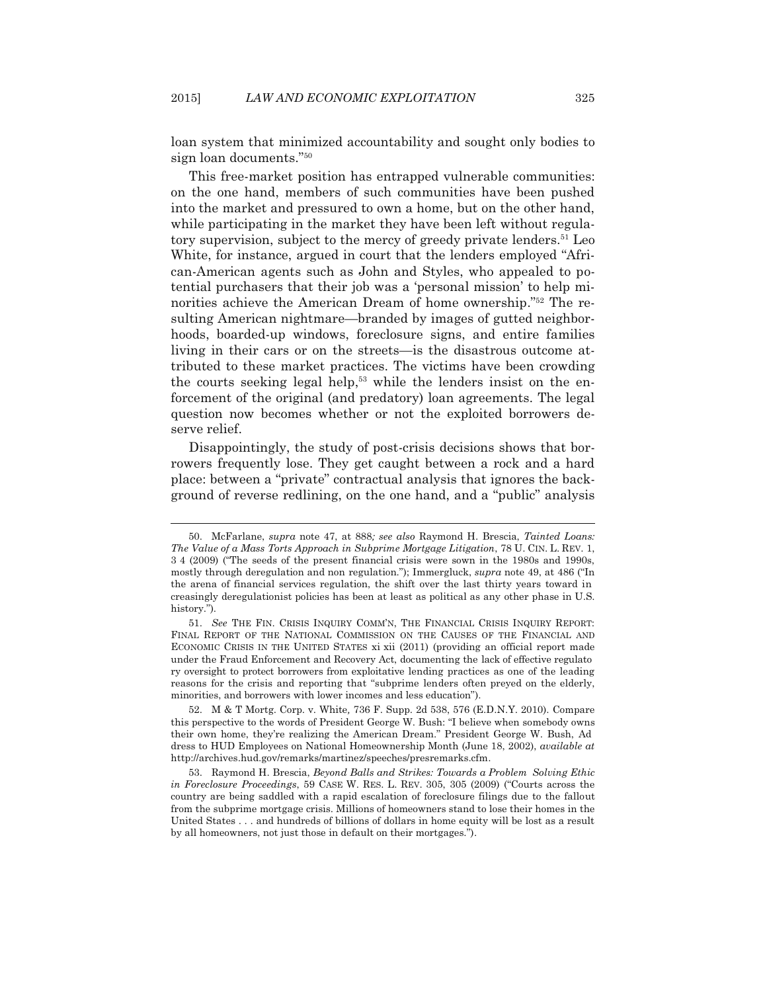loan system that minimized accountability and sought only bodies to sign loan documents."50

 This free-market position has entrapped vulnerable communities: on the one hand, members of such communities have been pushed into the market and pressured to own a home, but on the other hand, while participating in the market they have been left without regulatory supervision, subject to the mercy of greedy private lenders.<sup>51</sup> Leo White, for instance, argued in court that the lenders employed "African-American agents such as John and Styles, who appealed to potential purchasers that their job was a 'personal mission' to help minorities achieve the American Dream of home ownership."52 The resulting American nightmare—branded by images of gutted neighborhoods, boarded-up windows, foreclosure signs, and entire families living in their cars or on the streets—is the disastrous outcome attributed to these market practices. The victims have been crowding the courts seeking legal help,<sup>53</sup> while the lenders insist on the enforcement of the original (and predatory) loan agreements. The legal question now becomes whether or not the exploited borrowers deserve relief.

 Disappointingly, the study of post-crisis decisions shows that borrowers frequently lose. They get caught between a rock and a hard place: between a "private" contractual analysis that ignores the background of reverse redlining, on the one hand, and a "public" analysis

 <sup>50.</sup> McFarlane, *supra* note 47, at 888*; see also* Raymond H. Brescia, *Tainted Loans: The Value of a Mass Torts Approach in Subprime Mortgage Litigation*, 78 U. CIN. L. REV. 1, 3 4 (2009) ("The seeds of the present financial crisis were sown in the 1980s and 1990s, mostly through deregulation and non regulation."); Immergluck, *supra* note 49, at 486 ("In the arena of financial services regulation, the shift over the last thirty years toward in creasingly deregulationist policies has been at least as political as any other phase in U.S. history.").

 <sup>51.</sup> *See* THE FIN. CRISIS INQUIRY COMM'N, THE FINANCIAL CRISIS INQUIRY REPORT: FINAL REPORT OF THE NATIONAL COMMISSION ON THE CAUSES OF THE FINANCIAL AND ECONOMIC CRISIS IN THE UNITED STATES xi xii (2011) (providing an official report made under the Fraud Enforcement and Recovery Act, documenting the lack of effective regulato ry oversight to protect borrowers from exploitative lending practices as one of the leading reasons for the crisis and reporting that "subprime lenders often preyed on the elderly, minorities, and borrowers with lower incomes and less education").

 <sup>52.</sup> M & T Mortg. Corp. v. White*,* 736 F. Supp. 2d 538, 576 (E.D.N.Y. 2010). Compare this perspective to the words of President George W. Bush: "I believe when somebody owns their own home, they're realizing the American Dream." President George W. Bush, Ad dress to HUD Employees on National Homeownership Month (June 18, 2002), *available at* http://archives.hud.gov/remarks/martinez/speeches/presremarks.cfm.

 <sup>53.</sup> Raymond H. Brescia, *Beyond Balls and Strikes: Towards a Problem Solving Ethic in Foreclosure Proceedings*, 59 CASE W. RES. L. REV. 305, 305 (2009) ("Courts across the country are being saddled with a rapid escalation of foreclosure filings due to the fallout from the subprime mortgage crisis. Millions of homeowners stand to lose their homes in the United States . . . and hundreds of billions of dollars in home equity will be lost as a result by all homeowners, not just those in default on their mortgages.").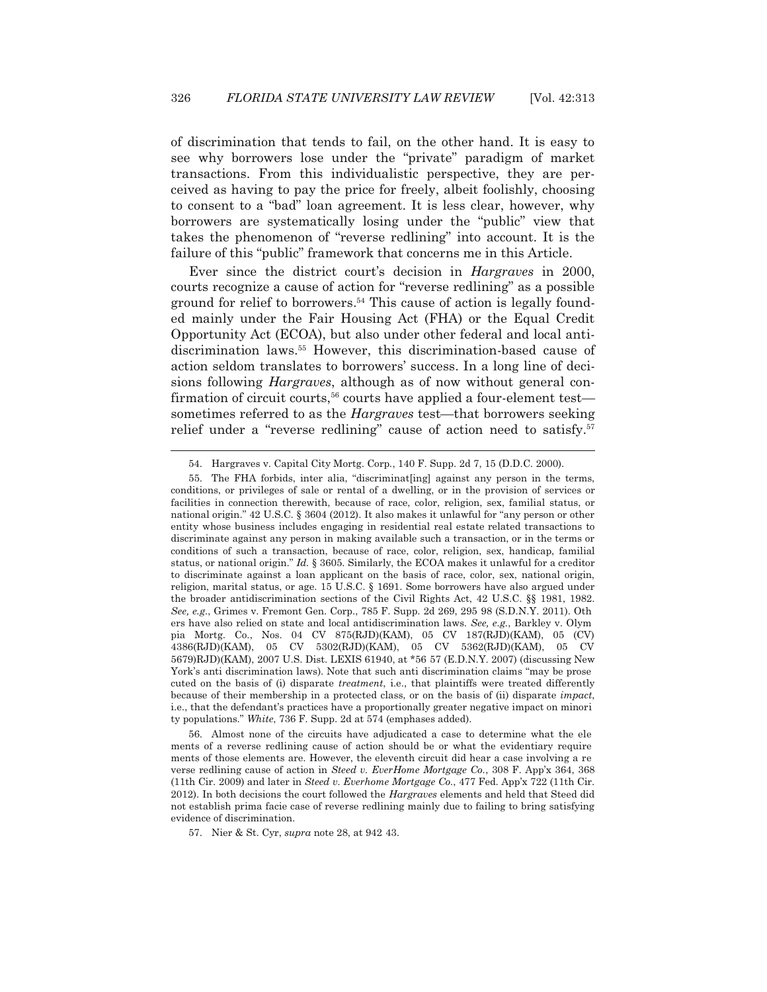of discrimination that tends to fail, on the other hand. It is easy to see why borrowers lose under the "private" paradigm of market transactions. From this individualistic perspective, they are perceived as having to pay the price for freely, albeit foolishly, choosing to consent to a "bad" loan agreement. It is less clear, however, why borrowers are systematically losing under the "public" view that takes the phenomenon of "reverse redlining" into account. It is the failure of this "public" framework that concerns me in this Article.

 Ever since the district court's decision in *Hargraves* in 2000, courts recognize a cause of action for "reverse redlining" as a possible ground for relief to borrowers.<sup>54</sup> This cause of action is legally founded mainly under the Fair Housing Act (FHA) or the Equal Credit Opportunity Act (ECOA), but also under other federal and local antidiscrimination laws.55 However, this discrimination-based cause of action seldom translates to borrowers' success. In a long line of decisions following *Hargraves*, although as of now without general confirmation of circuit courts,<sup>56</sup> courts have applied a four-element test sometimes referred to as the *Hargraves* test—that borrowers seeking relief under a "reverse redlining" cause of action need to satisfy.<sup>57</sup>

 56. Almost none of the circuits have adjudicated a case to determine what the ele ments of a reverse redlining cause of action should be or what the evidentiary require ments of those elements are. However, the eleventh circuit did hear a case involving a re verse redlining cause of action in *Steed v. EverHome Mortgage Co.*, 308 F. App'x 364, 368 (11th Cir. 2009) and later in *Steed v. Everhome Mortgage Co.*, 477 Fed. App'x 722 (11th Cir. 2012). In both decisions the court followed the *Hargraves* elements and held that Steed did not establish prima facie case of reverse redlining mainly due to failing to bring satisfying evidence of discrimination.

57. Nier & St. Cyr, *supra* note 28, at 942 43.

 <sup>54.</sup> Hargraves v. Capital City Mortg. Corp., 140 F. Supp. 2d 7, 15 (D.D.C. 2000).

 <sup>55.</sup> The FHA forbids, inter alia, "discriminat[ing] against any person in the terms, conditions, or privileges of sale or rental of a dwelling, or in the provision of services or facilities in connection therewith, because of race, color, religion, sex, familial status, or national origin." 42 U.S.C. § 3604 (2012). It also makes it unlawful for "any person or other entity whose business includes engaging in residential real estate related transactions to discriminate against any person in making available such a transaction, or in the terms or conditions of such a transaction, because of race, color, religion, sex, handicap, familial status, or national origin." *Id.* § 3605. Similarly, the ECOA makes it unlawful for a creditor to discriminate against a loan applicant on the basis of race, color, sex, national origin, religion, marital status, or age. 15 U.S.C. § 1691. Some borrowers have also argued under the broader antidiscrimination sections of the Civil Rights Act, 42 U.S.C. §§ 1981, 1982. *See, e.g.*, Grimes v. Fremont Gen. Corp., 785 F. Supp. 2d 269, 295 98 (S.D.N.Y. 2011). Oth ers have also relied on state and local antidiscrimination laws. *See, e.g.*, Barkley v. Olym pia Mortg. Co., Nos. 04 CV 875(RJD)(KAM), 05 CV 187(RJD)(KAM), 05 (CV) 4386(RJD)(KAM), 05 CV 5302(RJD)(KAM), 05 CV 5362(RJD)(KAM), 05 CV 5679)RJD)(KAM), 2007 U.S. Dist. LEXIS 61940, at \*56 57 (E.D.N.Y. 2007) (discussing New York's anti discrimination laws). Note that such anti discrimination claims "may be prose cuted on the basis of (i) disparate *treatment*, i.e., that plaintiffs were treated differently because of their membership in a protected class, or on the basis of (ii) disparate *impact*, i.e., that the defendant's practices have a proportionally greater negative impact on minori ty populations." *White*, 736 F. Supp. 2d at 574 (emphases added).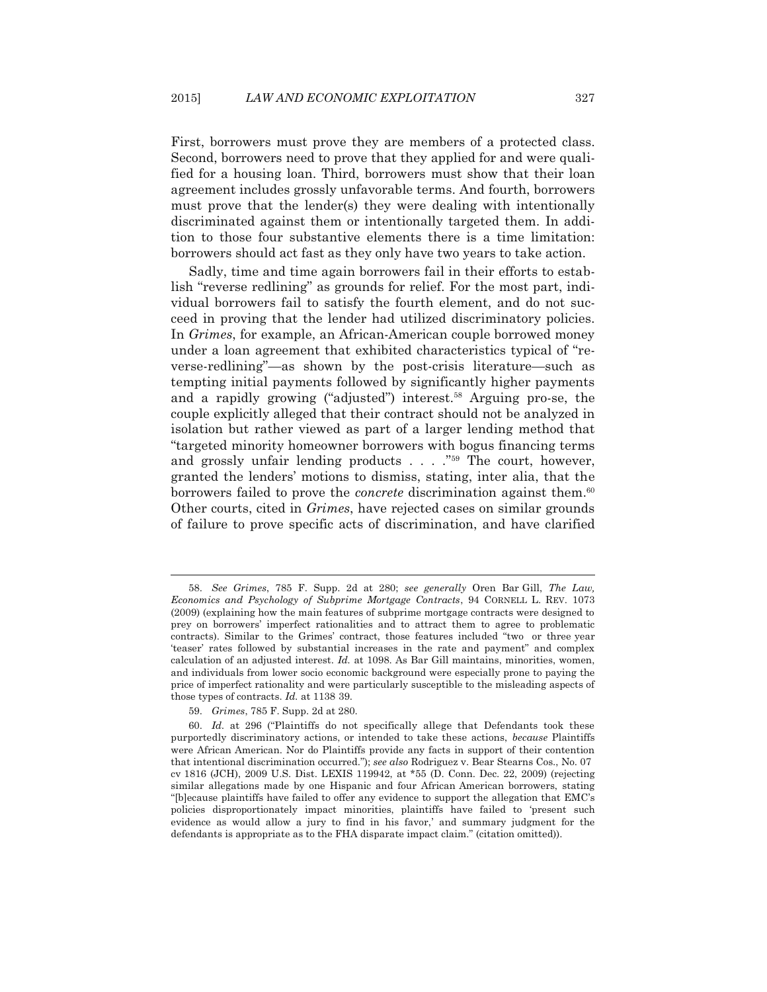First, borrowers must prove they are members of a protected class. Second, borrowers need to prove that they applied for and were qualified for a housing loan. Third, borrowers must show that their loan agreement includes grossly unfavorable terms. And fourth, borrowers must prove that the lender(s) they were dealing with intentionally discriminated against them or intentionally targeted them. In addition to those four substantive elements there is a time limitation: borrowers should act fast as they only have two years to take action.

 Sadly, time and time again borrowers fail in their efforts to establish "reverse redlining" as grounds for relief. For the most part, individual borrowers fail to satisfy the fourth element, and do not succeed in proving that the lender had utilized discriminatory policies. In *Grimes*, for example, an African-American couple borrowed money under a loan agreement that exhibited characteristics typical of "reverse-redlining"—as shown by the post-crisis literature—such as tempting initial payments followed by significantly higher payments and a rapidly growing ("adjusted") interest.<sup>58</sup> Arguing pro-se, the couple explicitly alleged that their contract should not be analyzed in isolation but rather viewed as part of a larger lending method that "targeted minority homeowner borrowers with bogus financing terms and grossly unfair lending products  $\ldots$  ."<sup>59</sup> The court, however, granted the lenders' motions to dismiss, stating, inter alia, that the borrowers failed to prove the *concrete* discrimination against them.60 Other courts, cited in *Grimes*, have rejected cases on similar grounds of failure to prove specific acts of discrimination, and have clarified

 <sup>58.</sup> *See Grimes*, 785 F. Supp. 2d at 280; *see generally* Oren Bar Gill, *The Law, Economics and Psychology of Subprime Mortgage Contracts*, 94 CORNELL L. REV. 1073 (2009) (explaining how the main features of subprime mortgage contracts were designed to prey on borrowers' imperfect rationalities and to attract them to agree to problematic contracts). Similar to the Grimes' contract, those features included "two or three year 'teaser' rates followed by substantial increases in the rate and payment" and complex calculation of an adjusted interest. *Id.* at 1098. As Bar Gill maintains, minorities, women, and individuals from lower socio economic background were especially prone to paying the price of imperfect rationality and were particularly susceptible to the misleading aspects of those types of contracts. *Id.* at 1138 39.

 <sup>59.</sup> *Grimes*, 785 F. Supp. 2d at 280.

 <sup>60.</sup> *Id.* at 296 ("Plaintiffs do not specifically allege that Defendants took these purportedly discriminatory actions, or intended to take these actions, *because* Plaintiffs were African American. Nor do Plaintiffs provide any facts in support of their contention that intentional discrimination occurred."); *see also* Rodriguez v. Bear Stearns Cos., No. 07 cv 1816 (JCH), 2009 U.S. Dist. LEXIS 119942, at \*55 (D. Conn. Dec. 22, 2009) (rejecting similar allegations made by one Hispanic and four African American borrowers, stating "[b]ecause plaintiffs have failed to offer any evidence to support the allegation that EMC's policies disproportionately impact minorities, plaintiffs have failed to 'present such evidence as would allow a jury to find in his favor,' and summary judgment for the defendants is appropriate as to the FHA disparate impact claim." (citation omitted)).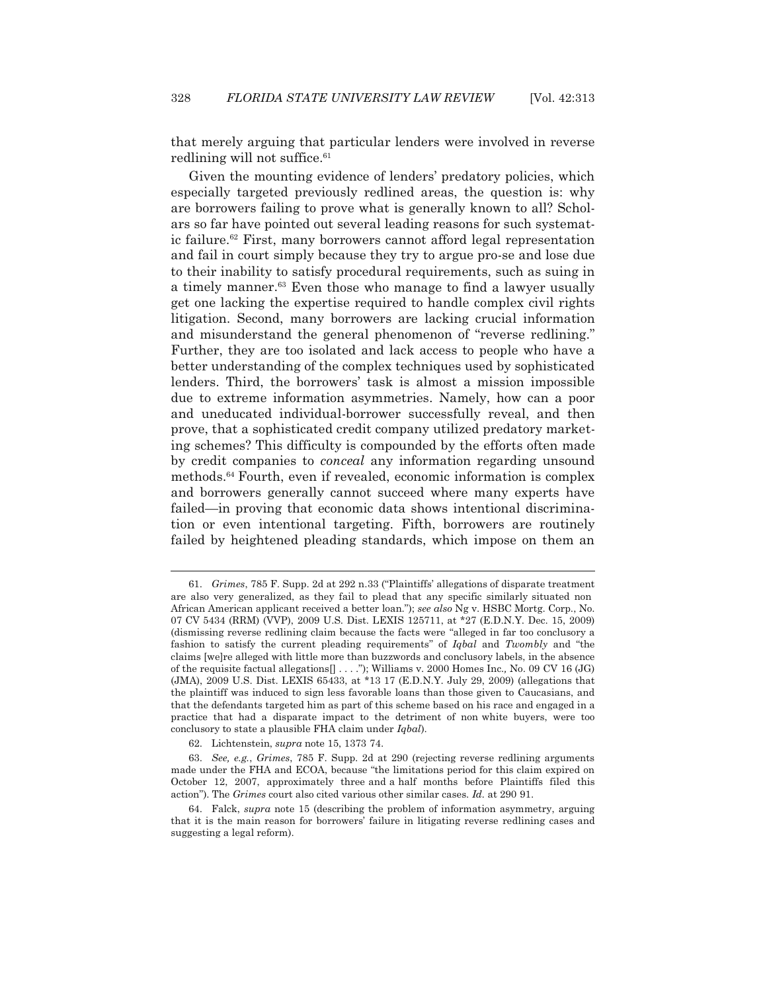that merely arguing that particular lenders were involved in reverse redlining will not suffice.<sup>61</sup>

 Given the mounting evidence of lenders' predatory policies, which especially targeted previously redlined areas, the question is: why are borrowers failing to prove what is generally known to all? Scholars so far have pointed out several leading reasons for such systematic failure.<sup>62</sup> First, many borrowers cannot afford legal representation and fail in court simply because they try to argue pro-se and lose due to their inability to satisfy procedural requirements, such as suing in a timely manner.<sup>63</sup> Even those who manage to find a lawyer usually get one lacking the expertise required to handle complex civil rights litigation. Second, many borrowers are lacking crucial information and misunderstand the general phenomenon of "reverse redlining." Further, they are too isolated and lack access to people who have a better understanding of the complex techniques used by sophisticated lenders. Third, the borrowers' task is almost a mission impossible due to extreme information asymmetries. Namely, how can a poor and uneducated individual-borrower successfully reveal, and then prove, that a sophisticated credit company utilized predatory marketing schemes? This difficulty is compounded by the efforts often made by credit companies to *conceal* any information regarding unsound methods.64 Fourth, even if revealed, economic information is complex and borrowers generally cannot succeed where many experts have failed—in proving that economic data shows intentional discrimination or even intentional targeting. Fifth, borrowers are routinely failed by heightened pleading standards, which impose on them an

 <sup>61.</sup> *Grimes*, 785 F. Supp. 2d at 292 n.33 ("Plaintiffs' allegations of disparate treatment are also very generalized, as they fail to plead that any specific similarly situated non African American applicant received a better loan."); *see also* Ng v. HSBC Mortg. Corp., No. 07 CV 5434 (RRM) (VVP), 2009 U.S. Dist. LEXIS 125711, at \*27 (E.D.N.Y. Dec. 15, 2009) (dismissing reverse redlining claim because the facts were "alleged in far too conclusory a fashion to satisfy the current pleading requirements" of *Iqbal* and *Twombly* and "the claims [we]re alleged with little more than buzzwords and conclusory labels, in the absence of the requisite factual allegations[] . . . ."); Williams v. 2000 Homes Inc.*,* No. 09 CV 16 (JG) (JMA), 2009 U.S. Dist. LEXIS 65433, at \*13 17 (E.D.N.Y. July 29, 2009) (allegations that the plaintiff was induced to sign less favorable loans than those given to Caucasians, and that the defendants targeted him as part of this scheme based on his race and engaged in a practice that had a disparate impact to the detriment of non white buyers, were too conclusory to state a plausible FHA claim under *Iqbal*).

 <sup>62.</sup> Lichtenstein, *supra* note 15, 1373 74.

 <sup>63.</sup> *See, e.g.*, *Grimes*, 785 F. Supp. 2d at 290 (rejecting reverse redlining arguments made under the FHA and ECOA, because "the limitations period for this claim expired on October 12, 2007, approximately three and a half months before Plaintiffs filed this action"). The *Grimes* court also cited various other similar cases. *Id.* at 290 91.

 <sup>64.</sup> Falck, *supra* note 15 (describing the problem of information asymmetry, arguing that it is the main reason for borrowers' failure in litigating reverse redlining cases and suggesting a legal reform).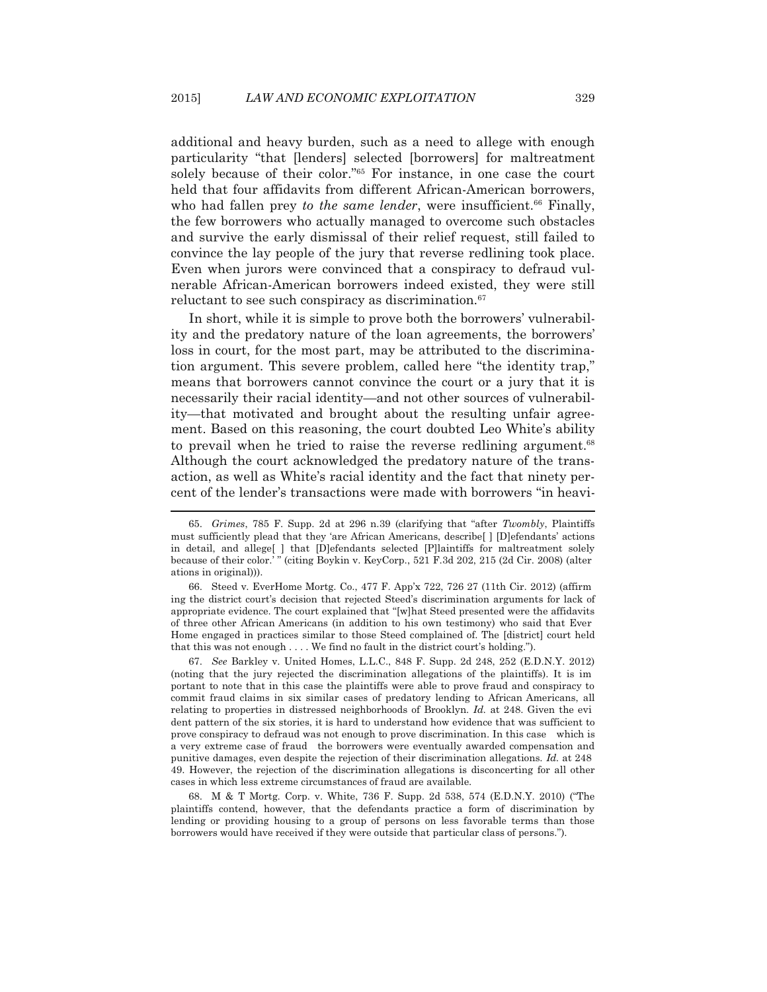additional and heavy burden, such as a need to allege with enough particularity "that [lenders] selected [borrowers] for maltreatment solely because of their color."65 For instance, in one case the court held that four affidavits from different African-American borrowers, who had fallen prey *to the same lender*, were insufficient.<sup>66</sup> Finally, the few borrowers who actually managed to overcome such obstacles and survive the early dismissal of their relief request, still failed to convince the lay people of the jury that reverse redlining took place. Even when jurors were convinced that a conspiracy to defraud vulnerable African-American borrowers indeed existed, they were still reluctant to see such conspiracy as discrimination.<sup>67</sup>

 In short, while it is simple to prove both the borrowers' vulnerability and the predatory nature of the loan agreements, the borrowers' loss in court, for the most part, may be attributed to the discrimination argument. This severe problem, called here "the identity trap," means that borrowers cannot convince the court or a jury that it is necessarily their racial identity—and not other sources of vulnerability—that motivated and brought about the resulting unfair agreement. Based on this reasoning, the court doubted Leo White's ability to prevail when he tried to raise the reverse redlining argument.<sup>68</sup> Although the court acknowledged the predatory nature of the transaction, as well as White's racial identity and the fact that ninety percent of the lender's transactions were made with borrowers "in heavi-

 $\overline{a}$ 

 66. Steed v. EverHome Mortg. Co., 477 F. App'x 722, 726 27 (11th Cir. 2012) (affirm ing the district court's decision that rejected Steed's discrimination arguments for lack of appropriate evidence. The court explained that "[w]hat Steed presented were the affidavits of three other African Americans (in addition to his own testimony) who said that Ever Home engaged in practices similar to those Steed complained of. The [district] court held that this was not enough . . . . We find no fault in the district court's holding.").

 67. *See* Barkley v. United Homes, L.L.C., 848 F. Supp. 2d 248, 252 (E.D.N.Y. 2012) (noting that the jury rejected the discrimination allegations of the plaintiffs). It is im portant to note that in this case the plaintiffs were able to prove fraud and conspiracy to commit fraud claims in six similar cases of predatory lending to African Americans, all relating to properties in distressed neighborhoods of Brooklyn. *Id.* at 248. Given the evi dent pattern of the six stories, it is hard to understand how evidence that was sufficient to prove conspiracy to defraud was not enough to prove discrimination. In this case which is a very extreme case of fraud the borrowers were eventually awarded compensation and punitive damages, even despite the rejection of their discrimination allegations. *Id.* at 248 49. However, the rejection of the discrimination allegations is disconcerting for all other cases in which less extreme circumstances of fraud are available.

 68. M & T Mortg. Corp. v. White, 736 F. Supp. 2d 538, 574 (E.D.N.Y. 2010) ("The plaintiffs contend, however, that the defendants practice a form of discrimination by lending or providing housing to a group of persons on less favorable terms than those borrowers would have received if they were outside that particular class of persons.").

 <sup>65.</sup> *Grimes*, 785 F. Supp. 2d at 296 n.39 (clarifying that "after *Twombly*, Plaintiffs must sufficiently plead that they 'are African Americans, describe[ ] [D]efendants' actions in detail, and allege[ ] that [D]efendants selected [P]laintiffs for maltreatment solely because of their color.' " (citing Boykin v. KeyCorp., 521 F.3d 202, 215 (2d Cir. 2008) (alter ations in original))).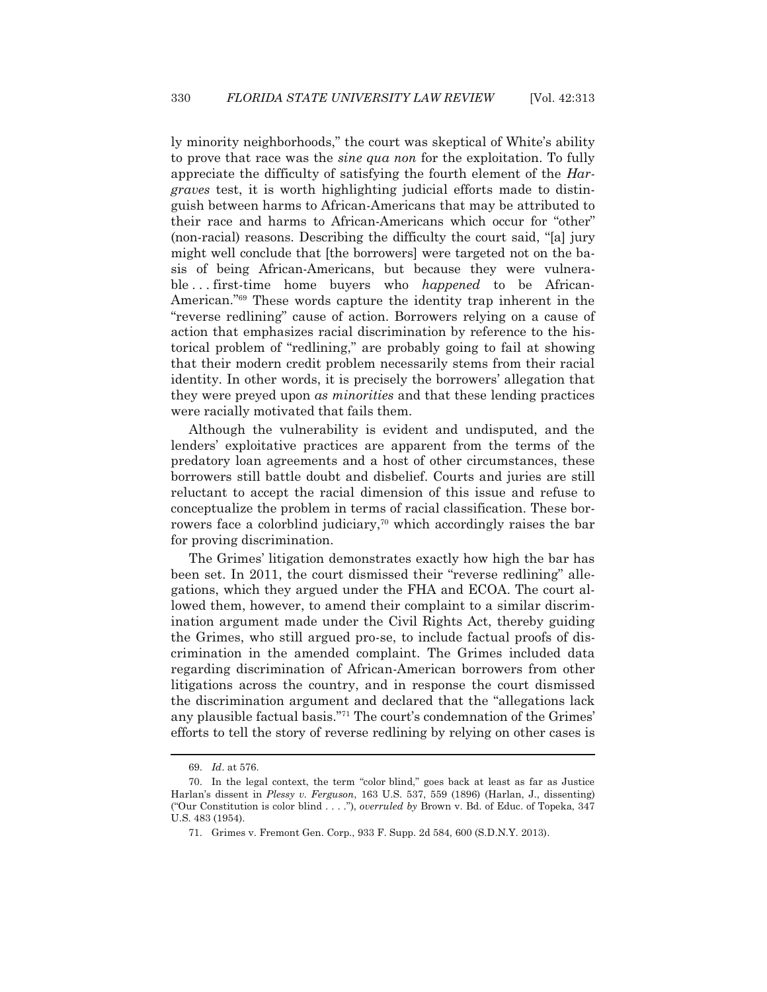ly minority neighborhoods," the court was skeptical of White's ability to prove that race was the *sine qua non* for the exploitation. To fully appreciate the difficulty of satisfying the fourth element of the *Hargraves* test, it is worth highlighting judicial efforts made to distinguish between harms to African-Americans that may be attributed to their race and harms to African-Americans which occur for "other" (non-racial) reasons. Describing the difficulty the court said, "[a] jury might well conclude that [the borrowers] were targeted not on the basis of being African-Americans, but because they were vulnerable . . . first-time home buyers who *happened* to be African-American."69 These words capture the identity trap inherent in the "reverse redlining" cause of action. Borrowers relying on a cause of action that emphasizes racial discrimination by reference to the historical problem of "redlining," are probably going to fail at showing that their modern credit problem necessarily stems from their racial identity. In other words, it is precisely the borrowers' allegation that they were preyed upon *as minorities* and that these lending practices were racially motivated that fails them.

 Although the vulnerability is evident and undisputed, and the lenders' exploitative practices are apparent from the terms of the predatory loan agreements and a host of other circumstances, these borrowers still battle doubt and disbelief. Courts and juries are still reluctant to accept the racial dimension of this issue and refuse to conceptualize the problem in terms of racial classification. These borrowers face a colorblind judiciary,<sup>70</sup> which accordingly raises the bar for proving discrimination.

 The Grimes' litigation demonstrates exactly how high the bar has been set. In 2011, the court dismissed their "reverse redlining" allegations, which they argued under the FHA and ECOA. The court allowed them, however, to amend their complaint to a similar discrimination argument made under the Civil Rights Act, thereby guiding the Grimes, who still argued pro-se, to include factual proofs of discrimination in the amended complaint. The Grimes included data regarding discrimination of African-American borrowers from other litigations across the country, and in response the court dismissed the discrimination argument and declared that the "allegations lack any plausible factual basis."71 The court's condemnation of the Grimes' efforts to tell the story of reverse redlining by relying on other cases is

 <sup>69.</sup> *Id*. at 576.

 <sup>70.</sup> In the legal context, the term "color blind," goes back at least as far as Justice Harlan's dissent in *Plessy v. Ferguson*, 163 U.S. 537, 559 (1896) (Harlan, J., dissenting) ("Our Constitution is color blind . . . ."), *overruled by* Brown v. Bd. of Educ. of Topeka, 347 U.S. 483 (1954).

 <sup>71.</sup> Grimes v. Fremont Gen. Corp., 933 F. Supp. 2d 584, 600 (S.D.N.Y. 2013).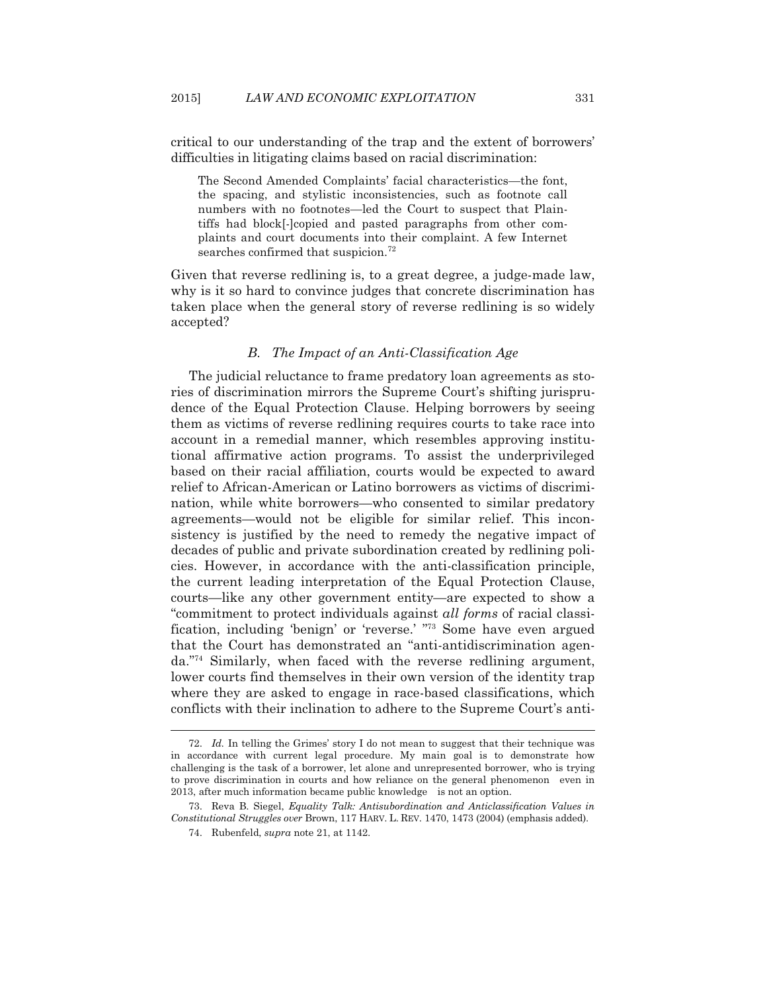critical to our understanding of the trap and the extent of borrowers' difficulties in litigating claims based on racial discrimination:

The Second Amended Complaints' facial characteristics—the font, the spacing, and stylistic inconsistencies, such as footnote call numbers with no footnotes—led the Court to suspect that Plaintiffs had block[-]copied and pasted paragraphs from other complaints and court documents into their complaint. A few Internet searches confirmed that suspicion.<sup>72</sup>

Given that reverse redlining is, to a great degree, a judge-made law, why is it so hard to convince judges that concrete discrimination has taken place when the general story of reverse redlining is so widely accepted?

## *B. The Impact of an Anti-Classification Age*

 The judicial reluctance to frame predatory loan agreements as stories of discrimination mirrors the Supreme Court's shifting jurisprudence of the Equal Protection Clause. Helping borrowers by seeing them as victims of reverse redlining requires courts to take race into account in a remedial manner, which resembles approving institutional affirmative action programs. To assist the underprivileged based on their racial affiliation, courts would be expected to award relief to African-American or Latino borrowers as victims of discrimination, while white borrowers—who consented to similar predatory agreements—would not be eligible for similar relief. This inconsistency is justified by the need to remedy the negative impact of decades of public and private subordination created by redlining policies. However, in accordance with the anti-classification principle, the current leading interpretation of the Equal Protection Clause, courts—like any other government entity—are expected to show a "commitment to protect individuals against *all forms* of racial classification, including 'benign' or 'reverse.' "73 Some have even argued that the Court has demonstrated an "anti-antidiscrimination agenda."74 Similarly, when faced with the reverse redlining argument, lower courts find themselves in their own version of the identity trap where they are asked to engage in race-based classifications, which conflicts with their inclination to adhere to the Supreme Court's anti-

 <sup>72.</sup> *Id.* In telling the Grimes' story I do not mean to suggest that their technique was in accordance with current legal procedure. My main goal is to demonstrate how challenging is the task of a borrower, let alone and unrepresented borrower, who is trying to prove discrimination in courts and how reliance on the general phenomenon even in 2013, after much information became public knowledge is not an option.

 <sup>73.</sup> Reva B. Siegel, *Equality Talk: Antisubordination and Anticlassification Values in Constitutional Struggles over* Brown, 117 HARV. L. REV. 1470, 1473 (2004) (emphasis added).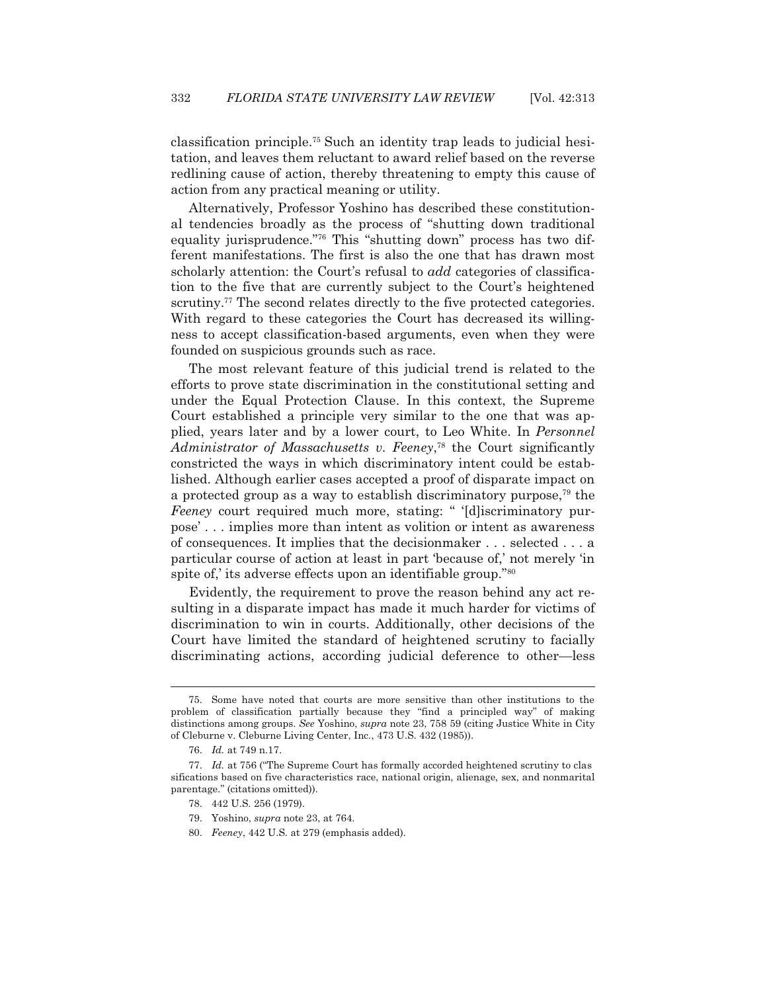classification principle.75 Such an identity trap leads to judicial hesitation, and leaves them reluctant to award relief based on the reverse redlining cause of action, thereby threatening to empty this cause of action from any practical meaning or utility.

 Alternatively, Professor Yoshino has described these constitutional tendencies broadly as the process of "shutting down traditional equality jurisprudence."76 This "shutting down" process has two different manifestations. The first is also the one that has drawn most scholarly attention: the Court's refusal to *add* categories of classification to the five that are currently subject to the Court's heightened scrutiny.<sup>77</sup> The second relates directly to the five protected categories. With regard to these categories the Court has decreased its willingness to accept classification-based arguments, even when they were founded on suspicious grounds such as race.

 The most relevant feature of this judicial trend is related to the efforts to prove state discrimination in the constitutional setting and under the Equal Protection Clause. In this context, the Supreme Court established a principle very similar to the one that was applied, years later and by a lower court, to Leo White. In *Personnel Administrator of Massachusetts v. Feeney*, 78 the Court significantly constricted the ways in which discriminatory intent could be established. Although earlier cases accepted a proof of disparate impact on a protected group as a way to establish discriminatory purpose,<sup> $79$ </sup> the *Feeney* court required much more, stating: " '[d]iscriminatory purpose' . . . implies more than intent as volition or intent as awareness of consequences. It implies that the decisionmaker . . . selected . . . a particular course of action at least in part 'because of,' not merely 'in spite of,' its adverse effects upon an identifiable group."<sup>80</sup>

 Evidently, the requirement to prove the reason behind any act resulting in a disparate impact has made it much harder for victims of discrimination to win in courts. Additionally, other decisions of the Court have limited the standard of heightened scrutiny to facially discriminating actions, according judicial deference to other—less

 <sup>75.</sup> Some have noted that courts are more sensitive than other institutions to the problem of classification partially because they "find a principled way" of making distinctions among groups. *See* Yoshino, *supra* note 23, 758 59 (citing Justice White in City of Cleburne v. Cleburne Living Center, Inc*.*, 473 U.S. 432 (1985)).

 <sup>76.</sup> *Id.* at 749 n.17.

 <sup>77.</sup> *Id.* at 756 ("The Supreme Court has formally accorded heightened scrutiny to clas sifications based on five characteristics race, national origin, alienage, sex, and nonmarital parentage." (citations omitted)).

 <sup>78. 442</sup> U.S. 256 (1979).

 <sup>79.</sup> Yoshino, *supra* note 23, at 764.

 <sup>80.</sup> *Feeney*, 442 U.S. at 279 (emphasis added).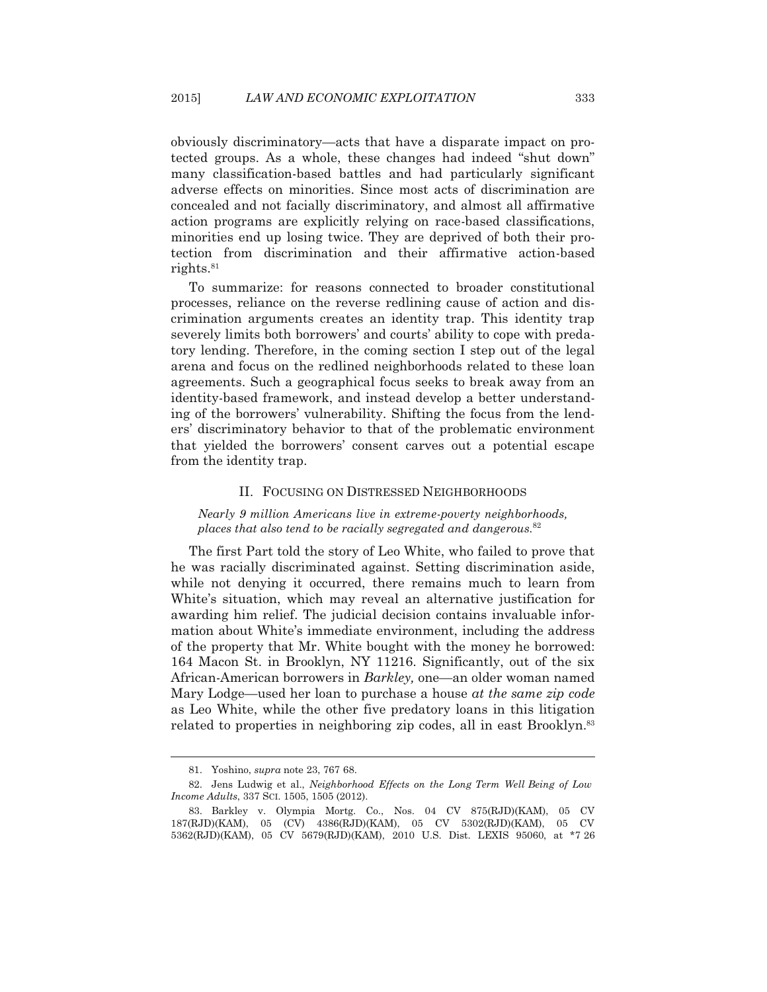obviously discriminatory—acts that have a disparate impact on protected groups. As a whole, these changes had indeed "shut down" many classification-based battles and had particularly significant adverse effects on minorities. Since most acts of discrimination are concealed and not facially discriminatory, and almost all affirmative action programs are explicitly relying on race-based classifications, minorities end up losing twice. They are deprived of both their protection from discrimination and their affirmative action-based rights.<sup>81</sup>

 To summarize: for reasons connected to broader constitutional processes, reliance on the reverse redlining cause of action and discrimination arguments creates an identity trap. This identity trap severely limits both borrowers' and courts' ability to cope with predatory lending. Therefore, in the coming section I step out of the legal arena and focus on the redlined neighborhoods related to these loan agreements. Such a geographical focus seeks to break away from an identity-based framework, and instead develop a better understanding of the borrowers' vulnerability. Shifting the focus from the lenders' discriminatory behavior to that of the problematic environment that yielded the borrowers' consent carves out a potential escape from the identity trap.

#### II. FOCUSING ON DISTRESSED NEIGHBORHOODS

*Nearly 9 million Americans live in extreme-poverty neighborhoods, places that also tend to be racially segregated and dangerous.*<sup>82</sup>

 The first Part told the story of Leo White, who failed to prove that he was racially discriminated against. Setting discrimination aside, while not denying it occurred, there remains much to learn from White's situation, which may reveal an alternative justification for awarding him relief. The judicial decision contains invaluable information about White's immediate environment, including the address of the property that Mr. White bought with the money he borrowed: 164 Macon St. in Brooklyn, NY 11216. Significantly, out of the six African-American borrowers in *Barkley,* one—an older woman named Mary Lodge—used her loan to purchase a house *at the same zip code* as Leo White, while the other five predatory loans in this litigation related to properties in neighboring zip codes, all in east Brooklyn.<sup>83</sup>

 <sup>81.</sup> Yoshino, *supra* note 23, 767 68.

 <sup>82.</sup> Jens Ludwig et al., *Neighborhood Effects on the Long Term Well Being of Low Income Adults*, 337 SCI. 1505, 1505 (2012).

 <sup>83.</sup> Barkley v. Olympia Mortg. Co., Nos. 04 CV 875(RJD)(KAM), 05 CV 187(RJD)(KAM), 05 (CV) 4386(RJD)(KAM), 05 CV 5302(RJD)(KAM), 05 CV 5362(RJD)(KAM), 05 CV 5679(RJD)(KAM), 2010 U.S. Dist. LEXIS 95060, at \*7 26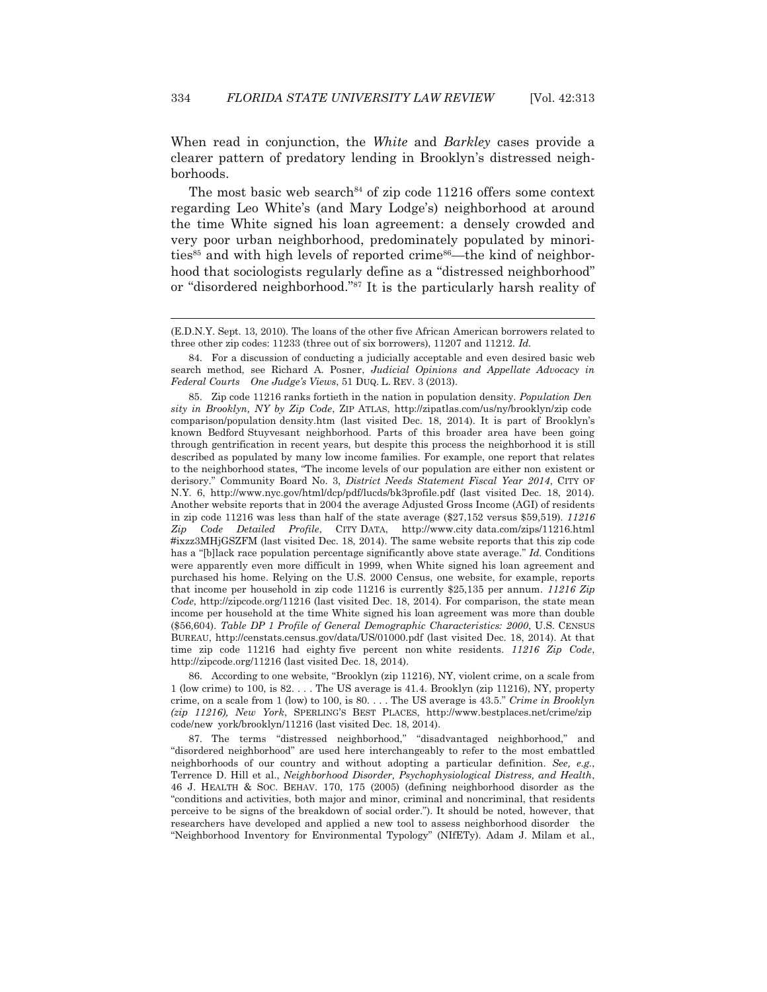When read in conjunction, the *White* and *Barkley* cases provide a clearer pattern of predatory lending in Brooklyn's distressed neighborhoods.

The most basic web search<sup>84</sup> of zip code 11216 offers some context regarding Leo White's (and Mary Lodge's) neighborhood at around the time White signed his loan agreement: a densely crowded and very poor urban neighborhood, predominately populated by minorities<sup>85</sup> and with high levels of reported crime<sup>86</sup>—the kind of neighborhood that sociologists regularly define as a "distressed neighborhood" or "disordered neighborhood."87 It is the particularly harsh reality of

 $\overline{a}$ 

 86. According to one website, "Brooklyn (zip 11216), NY, violent crime, on a scale from 1 (low crime) to 100, is 82. . . . The US average is 41.4. Brooklyn (zip 11216), NY, property crime, on a scale from 1 (low) to 100, is 80. . . . The US average is 43.5." *Crime in Brooklyn (zip 11216), New York*, SPERLING'S BEST PLACES, http://www.bestplaces.net/crime/zip code/new york/brooklyn/11216 (last visited Dec. 18, 2014).

 87. The terms "distressed neighborhood," "disadvantaged neighborhood," and "disordered neighborhood" are used here interchangeably to refer to the most embattled neighborhoods of our country and without adopting a particular definition. *See, e.g.*, Terrence D. Hill et al., *Neighborhood Disorder, Psychophysiological Distress, and Health*, 46 J. HEALTH & SOC. BEHAV. 170, 175 (2005) (defining neighborhood disorder as the "conditions and activities, both major and minor, criminal and noncriminal, that residents perceive to be signs of the breakdown of social order."). It should be noted, however, that researchers have developed and applied a new tool to assess neighborhood disorder the "Neighborhood Inventory for Environmental Typology" (NIfETy). Adam J. Milam et al.,

<sup>(</sup>E.D.N.Y. Sept. 13, 2010). The loans of the other five African American borrowers related to three other zip codes: 11233 (three out of six borrowers), 11207 and 11212. *Id.*

 <sup>84.</sup> For a discussion of conducting a judicially acceptable and even desired basic web search method, see Richard A. Posner, *Judicial Opinions and Appellate Advocacy in Federal Courts One Judge's Views*, 51 DUQ. L. REV. 3 (2013).

 <sup>85.</sup> Zip code 11216 ranks fortieth in the nation in population density. *Population Den sity in Brooklyn, NY by Zip Code*, ZIP ATLAS, http://zipatlas.com/us/ny/brooklyn/zip code comparison/population density.htm (last visited Dec. 18, 2014). It is part of Brooklyn's known Bedford Stuyvesant neighborhood. Parts of this broader area have been going through gentrification in recent years, but despite this process the neighborhood it is still described as populated by many low income families. For example, one report that relates to the neighborhood states, "The income levels of our population are either non existent or derisory." Community Board No. 3, *District Needs Statement Fiscal Year 2014*, CITY OF N.Y. 6, http://www.nyc.gov/html/dcp/pdf/lucds/bk3profile.pdf (last visited Dec. 18, 2014). Another website reports that in 2004 the average Adjusted Gross Income (AGI) of residents in zip code 11216 was less than half of the state average (\$27,152 versus \$59,519). *11216 Zip Code Detailed Profile*, CITY DATA, http://www.city data.com/zips/11216.html #ixzz3MHjGSZFM (last visited Dec. 18, 2014). The same website reports that this zip code has a "[b]lack race population percentage significantly above state average." *Id.* Conditions were apparently even more difficult in 1999, when White signed his loan agreement and purchased his home. Relying on the U.S. 2000 Census, one website, for example, reports that income per household in zip code 11216 is currently \$25,135 per annum. *11216 Zip Code*, http://zipcode.org/11216 (last visited Dec. 18, 2014). For comparison, the state mean income per household at the time White signed his loan agreement was more than double (\$56,604). *Table DP 1 Profile of General Demographic Characteristics: 2000*, U.S. CENSUS BUREAU, http://censtats.census.gov/data/US/01000.pdf (last visited Dec. 18, 2014). At that time zip code 11216 had eighty five percent non white residents. *11216 Zip Code*, http://zipcode.org/11216 (last visited Dec. 18, 2014).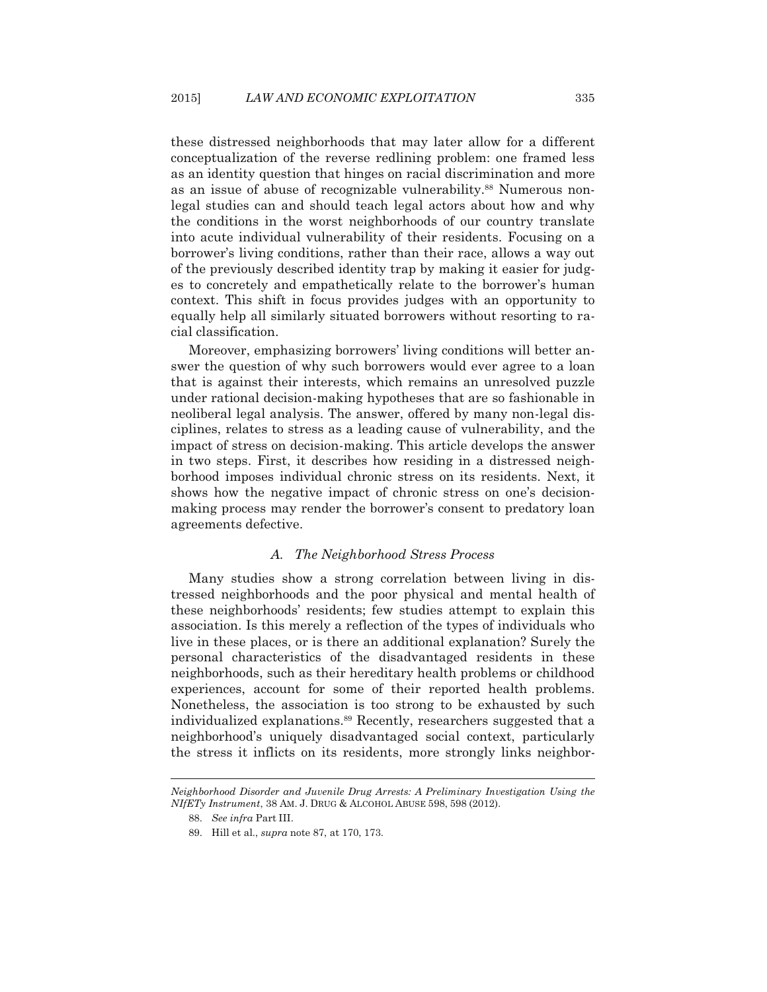these distressed neighborhoods that may later allow for a different conceptualization of the reverse redlining problem: one framed less as an identity question that hinges on racial discrimination and more as an issue of abuse of recognizable vulnerability.<sup>88</sup> Numerous nonlegal studies can and should teach legal actors about how and why the conditions in the worst neighborhoods of our country translate into acute individual vulnerability of their residents. Focusing on a borrower's living conditions, rather than their race, allows a way out of the previously described identity trap by making it easier for judges to concretely and empathetically relate to the borrower's human context. This shift in focus provides judges with an opportunity to equally help all similarly situated borrowers without resorting to racial classification.

 Moreover, emphasizing borrowers' living conditions will better answer the question of why such borrowers would ever agree to a loan that is against their interests, which remains an unresolved puzzle under rational decision-making hypotheses that are so fashionable in neoliberal legal analysis. The answer, offered by many non-legal disciplines, relates to stress as a leading cause of vulnerability, and the impact of stress on decision-making. This article develops the answer in two steps. First, it describes how residing in a distressed neighborhood imposes individual chronic stress on its residents. Next, it shows how the negative impact of chronic stress on one's decisionmaking process may render the borrower's consent to predatory loan agreements defective.

## *A. The Neighborhood Stress Process*

Many studies show a strong correlation between living in distressed neighborhoods and the poor physical and mental health of these neighborhoods' residents; few studies attempt to explain this association. Is this merely a reflection of the types of individuals who live in these places, or is there an additional explanation? Surely the personal characteristics of the disadvantaged residents in these neighborhoods, such as their hereditary health problems or childhood experiences, account for some of their reported health problems. Nonetheless, the association is too strong to be exhausted by such individualized explanations.<sup>89</sup> Recently, researchers suggested that a neighborhood's uniquely disadvantaged social context, particularly the stress it inflicts on its residents, more strongly links neighbor-

*Neighborhood Disorder and Juvenile Drug Arrests: A Preliminary Investigation Using the NIfETy Instrument*, 38 AM. J. DRUG & ALCOHOL ABUSE 598, 598 (2012).

 <sup>88.</sup> *See infra* Part III.

 <sup>89.</sup> Hill et al., *supra* note 87, at 170, 173.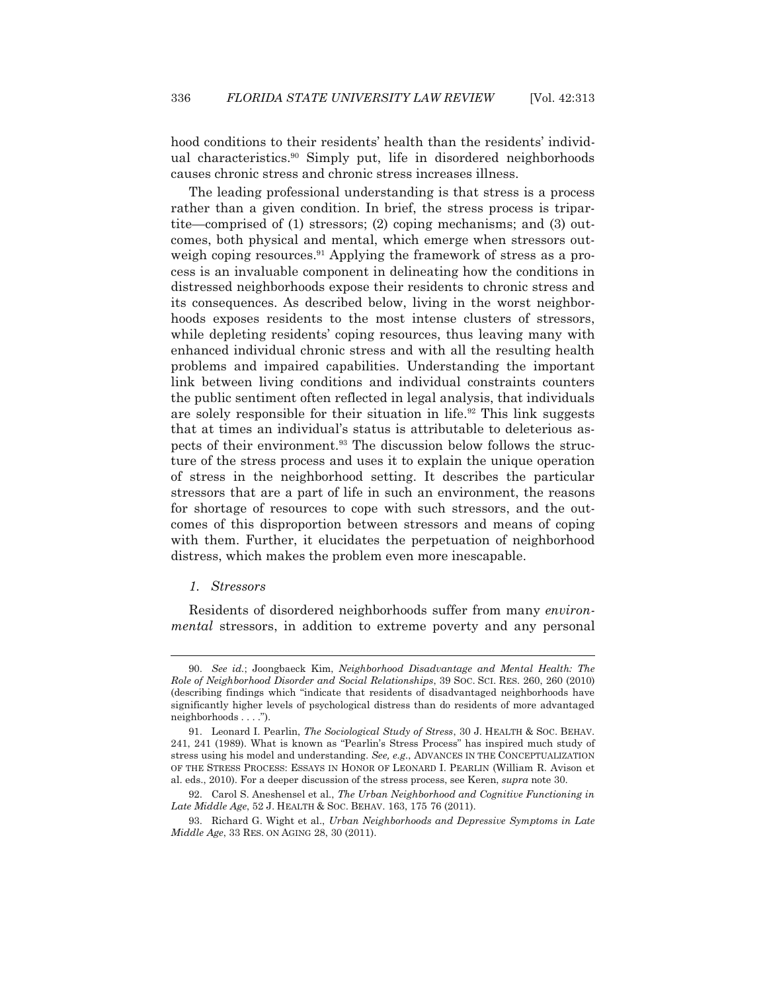hood conditions to their residents' health than the residents' individual characteristics.<sup>90</sup> Simply put, life in disordered neighborhoods causes chronic stress and chronic stress increases illness.

 The leading professional understanding is that stress is a process rather than a given condition. In brief, the stress process is tripartite—comprised of (1) stressors; (2) coping mechanisms; and (3) outcomes, both physical and mental, which emerge when stressors outweigh coping resources.<sup>91</sup> Applying the framework of stress as a process is an invaluable component in delineating how the conditions in distressed neighborhoods expose their residents to chronic stress and its consequences. As described below, living in the worst neighborhoods exposes residents to the most intense clusters of stressors, while depleting residents' coping resources, thus leaving many with enhanced individual chronic stress and with all the resulting health problems and impaired capabilities. Understanding the important link between living conditions and individual constraints counters the public sentiment often reflected in legal analysis, that individuals are solely responsible for their situation in life.92 This link suggests that at times an individual's status is attributable to deleterious aspects of their environment.<sup>93</sup> The discussion below follows the structure of the stress process and uses it to explain the unique operation of stress in the neighborhood setting. It describes the particular stressors that are a part of life in such an environment, the reasons for shortage of resources to cope with such stressors, and the outcomes of this disproportion between stressors and means of coping with them. Further, it elucidates the perpetuation of neighborhood distress, which makes the problem even more inescapable.

## *1. Stressors*

 $\overline{a}$ 

 Residents of disordered neighborhoods suffer from many *environmental* stressors, in addition to extreme poverty and any personal

 <sup>90.</sup> *See id.*; Joongbaeck Kim, *Neighborhood Disadvantage and Mental Health: The Role of Neighborhood Disorder and Social Relationships*, 39 SOC. SCI. RES. 260, 260 (2010) (describing findings which "indicate that residents of disadvantaged neighborhoods have significantly higher levels of psychological distress than do residents of more advantaged neighborhoods . . . .").

 <sup>91.</sup> Leonard I. Pearlin, *The Sociological Study of Stress*, 30 J. HEALTH & SOC. BEHAV. 241, 241 (1989). What is known as "Pearlin's Stress Process" has inspired much study of stress using his model and understanding. *See, e.g.*, ADVANCES IN THE CONCEPTUALIZATION OF THE STRESS PROCESS: ESSAYS IN HONOR OF LEONARD I. PEARLIN (William R. Avison et al. eds., 2010). For a deeper discussion of the stress process, see Keren, *supra* note 30.

 <sup>92.</sup> Carol S. Aneshensel et al., *The Urban Neighborhood and Cognitive Functioning in Late Middle Age*, 52 J. HEALTH & SOC. BEHAV. 163, 175 76 (2011).

 <sup>93.</sup> Richard G. Wight et al., *Urban Neighborhoods and Depressive Symptoms in Late Middle Age*, 33 RES. ON AGING 28, 30 (2011).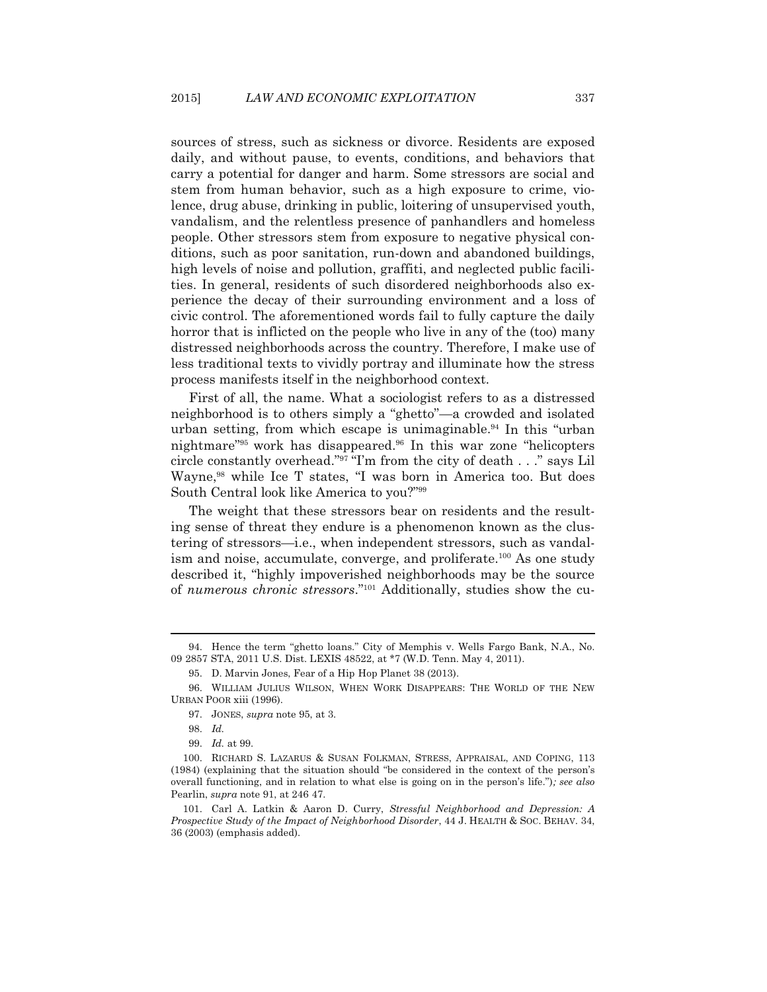sources of stress, such as sickness or divorce. Residents are exposed daily, and without pause, to events, conditions, and behaviors that carry a potential for danger and harm. Some stressors are social and stem from human behavior, such as a high exposure to crime, violence, drug abuse, drinking in public, loitering of unsupervised youth, vandalism, and the relentless presence of panhandlers and homeless people. Other stressors stem from exposure to negative physical conditions, such as poor sanitation, run-down and abandoned buildings, high levels of noise and pollution, graffiti, and neglected public facilities. In general, residents of such disordered neighborhoods also experience the decay of their surrounding environment and a loss of civic control. The aforementioned words fail to fully capture the daily horror that is inflicted on the people who live in any of the (too) many distressed neighborhoods across the country. Therefore, I make use of less traditional texts to vividly portray and illuminate how the stress process manifests itself in the neighborhood context.

 First of all, the name. What a sociologist refers to as a distressed neighborhood is to others simply a "ghetto"—a crowded and isolated urban setting, from which escape is unimaginable.<sup>94</sup> In this "urban" nightmare"<sup>95</sup> work has disappeared.<sup>96</sup> In this war zone "helicopters" circle constantly overhead."97 "I'm from the city of death . . ." says Lil Wayne,98 while Ice T states, "I was born in America too. But does South Central look like America to you?"99

 The weight that these stressors bear on residents and the resulting sense of threat they endure is a phenomenon known as the clustering of stressors—i.e., when independent stressors, such as vandalism and noise, accumulate, converge, and proliferate.<sup>100</sup> As one study described it, "highly impoverished neighborhoods may be the source of *numerous chronic stressors*."101 Additionally, studies show the cu-

 <sup>94.</sup> Hence the term "ghetto loans." City of Memphis v. Wells Fargo Bank, N.A., No. 09 2857 STA, 2011 U.S. Dist. LEXIS 48522, at \*7 (W.D. Tenn. May 4, 2011).

 <sup>95.</sup> D. Marvin Jones, Fear of a Hip Hop Planet 38 (2013).

 <sup>96.</sup> WILLIAM JULIUS WILSON, WHEN WORK DISAPPEARS: THE WORLD OF THE NEW URBAN POOR xiii (1996).

 <sup>97.</sup> JONES, *supra* note 95, at 3.

 <sup>98.</sup> *Id.*

 <sup>99.</sup> *Id.* at 99.

 <sup>100.</sup> RICHARD S. LAZARUS & SUSAN FOLKMAN, STRESS, APPRAISAL, AND COPING, 113 (1984) (explaining that the situation should "be considered in the context of the person's overall functioning, and in relation to what else is going on in the person's life.")*; see also* Pearlin, *supra* note 91, at 246 47.

 <sup>101.</sup> Carl A. Latkin & Aaron D. Curry, *Stressful Neighborhood and Depression: A Prospective Study of the Impact of Neighborhood Disorder*, 44 J. HEALTH & SOC. BEHAV. 34, 36 (2003) (emphasis added).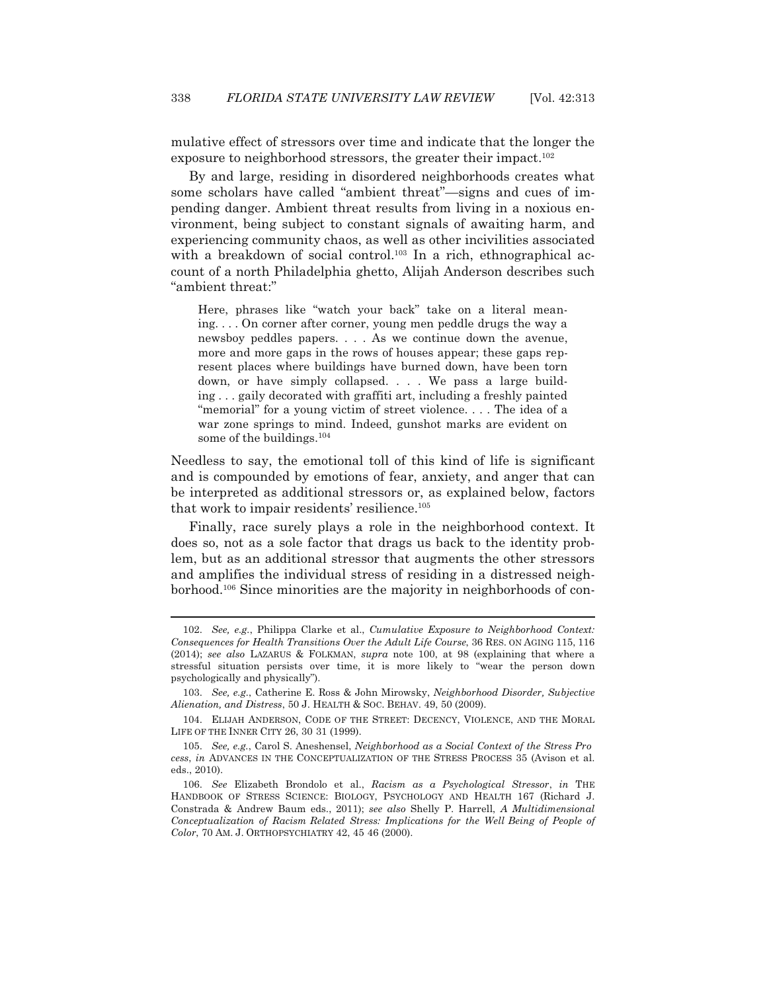mulative effect of stressors over time and indicate that the longer the exposure to neighborhood stressors, the greater their impact.<sup>102</sup>

 By and large, residing in disordered neighborhoods creates what some scholars have called "ambient threat"—signs and cues of impending danger. Ambient threat results from living in a noxious environment, being subject to constant signals of awaiting harm, and experiencing community chaos, as well as other incivilities associated with a breakdown of social control.<sup>103</sup> In a rich, ethnographical account of a north Philadelphia ghetto, Alijah Anderson describes such "ambient threat:"

Here, phrases like "watch your back" take on a literal meaning. . . . On corner after corner, young men peddle drugs the way a newsboy peddles papers. . . . As we continue down the avenue, more and more gaps in the rows of houses appear; these gaps represent places where buildings have burned down, have been torn down, or have simply collapsed. . . . We pass a large building . . . gaily decorated with graffiti art, including a freshly painted "memorial" for a young victim of street violence. . . . The idea of a war zone springs to mind. Indeed, gunshot marks are evident on some of the buildings.<sup>104</sup>

Needless to say, the emotional toll of this kind of life is significant and is compounded by emotions of fear, anxiety, and anger that can be interpreted as additional stressors or, as explained below, factors that work to impair residents' resilience.<sup>105</sup>

 Finally, race surely plays a role in the neighborhood context. It does so, not as a sole factor that drags us back to the identity problem, but as an additional stressor that augments the other stressors and amplifies the individual stress of residing in a distressed neighborhood.106 Since minorities are the majority in neighborhoods of con-

 <sup>102.</sup> *See, e.g.*, Philippa Clarke et al., *Cumulative Exposure to Neighborhood Context: Consequences for Health Transitions Over the Adult Life Course*, 36 RES. ON AGING 115, 116 (2014); *see also* LAZARUS & FOLKMAN, *supra* note 100, at 98 (explaining that where a stressful situation persists over time, it is more likely to "wear the person down psychologically and physically").

 <sup>103.</sup> *See, e.g.*, Catherine E. Ross & John Mirowsky, *Neighborhood Disorder, Subjective Alienation, and Distress*, 50 J. HEALTH & SOC. BEHAV. 49, 50 (2009).

 <sup>104.</sup> ELIJAH ANDERSON, CODE OF THE STREET: DECENCY, VIOLENCE, AND THE MORAL LIFE OF THE INNER CITY 26, 30 31 (1999).

 <sup>105.</sup> *See, e.g.*, Carol S. Aneshensel, *Neighborhood as a Social Context of the Stress Pro cess*, *in* ADVANCES IN THE CONCEPTUALIZATION OF THE STRESS PROCESS 35 (Avison et al. eds., 2010).

 <sup>106.</sup> *See* Elizabeth Brondolo et al., *Racism as a Psychological Stressor*, *in* THE HANDBOOK OF STRESS SCIENCE: BIOLOGY, PSYCHOLOGY AND HEALTH 167 (Richard J. Constrada & Andrew Baum eds., 2011); *see also* Shelly P. Harrell, *A Multidimensional Conceptualization of Racism Related Stress: Implications for the Well Being of People of Color*, 70 AM. J. ORTHOPSYCHIATRY 42, 45 46 (2000).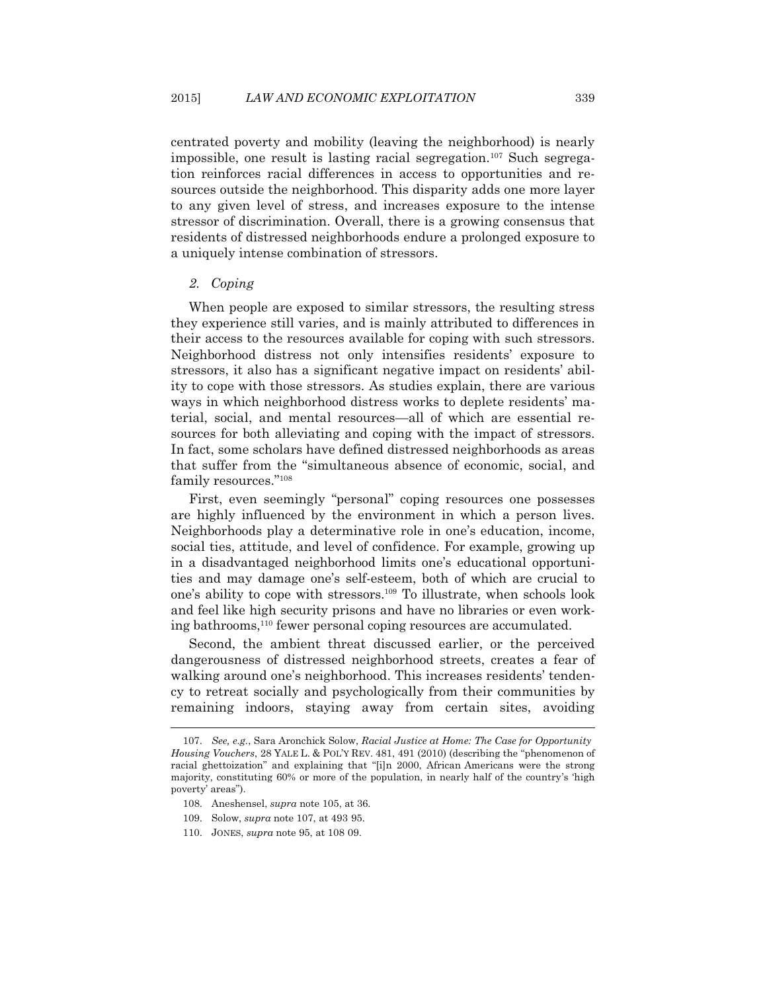centrated poverty and mobility (leaving the neighborhood) is nearly impossible, one result is lasting racial segregation.<sup>107</sup> Such segregation reinforces racial differences in access to opportunities and resources outside the neighborhood. This disparity adds one more layer to any given level of stress, and increases exposure to the intense stressor of discrimination. Overall, there is a growing consensus that residents of distressed neighborhoods endure a prolonged exposure to a uniquely intense combination of stressors.

## *2. Coping*

 When people are exposed to similar stressors, the resulting stress they experience still varies, and is mainly attributed to differences in their access to the resources available for coping with such stressors. Neighborhood distress not only intensifies residents' exposure to stressors, it also has a significant negative impact on residents' ability to cope with those stressors. As studies explain, there are various ways in which neighborhood distress works to deplete residents' material, social, and mental resources—all of which are essential resources for both alleviating and coping with the impact of stressors. In fact, some scholars have defined distressed neighborhoods as areas that suffer from the "simultaneous absence of economic, social, and family resources."108

 First, even seemingly "personal" coping resources one possesses are highly influenced by the environment in which a person lives. Neighborhoods play a determinative role in one's education, income, social ties, attitude, and level of confidence. For example, growing up in a disadvantaged neighborhood limits one's educational opportunities and may damage one's self-esteem, both of which are crucial to one's ability to cope with stressors.109 To illustrate, when schools look and feel like high security prisons and have no libraries or even working bathrooms,<sup>110</sup> fewer personal coping resources are accumulated.

 Second, the ambient threat discussed earlier, or the perceived dangerousness of distressed neighborhood streets, creates a fear of walking around one's neighborhood. This increases residents' tendency to retreat socially and psychologically from their communities by remaining indoors, staying away from certain sites, avoiding

- 108. Aneshensel, *supra* note 105, at 36.
- 109. Solow, *supra* note 107, at 493 95.
- 110. JONES, *supra* note 95, at 108 09.

 <sup>107.</sup> *See, e.g.*, Sara Aronchick Solow, *Racial Justice at Home: The Case for Opportunity Housing Vouchers*, 28 YALE L. & POL'Y REV. 481, 491 (2010) (describing the "phenomenon of racial ghettoization" and explaining that "[i]n 2000, African Americans were the strong majority, constituting 60% or more of the population, in nearly half of the country's 'high poverty' areas").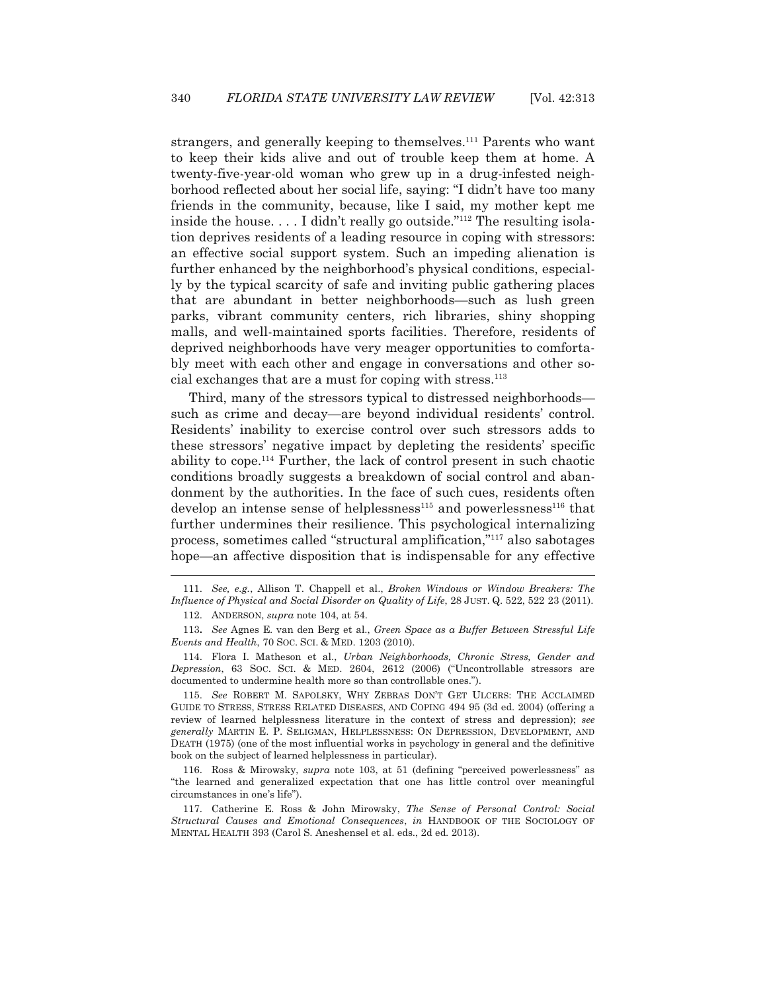strangers, and generally keeping to themselves.<sup>111</sup> Parents who want to keep their kids alive and out of trouble keep them at home. A twenty-five-year-old woman who grew up in a drug-infested neighborhood reflected about her social life, saying: "I didn't have too many friends in the community, because, like I said, my mother kept me inside the house. . . . I didn't really go outside."112 The resulting isolation deprives residents of a leading resource in coping with stressors: an effective social support system. Such an impeding alienation is further enhanced by the neighborhood's physical conditions, especially by the typical scarcity of safe and inviting public gathering places that are abundant in better neighborhoods—such as lush green parks, vibrant community centers, rich libraries, shiny shopping malls, and well-maintained sports facilities. Therefore, residents of deprived neighborhoods have very meager opportunities to comfortably meet with each other and engage in conversations and other social exchanges that are a must for coping with stress.113

 Third, many of the stressors typical to distressed neighborhoods such as crime and decay—are beyond individual residents' control. Residents' inability to exercise control over such stressors adds to these stressors' negative impact by depleting the residents' specific ability to cope.114 Further, the lack of control present in such chaotic conditions broadly suggests a breakdown of social control and abandonment by the authorities. In the face of such cues, residents often develop an intense sense of helplessness<sup>115</sup> and powerlessness<sup>116</sup> that further undermines their resilience. This psychological internalizing process, sometimes called "structural amplification,"117 also sabotages hope—an affective disposition that is indispensable for any effective

 $\overline{a}$ 

 115. *See* ROBERT M. SAPOLSKY, WHY ZEBRAS DON'T GET ULCERS: THE ACCLAIMED GUIDE TO STRESS, STRESS RELATED DISEASES, AND COPING 494 95 (3d ed. 2004) (offering a review of learned helplessness literature in the context of stress and depression); *see generally* MARTIN E. P. SELIGMAN, HELPLESSNESS: ON DEPRESSION, DEVELOPMENT, AND DEATH (1975) (one of the most influential works in psychology in general and the definitive book on the subject of learned helplessness in particular).

 116. Ross & Mirowsky, *supra* note 103, at 51 (defining "perceived powerlessness" as "the learned and generalized expectation that one has little control over meaningful circumstances in one's life").

 117. Catherine E. Ross & John Mirowsky, *The Sense of Personal Control: Social Structural Causes and Emotional Consequences*, *in* HANDBOOK OF THE SOCIOLOGY OF MENTAL HEALTH 393 (Carol S. Aneshensel et al. eds., 2d ed. 2013).

 <sup>111.</sup> *See, e.g.*, Allison T. Chappell et al., *Broken Windows or Window Breakers: The Influence of Physical and Social Disorder on Quality of Life*, 28 JUST. Q. 522, 522 23 (2011).

 <sup>112.</sup> ANDERSON, *supra* note 104, at 54.

<sup>113</sup>**.** *See* Agnes E. van den Berg et al., *Green Space as a Buffer Between Stressful Life Events and Health, 70 Soc. Sci. & MED. 1203 (2010).* 

 <sup>114.</sup> Flora I. Matheson et al., *Urban Neighborhoods, Chronic Stress, Gender and Depression*, 63 SOC. SCI.&MED. 2604, 2612 (2006) ("Uncontrollable stressors are documented to undermine health more so than controllable ones.").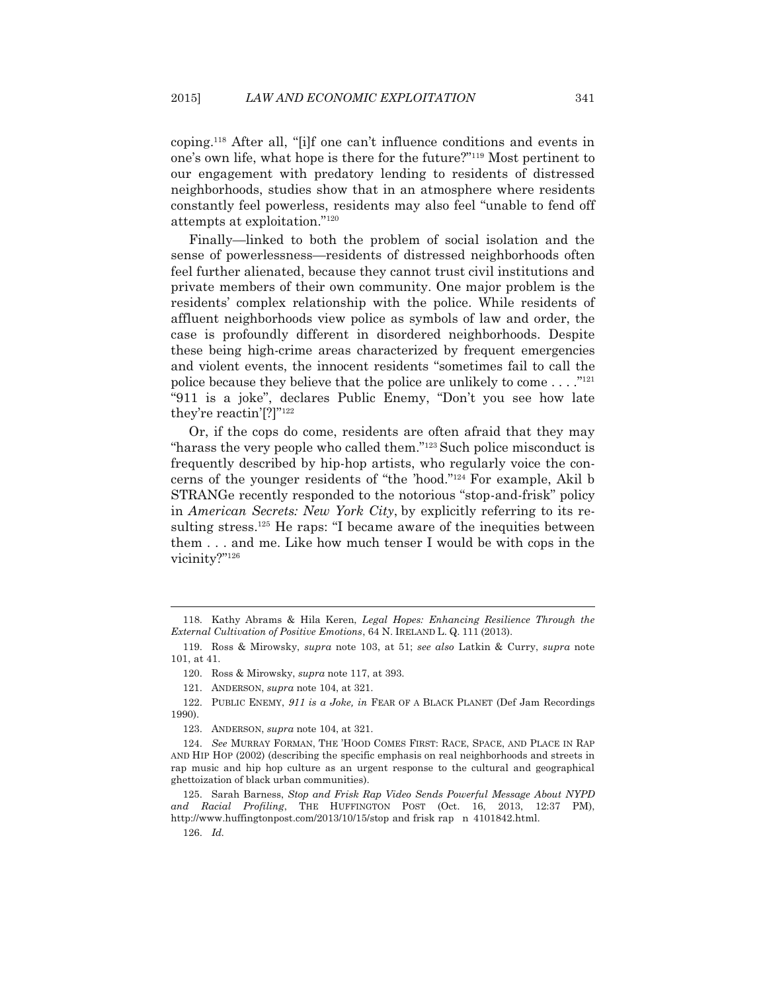coping.118 After all, "[i]f one can't influence conditions and events in one's own life, what hope is there for the future?"119 Most pertinent to our engagement with predatory lending to residents of distressed neighborhoods, studies show that in an atmosphere where residents constantly feel powerless, residents may also feel "unable to fend off attempts at exploitation."120

 Finally—linked to both the problem of social isolation and the sense of powerlessness—residents of distressed neighborhoods often feel further alienated, because they cannot trust civil institutions and private members of their own community. One major problem is the residents' complex relationship with the police. While residents of affluent neighborhoods view police as symbols of law and order, the case is profoundly different in disordered neighborhoods. Despite these being high-crime areas characterized by frequent emergencies and violent events, the innocent residents "sometimes fail to call the police because they believe that the police are unlikely to come  $\dots$ ."<sup>121</sup> "911 is a joke", declares Public Enemy, "Don't you see how late they're reactin'[?]"122

 Or, if the cops do come, residents are often afraid that they may "harass the very people who called them."123 Such police misconduct is frequently described by hip-hop artists, who regularly voice the concerns of the younger residents of "the 'hood."124 For example, Akil b STRANGe recently responded to the notorious "stop-and-frisk" policy in *American Secrets: New York City*, by explicitly referring to its resulting stress.<sup>125</sup> He raps: "I became aware of the inequities between them . . . and me. Like how much tenser I would be with cops in the vicinity?"126

126. *Id.*

 <sup>118.</sup> Kathy Abrams & Hila Keren, *Legal Hopes: Enhancing Resilience Through the External Cultivation of Positive Emotions*, 64 N. IRELAND L. Q. 111 (2013).

 <sup>119.</sup> Ross & Mirowsky, *supra* note 103, at 51; *see also* Latkin & Curry, *supra* note 101, at 41.

 <sup>120.</sup> Ross & Mirowsky, *supra* note 117, at 393.

 <sup>121.</sup> ANDERSON, *supra* note 104, at 321.

 <sup>122.</sup> PUBLIC ENEMY, *911 is a Joke, in* FEAR OF A BLACK PLANET (Def Jam Recordings 1990).

 <sup>123.</sup> ANDERSON, *supra* note 104, at 321.

 <sup>124.</sup> *See* MURRAY FORMAN, THE 'HOOD COMES FIRST: RACE, SPACE, AND PLACE IN RAP AND HIP HOP (2002) (describing the specific emphasis on real neighborhoods and streets in rap music and hip hop culture as an urgent response to the cultural and geographical ghettoization of black urban communities).

 <sup>125.</sup> Sarah Barness, *Stop and Frisk Rap Video Sends Powerful Message About NYPD and Racial Profiling*, THE HUFFINGTON POST (Oct. 16, 2013, 12:37 PM), http://www.huffingtonpost.com/2013/10/15/stop and frisk rap n 4101842.html.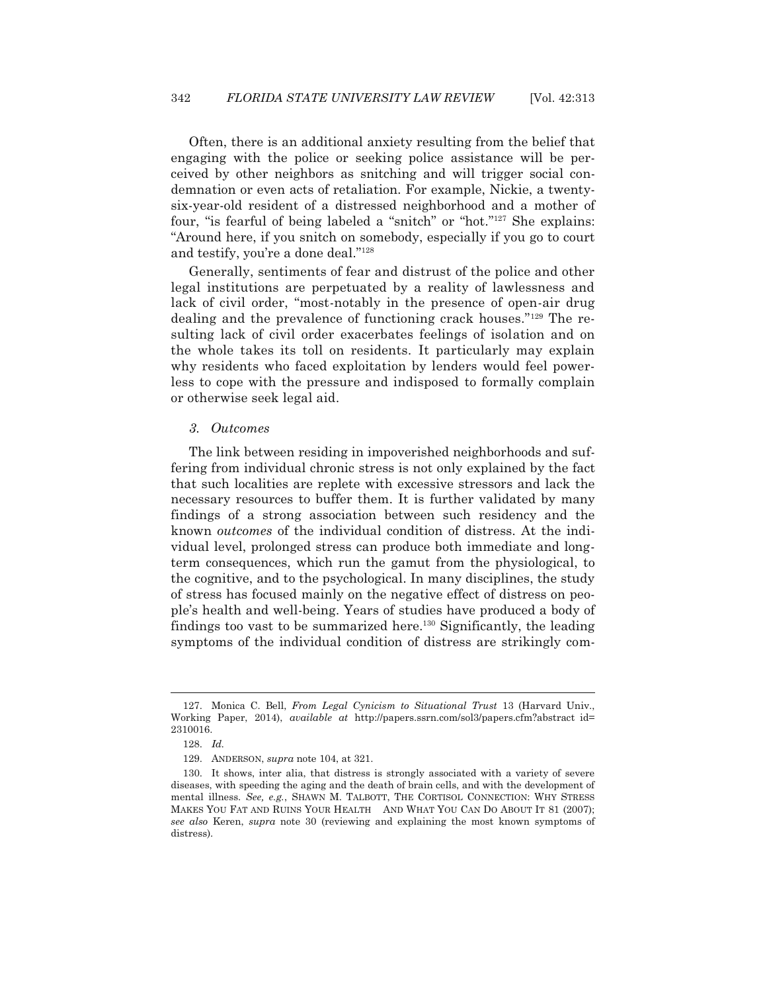Often, there is an additional anxiety resulting from the belief that engaging with the police or seeking police assistance will be perceived by other neighbors as snitching and will trigger social condemnation or even acts of retaliation. For example, Nickie, a twentysix-year-old resident of a distressed neighborhood and a mother of four, "is fearful of being labeled a "snitch" or "hot."127 She explains: "Around here, if you snitch on somebody, especially if you go to court and testify, you're a done deal."128

 Generally, sentiments of fear and distrust of the police and other legal institutions are perpetuated by a reality of lawlessness and lack of civil order, "most-notably in the presence of open-air drug dealing and the prevalence of functioning crack houses."129 The resulting lack of civil order exacerbates feelings of isolation and on the whole takes its toll on residents. It particularly may explain why residents who faced exploitation by lenders would feel powerless to cope with the pressure and indisposed to formally complain or otherwise seek legal aid.

#### *3. Outcomes*

 The link between residing in impoverished neighborhoods and suffering from individual chronic stress is not only explained by the fact that such localities are replete with excessive stressors and lack the necessary resources to buffer them. It is further validated by many findings of a strong association between such residency and the known *outcomes* of the individual condition of distress. At the individual level, prolonged stress can produce both immediate and longterm consequences, which run the gamut from the physiological, to the cognitive, and to the psychological. In many disciplines, the study of stress has focused mainly on the negative effect of distress on people's health and well-being. Years of studies have produced a body of findings too vast to be summarized here.130 Significantly, the leading symptoms of the individual condition of distress are strikingly com-

 <sup>127.</sup> Monica C. Bell, *From Legal Cynicism to Situational Trust* 13 (Harvard Univ., Working Paper, 2014), *available at* http://papers.ssrn.com/sol3/papers.cfm?abstract id= 2310016.

 <sup>128.</sup> *Id.*

 <sup>129.</sup> ANDERSON, *supra* note 104, at 321.

 <sup>130.</sup> It shows, inter alia, that distress is strongly associated with a variety of severe diseases, with speeding the aging and the death of brain cells, and with the development of mental illness. *See, e.g.*, SHAWN M. TALBOTT, THE CORTISOL CONNECTION: WHY STRESS MAKES YOU FAT AND RUINS YOUR HEALTH AND WHAT YOU CAN DO ABOUT IT 81 (2007); *see also* Keren, *supra* note 30 (reviewing and explaining the most known symptoms of distress).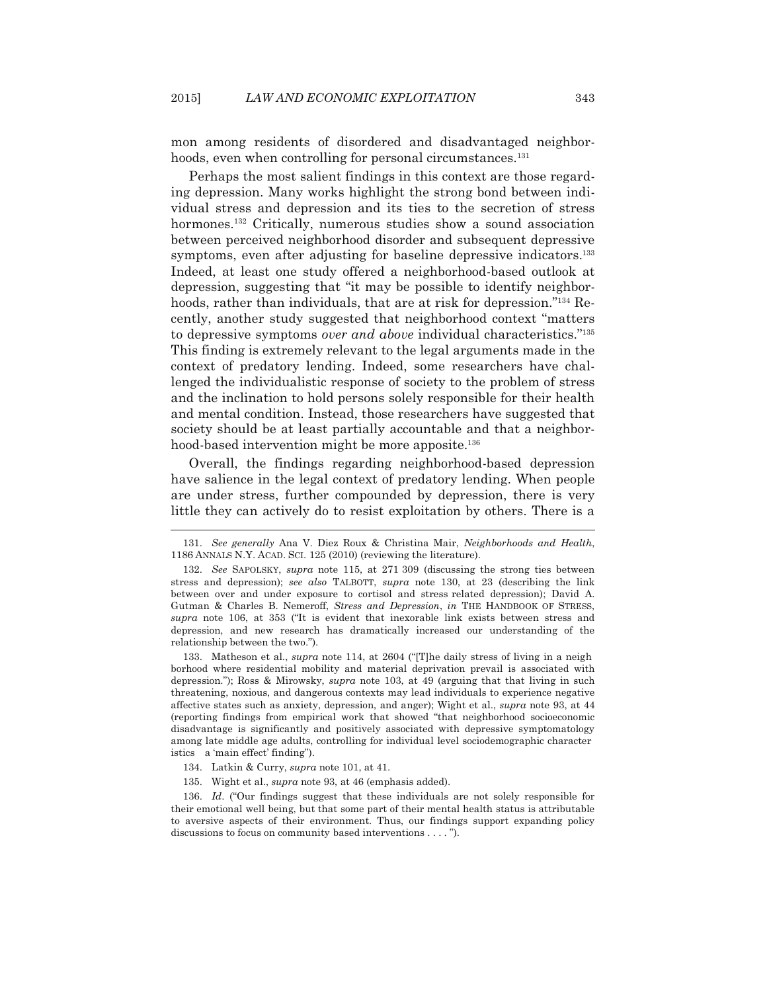mon among residents of disordered and disadvantaged neighborhoods, even when controlling for personal circumstances.<sup>131</sup>

 Perhaps the most salient findings in this context are those regarding depression. Many works highlight the strong bond between individual stress and depression and its ties to the secretion of stress hormones.<sup>132</sup> Critically, numerous studies show a sound association between perceived neighborhood disorder and subsequent depressive symptoms, even after adjusting for baseline depressive indicators.<sup>133</sup> Indeed, at least one study offered a neighborhood-based outlook at depression, suggesting that "it may be possible to identify neighborhoods, rather than individuals, that are at risk for depression."<sup>134</sup> Recently, another study suggested that neighborhood context "matters to depressive symptoms *over and above* individual characteristics."135 This finding is extremely relevant to the legal arguments made in the context of predatory lending. Indeed, some researchers have challenged the individualistic response of society to the problem of stress and the inclination to hold persons solely responsible for their health and mental condition. Instead, those researchers have suggested that society should be at least partially accountable and that a neighborhood-based intervention might be more apposite.<sup>136</sup>

 Overall, the findings regarding neighborhood-based depression have salience in the legal context of predatory lending. When people are under stress, further compounded by depression, there is very little they can actively do to resist exploitation by others. There is a

 133. Matheson et al., *supra* note 114, at 2604 ("[T]he daily stress of living in a neigh borhood where residential mobility and material deprivation prevail is associated with depression."); Ross & Mirowsky, *supra* note 103, at 49 (arguing that that living in such threatening, noxious, and dangerous contexts may lead individuals to experience negative affective states such as anxiety, depression, and anger); Wight et al., *supra* note 93, at 44 (reporting findings from empirical work that showed "that neighborhood socioeconomic disadvantage is significantly and positively associated with depressive symptomatology among late middle age adults, controlling for individual level sociodemographic character istics a 'main effect' finding").

 $\overline{a}$ 

135. Wight et al., *supra* note 93, at 46 (emphasis added).

 136. *Id*. ("Our findings suggest that these individuals are not solely responsible for their emotional well being, but that some part of their mental health status is attributable to aversive aspects of their environment. Thus, our findings support expanding policy discussions to focus on community based interventions . . . . ").

 <sup>131.</sup> *See generally* Ana V. Diez Roux & Christina Mair, *Neighborhoods and Health*, 1186 ANNALS N.Y. ACAD. SCI. 125 (2010) (reviewing the literature).

 <sup>132.</sup> *See* SAPOLSKY, *supra* note 115, at 271 309 (discussing the strong ties between stress and depression); *see also* TALBOTT, *supra* note 130, at 23 (describing the link between over and under exposure to cortisol and stress related depression); David A. Gutman & Charles B. Nemeroff, *Stress and Depression*, *in* THE HANDBOOK OF STRESS, *supra* note 106, at 353 ("It is evident that inexorable link exists between stress and depression, and new research has dramatically increased our understanding of the relationship between the two.").

 <sup>134.</sup> Latkin & Curry, *supra* note 101, at 41.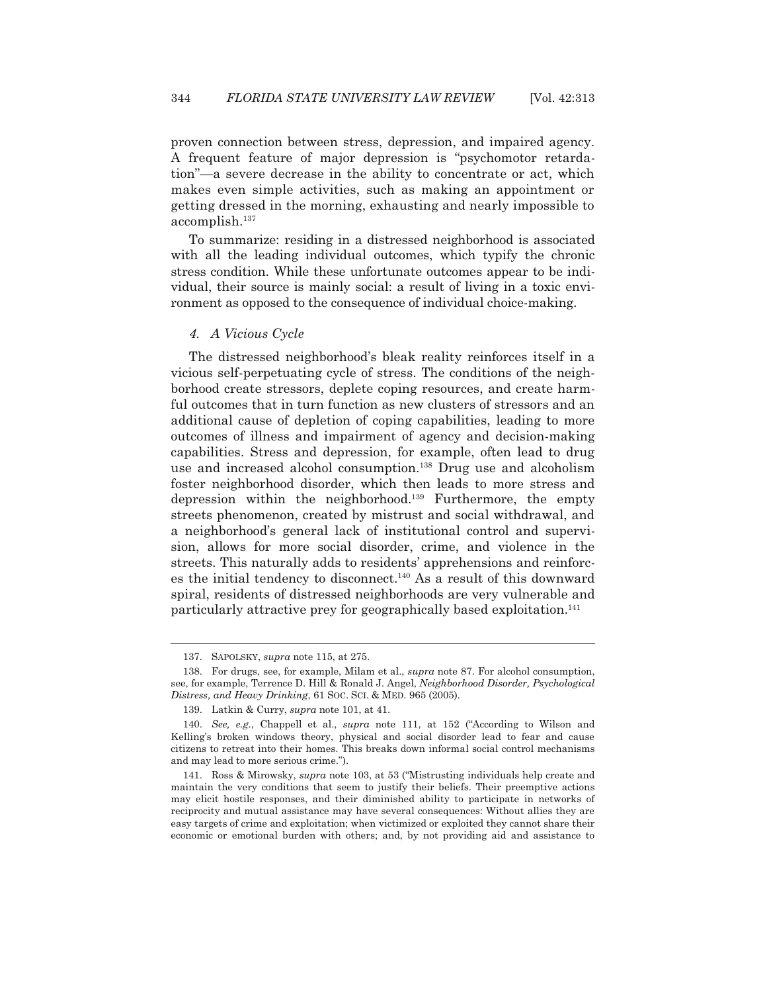proven connection between stress, depression, and impaired agency. A frequent feature of major depression is "psychomotor retardation"—a severe decrease in the ability to concentrate or act, which makes even simple activities, such as making an appointment or getting dressed in the morning, exhausting and nearly impossible to accomplish.137

 To summarize: residing in a distressed neighborhood is associated with all the leading individual outcomes, which typify the chronic stress condition. While these unfortunate outcomes appear to be individual, their source is mainly social: a result of living in a toxic environment as opposed to the consequence of individual choice-making.

#### *4. A Vicious Cycle*

 The distressed neighborhood's bleak reality reinforces itself in a vicious self-perpetuating cycle of stress. The conditions of the neighborhood create stressors, deplete coping resources, and create harmful outcomes that in turn function as new clusters of stressors and an additional cause of depletion of coping capabilities, leading to more outcomes of illness and impairment of agency and decision-making capabilities. Stress and depression, for example, often lead to drug use and increased alcohol consumption.<sup>138</sup> Drug use and alcoholism foster neighborhood disorder, which then leads to more stress and depression within the neighborhood.139 Furthermore, the empty streets phenomenon, created by mistrust and social withdrawal, and a neighborhood's general lack of institutional control and supervision, allows for more social disorder, crime, and violence in the streets. This naturally adds to residents' apprehensions and reinforces the initial tendency to disconnect.140 As a result of this downward spiral, residents of distressed neighborhoods are very vulnerable and particularly attractive prey for geographically based exploitation.<sup>141</sup>

 <sup>137.</sup> SAPOLSKY, *supra* note 115, at 275.

 <sup>138.</sup> For drugs, see, for example, Milam et al., *supra* note 87. For alcohol consumption, see, for example, Terrence D. Hill & Ronald J. Angel, *Neighborhood Disorder, Psychological Distress, and Heavy Drinking*, 61 SOC. SCI.&MED. 965 (2005).

 <sup>139.</sup> Latkin & Curry, *supra* note 101, at 41.

 <sup>140.</sup> *See, e.g.*, Chappell et al., *supra* note 111, at 152 ("According to Wilson and Kelling's broken windows theory, physical and social disorder lead to fear and cause citizens to retreat into their homes. This breaks down informal social control mechanisms and may lead to more serious crime.").

 <sup>141.</sup> Ross & Mirowsky, *supra* note 103, at 53 ("Mistrusting individuals help create and maintain the very conditions that seem to justify their beliefs. Their preemptive actions may elicit hostile responses, and their diminished ability to participate in networks of reciprocity and mutual assistance may have several consequences: Without allies they are easy targets of crime and exploitation; when victimized or exploited they cannot share their economic or emotional burden with others; and, by not providing aid and assistance to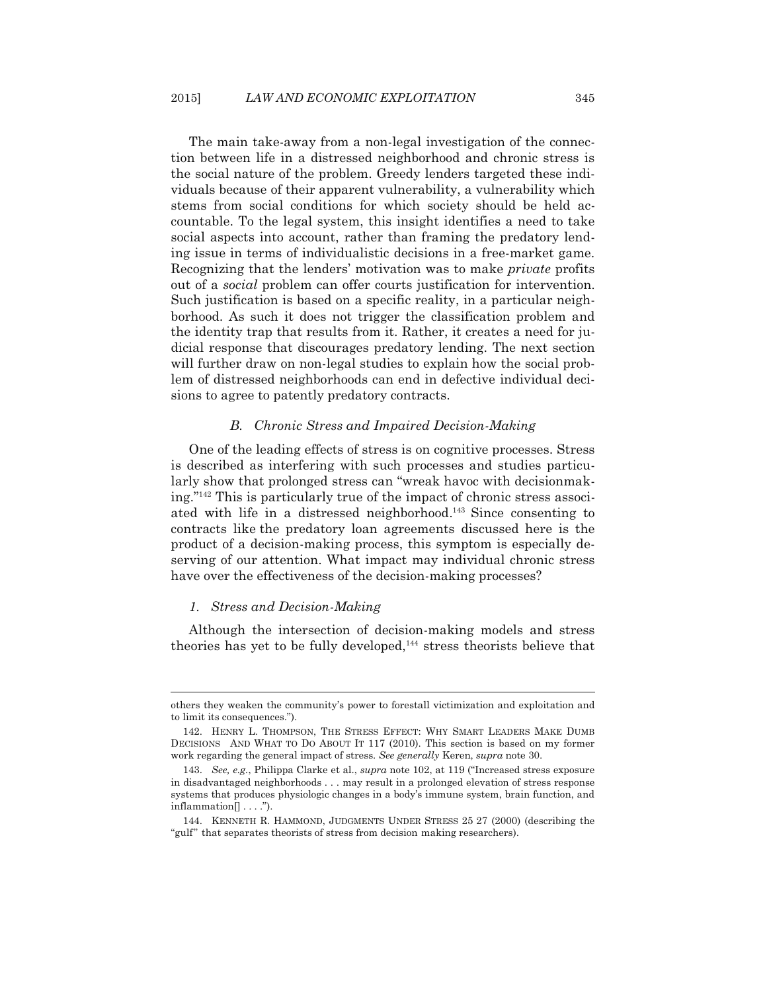The main take-away from a non-legal investigation of the connection between life in a distressed neighborhood and chronic stress is the social nature of the problem. Greedy lenders targeted these individuals because of their apparent vulnerability, a vulnerability which stems from social conditions for which society should be held accountable. To the legal system, this insight identifies a need to take social aspects into account, rather than framing the predatory lending issue in terms of individualistic decisions in a free-market game. Recognizing that the lenders' motivation was to make *private* profits out of a *social* problem can offer courts justification for intervention. Such justification is based on a specific reality, in a particular neighborhood. As such it does not trigger the classification problem and the identity trap that results from it. Rather, it creates a need for judicial response that discourages predatory lending. The next section will further draw on non-legal studies to explain how the social problem of distressed neighborhoods can end in defective individual decisions to agree to patently predatory contracts.

## *B. Chronic Stress and Impaired Decision-Making*

One of the leading effects of stress is on cognitive processes. Stress is described as interfering with such processes and studies particularly show that prolonged stress can "wreak havoc with decisionmaking."142 This is particularly true of the impact of chronic stress associated with life in a distressed neighborhood.143 Since consenting to contracts like the predatory loan agreements discussed here is the product of a decision-making process, this symptom is especially deserving of our attention. What impact may individual chronic stress have over the effectiveness of the decision-making processes?

## *1. Stress and Decision-Making*

 $\overline{a}$ 

 Although the intersection of decision-making models and stress theories has yet to be fully developed,<sup>144</sup> stress theorists believe that

others they weaken the community's power to forestall victimization and exploitation and to limit its consequences.").

 <sup>142.</sup> HENRY L. THOMPSON, THE STRESS EFFECT: WHY SMART LEADERS MAKE DUMB DECISIONS AND WHAT TO DO ABOUT IT 117 (2010). This section is based on my former work regarding the general impact of stress. *See generally* Keren, *supra* note 30.

 <sup>143.</sup> *See, e.g.*, Philippa Clarke et al., *supra* note 102, at 119 ("Increased stress exposure in disadvantaged neighborhoods . . . may result in a prolonged elevation of stress response systems that produces physiologic changes in a body's immune system, brain function, and inflammation[] . . . .").

 <sup>144.</sup> KENNETH R. HAMMOND, JUDGMENTS UNDER STRESS 25 27 (2000) (describing the "gulf" that separates theorists of stress from decision making researchers).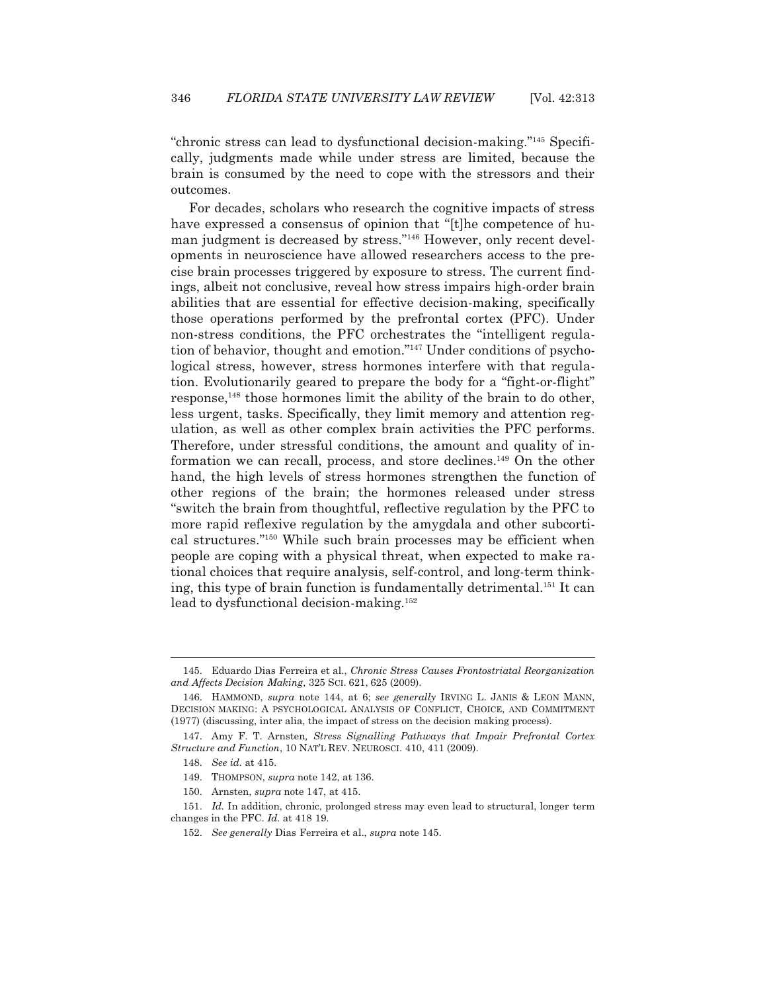"chronic stress can lead to dysfunctional decision-making."145 Specifically, judgments made while under stress are limited, because the brain is consumed by the need to cope with the stressors and their outcomes.

 For decades, scholars who research the cognitive impacts of stress have expressed a consensus of opinion that "[t]he competence of human judgment is decreased by stress."<sup>146</sup> However, only recent developments in neuroscience have allowed researchers access to the precise brain processes triggered by exposure to stress. The current findings, albeit not conclusive, reveal how stress impairs high-order brain abilities that are essential for effective decision-making, specifically those operations performed by the prefrontal cortex (PFC). Under non-stress conditions, the PFC orchestrates the "intelligent regulation of behavior, thought and emotion."147 Under conditions of psychological stress, however, stress hormones interfere with that regulation. Evolutionarily geared to prepare the body for a "fight-or-flight" response,148 those hormones limit the ability of the brain to do other, less urgent, tasks. Specifically, they limit memory and attention regulation, as well as other complex brain activities the PFC performs. Therefore, under stressful conditions, the amount and quality of information we can recall, process, and store declines.149 On the other hand, the high levels of stress hormones strengthen the function of other regions of the brain; the hormones released under stress "switch the brain from thoughtful, reflective regulation by the PFC to more rapid reflexive regulation by the amygdala and other subcortical structures."150 While such brain processes may be efficient when people are coping with a physical threat, when expected to make rational choices that require analysis, self-control, and long-term thinking, this type of brain function is fundamentally detrimental.151 It can lead to dysfunctional decision-making.152

 <sup>145.</sup> Eduardo Dias Ferreira et al., *Chronic Stress Causes Frontostriatal Reorganization and Affects Decision Making*, 325 SCI. 621, 625 (2009).

 <sup>146.</sup> HAMMOND, *supra* note 144, at 6; *see generally* IRVING L. JANIS & LEON MANN, DECISION MAKING: A PSYCHOLOGICAL ANALYSIS OF CONFLICT, CHOICE, AND COMMITMENT (1977) (discussing, inter alia, the impact of stress on the decision making process).

 <sup>147.</sup> Amy F. T. Arnsten*, Stress Signalling Pathways that Impair Prefrontal Cortex Structure and Function*, 10 NAT'L REV. NEUROSCI. 410, 411 (2009).

 <sup>148.</sup> *See id.* at 415.

 <sup>149.</sup> THOMPSON, *supra* note 142, at 136.

 <sup>150.</sup> Arnsten, *supra* note 147, at 415.

 <sup>151.</sup> *Id.* In addition, chronic, prolonged stress may even lead to structural, longer term changes in the PFC. *Id.* at 418 19.

 <sup>152.</sup> *See generally* Dias Ferreira et al., *supra* note 145.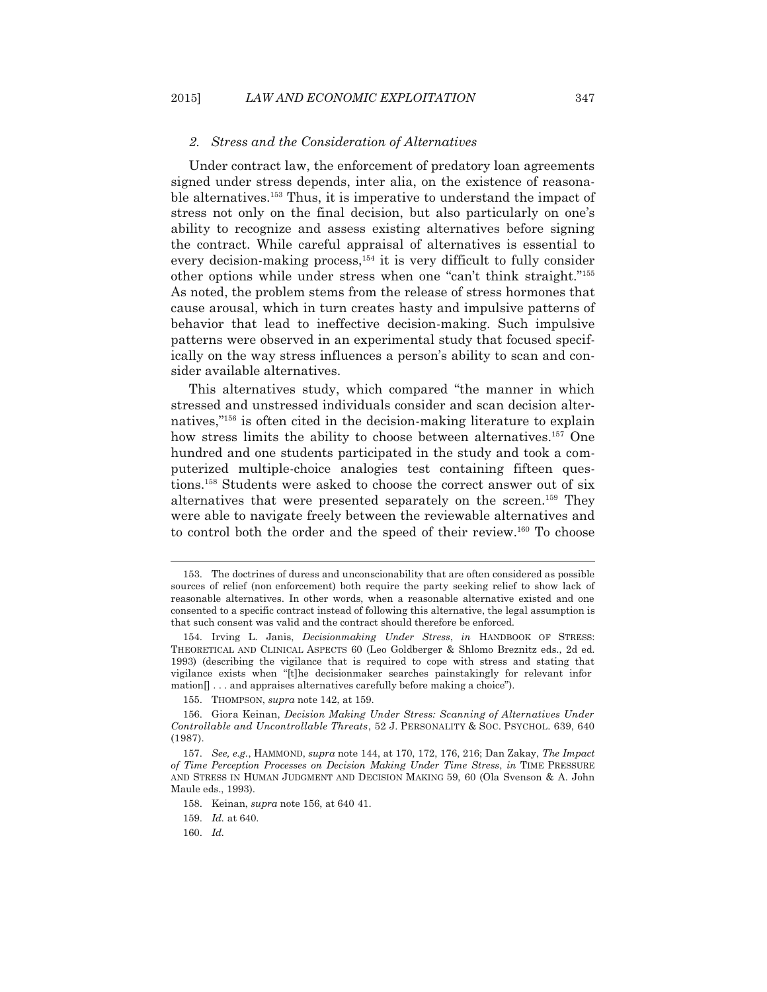#### *2. Stress and the Consideration of Alternatives*

 Under contract law, the enforcement of predatory loan agreements signed under stress depends, inter alia, on the existence of reasonable alternatives.153 Thus, it is imperative to understand the impact of stress not only on the final decision, but also particularly on one's ability to recognize and assess existing alternatives before signing the contract. While careful appraisal of alternatives is essential to every decision-making process,<sup>154</sup> it is very difficult to fully consider other options while under stress when one "can't think straight."155 As noted, the problem stems from the release of stress hormones that cause arousal, which in turn creates hasty and impulsive patterns of behavior that lead to ineffective decision-making. Such impulsive patterns were observed in an experimental study that focused specifically on the way stress influences a person's ability to scan and consider available alternatives.

 This alternatives study, which compared "the manner in which stressed and unstressed individuals consider and scan decision alternatives,"156 is often cited in the decision-making literature to explain how stress limits the ability to choose between alternatives.<sup>157</sup> One hundred and one students participated in the study and took a computerized multiple-choice analogies test containing fifteen questions.158 Students were asked to choose the correct answer out of six alternatives that were presented separately on the screen.<sup>159</sup> They were able to navigate freely between the reviewable alternatives and to control both the order and the speed of their review.160 To choose

 <sup>153.</sup> The doctrines of duress and unconscionability that are often considered as possible sources of relief (non enforcement) both require the party seeking relief to show lack of reasonable alternatives. In other words, when a reasonable alternative existed and one consented to a specific contract instead of following this alternative, the legal assumption is that such consent was valid and the contract should therefore be enforced.

 <sup>154.</sup> Irving L. Janis, *Decisionmaking Under Stress*, *in* HANDBOOK OF STRESS: THEORETICAL AND CLINICAL ASPECTS 60 (Leo Goldberger & Shlomo Breznitz eds., 2d ed. 1993) (describing the vigilance that is required to cope with stress and stating that vigilance exists when "[t]he decisionmaker searches painstakingly for relevant infor mation[] . . . and appraises alternatives carefully before making a choice").

 <sup>155.</sup> THOMPSON, *supra* note 142, at 159.

 <sup>156.</sup> Giora Keinan, *Decision Making Under Stress: Scanning of Alternatives Under Controllable and Uncontrollable Threats*, 52 J. PERSONALITY & SOC. PSYCHOL. 639, 640 (1987).

 <sup>157.</sup> *See, e.g.*, HAMMOND, *supra* note 144, at 170, 172, 176, 216; Dan Zakay, *The Impact of Time Perception Processes on Decision Making Under Time Stress*, *in* TIME PRESSURE AND STRESS IN HUMAN JUDGMENT AND DECISION MAKING 59, 60 (Ola Svenson & A. John Maule eds., 1993).

 <sup>158.</sup> Keinan, *supra* note 156, at 640 41.

 <sup>159.</sup> *Id.* at 640.

 <sup>160.</sup> *Id.*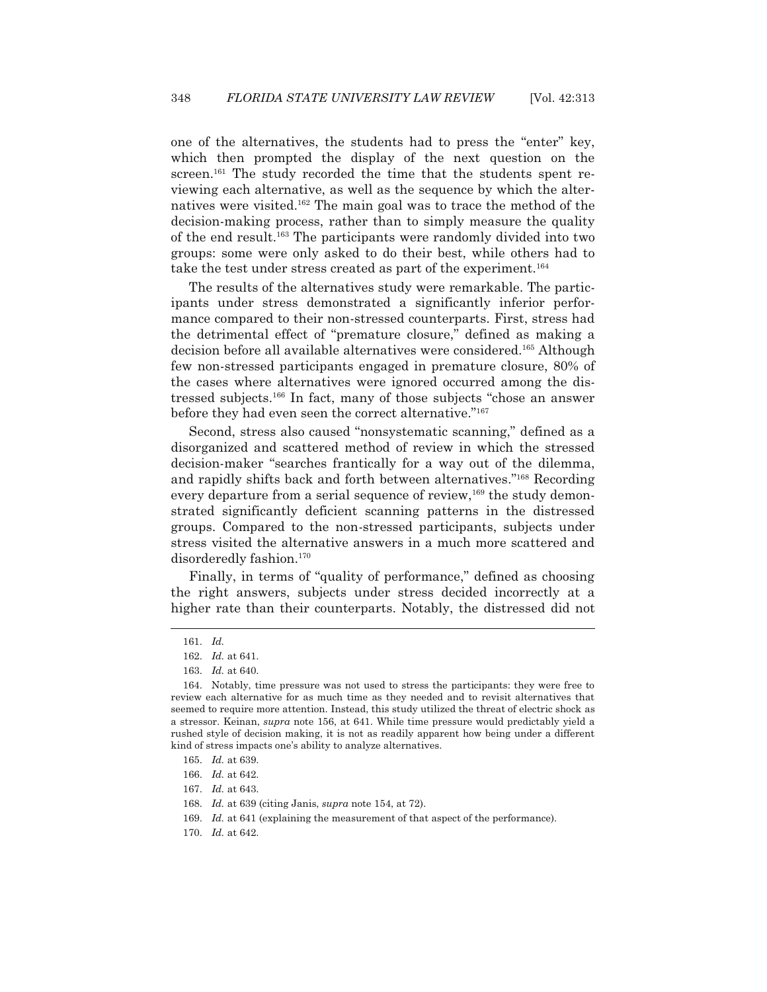one of the alternatives, the students had to press the "enter" key, which then prompted the display of the next question on the screen.<sup>161</sup> The study recorded the time that the students spent reviewing each alternative, as well as the sequence by which the alternatives were visited.162 The main goal was to trace the method of the decision-making process, rather than to simply measure the quality of the end result.163 The participants were randomly divided into two groups: some were only asked to do their best, while others had to take the test under stress created as part of the experiment.<sup>164</sup>

 The results of the alternatives study were remarkable. The participants under stress demonstrated a significantly inferior performance compared to their non-stressed counterparts. First, stress had the detrimental effect of "premature closure," defined as making a decision before all available alternatives were considered.165 Although few non-stressed participants engaged in premature closure, 80% of the cases where alternatives were ignored occurred among the distressed subjects.166 In fact, many of those subjects "chose an answer before they had even seen the correct alternative."167

 Second, stress also caused "nonsystematic scanning," defined as a disorganized and scattered method of review in which the stressed decision-maker "searches frantically for a way out of the dilemma, and rapidly shifts back and forth between alternatives."168 Recording every departure from a serial sequence of review,<sup>169</sup> the study demonstrated significantly deficient scanning patterns in the distressed groups. Compared to the non-stressed participants, subjects under stress visited the alternative answers in a much more scattered and disorderedly fashion.<sup>170</sup>

 Finally, in terms of "quality of performance," defined as choosing the right answers, subjects under stress decided incorrectly at a higher rate than their counterparts. Notably, the distressed did not

 <sup>161.</sup> *Id.*

 <sup>162.</sup> *Id.* at 641.

 <sup>163.</sup> *Id.* at 640.

 <sup>164.</sup> Notably, time pressure was not used to stress the participants: they were free to review each alternative for as much time as they needed and to revisit alternatives that seemed to require more attention. Instead, this study utilized the threat of electric shock as a stressor. Keinan, *supra* note 156, at 641. While time pressure would predictably yield a rushed style of decision making, it is not as readily apparent how being under a different kind of stress impacts one's ability to analyze alternatives.

<sup>165.</sup> *Id.* at 639.

 <sup>166.</sup> *Id.* at 642.

 <sup>167.</sup> *Id.* at 643.

 <sup>168.</sup> *Id.* at 639 (citing Janis, *supra* note 154, at 72).

 <sup>169.</sup> *Id.* at 641 (explaining the measurement of that aspect of the performance).

 <sup>170.</sup> *Id.* at 642.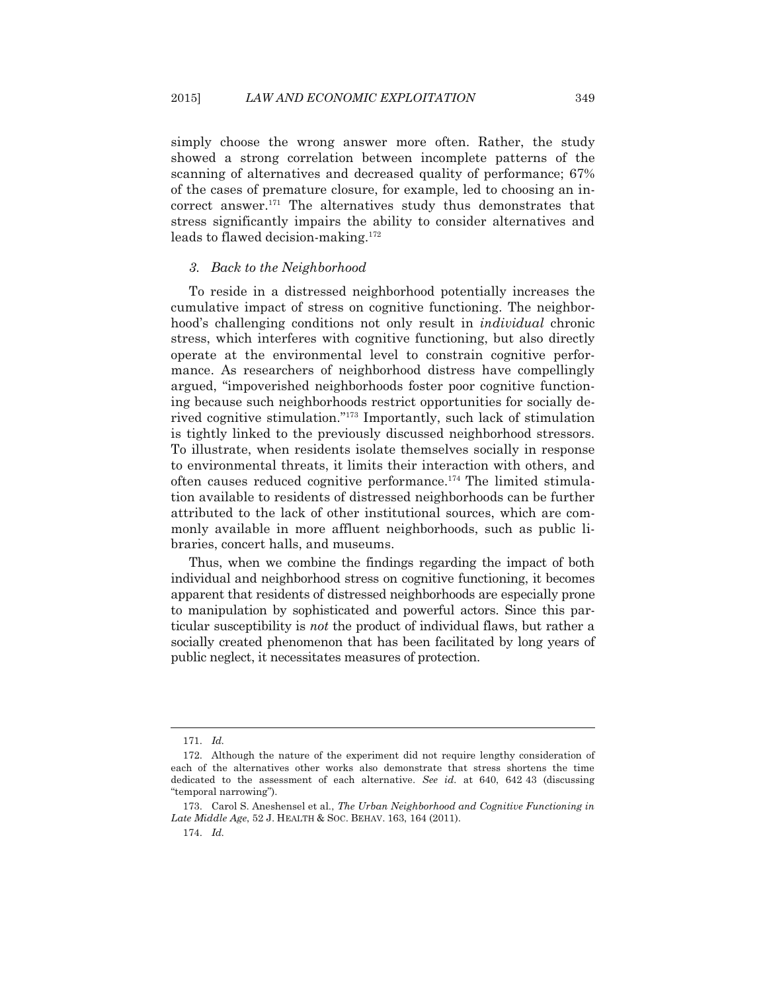simply choose the wrong answer more often. Rather, the study showed a strong correlation between incomplete patterns of the scanning of alternatives and decreased quality of performance; 67% of the cases of premature closure, for example, led to choosing an incorrect answer.171 The alternatives study thus demonstrates that stress significantly impairs the ability to consider alternatives and leads to flawed decision-making.172

### *3. Back to the Neighborhood*

 To reside in a distressed neighborhood potentially increases the cumulative impact of stress on cognitive functioning. The neighborhood's challenging conditions not only result in *individual* chronic stress, which interferes with cognitive functioning, but also directly operate at the environmental level to constrain cognitive performance. As researchers of neighborhood distress have compellingly argued, "impoverished neighborhoods foster poor cognitive functioning because such neighborhoods restrict opportunities for socially derived cognitive stimulation."173 Importantly, such lack of stimulation is tightly linked to the previously discussed neighborhood stressors. To illustrate, when residents isolate themselves socially in response to environmental threats, it limits their interaction with others, and often causes reduced cognitive performance.174 The limited stimulation available to residents of distressed neighborhoods can be further attributed to the lack of other institutional sources, which are commonly available in more affluent neighborhoods, such as public libraries, concert halls, and museums.

 Thus, when we combine the findings regarding the impact of both individual and neighborhood stress on cognitive functioning, it becomes apparent that residents of distressed neighborhoods are especially prone to manipulation by sophisticated and powerful actors. Since this particular susceptibility is *not* the product of individual flaws, but rather a socially created phenomenon that has been facilitated by long years of public neglect, it necessitates measures of protection.

 <sup>171.</sup> *Id.*

 <sup>172.</sup> Although the nature of the experiment did not require lengthy consideration of each of the alternatives other works also demonstrate that stress shortens the time dedicated to the assessment of each alternative. *See id.* at 640, 642 43 (discussing "temporal narrowing").

 <sup>173.</sup> Carol S. Aneshensel et al., *The Urban Neighborhood and Cognitive Functioning in Late Middle Age*, 52 J. HEALTH & SOC. BEHAV. 163, 164 (2011).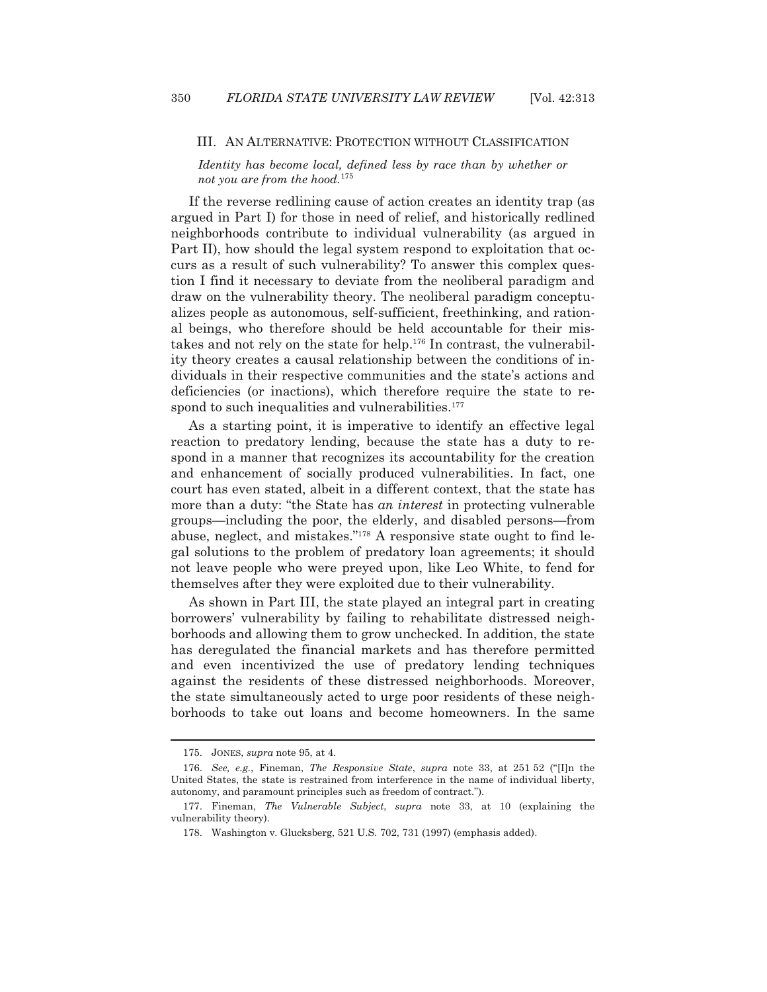#### III. AN ALTERNATIVE: PROTECTION WITHOUT CLASSIFICATION

*Identity has become local, defined less by race than by whether or not you are from the hood.*<sup>175</sup>

 If the reverse redlining cause of action creates an identity trap (as argued in Part I) for those in need of relief, and historically redlined neighborhoods contribute to individual vulnerability (as argued in Part II), how should the legal system respond to exploitation that occurs as a result of such vulnerability? To answer this complex question I find it necessary to deviate from the neoliberal paradigm and draw on the vulnerability theory. The neoliberal paradigm conceptualizes people as autonomous, self-sufficient, freethinking, and rational beings, who therefore should be held accountable for their mistakes and not rely on the state for help.<sup>176</sup> In contrast, the vulnerability theory creates a causal relationship between the conditions of individuals in their respective communities and the state's actions and deficiencies (or inactions), which therefore require the state to respond to such inequalities and vulnerabilities.<sup>177</sup>

 As a starting point, it is imperative to identify an effective legal reaction to predatory lending, because the state has a duty to respond in a manner that recognizes its accountability for the creation and enhancement of socially produced vulnerabilities. In fact, one court has even stated, albeit in a different context, that the state has more than a duty: "the State has *an interest* in protecting vulnerable groups—including the poor, the elderly, and disabled persons—from abuse, neglect, and mistakes."178 A responsive state ought to find legal solutions to the problem of predatory loan agreements; it should not leave people who were preyed upon, like Leo White, to fend for themselves after they were exploited due to their vulnerability.

 As shown in Part III, the state played an integral part in creating borrowers' vulnerability by failing to rehabilitate distressed neighborhoods and allowing them to grow unchecked. In addition, the state has deregulated the financial markets and has therefore permitted and even incentivized the use of predatory lending techniques against the residents of these distressed neighborhoods. Moreover, the state simultaneously acted to urge poor residents of these neighborhoods to take out loans and become homeowners. In the same

 <sup>175.</sup> JONES, *supra* note 95, at 4.

 <sup>176.</sup> *See, e.g.*, Fineman, *The Responsive State*, *supra* note 33, at 251 52 ("[I]n the United States, the state is restrained from interference in the name of individual liberty, autonomy, and paramount principles such as freedom of contract.").

 <sup>177.</sup> Fineman, *The Vulnerable Subject*, *supra* note 33, at 10 (explaining the vulnerability theory).

 <sup>178.</sup> Washington v. Glucksberg, 521 U.S. 702, 731 (1997) (emphasis added).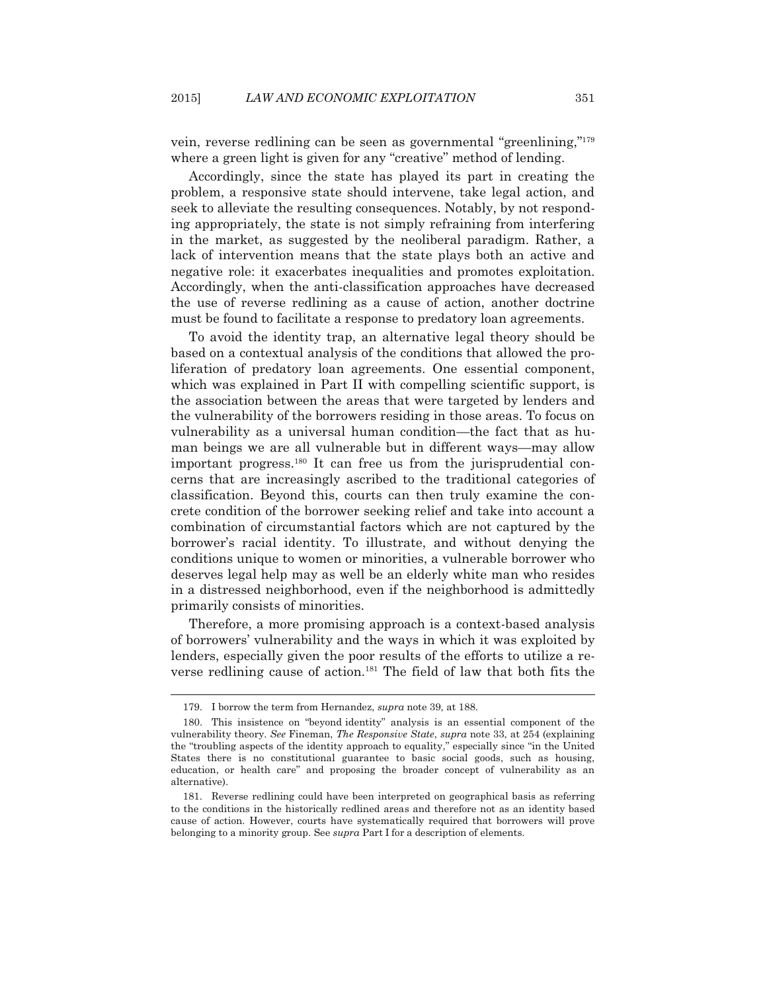vein, reverse redlining can be seen as governmental "greenlining,"179 where a green light is given for any "creative" method of lending.

 Accordingly, since the state has played its part in creating the problem, a responsive state should intervene, take legal action, and seek to alleviate the resulting consequences. Notably, by not responding appropriately, the state is not simply refraining from interfering in the market, as suggested by the neoliberal paradigm. Rather, a lack of intervention means that the state plays both an active and negative role: it exacerbates inequalities and promotes exploitation. Accordingly, when the anti-classification approaches have decreased the use of reverse redlining as a cause of action, another doctrine must be found to facilitate a response to predatory loan agreements.

 To avoid the identity trap, an alternative legal theory should be based on a contextual analysis of the conditions that allowed the proliferation of predatory loan agreements. One essential component, which was explained in Part II with compelling scientific support, is the association between the areas that were targeted by lenders and the vulnerability of the borrowers residing in those areas. To focus on vulnerability as a universal human condition—the fact that as human beings we are all vulnerable but in different ways—may allow important progress.<sup>180</sup> It can free us from the jurisprudential concerns that are increasingly ascribed to the traditional categories of classification. Beyond this, courts can then truly examine the concrete condition of the borrower seeking relief and take into account a combination of circumstantial factors which are not captured by the borrower's racial identity. To illustrate, and without denying the conditions unique to women or minorities, a vulnerable borrower who deserves legal help may as well be an elderly white man who resides in a distressed neighborhood, even if the neighborhood is admittedly primarily consists of minorities.

 Therefore, a more promising approach is a context-based analysis of borrowers' vulnerability and the ways in which it was exploited by lenders, especially given the poor results of the efforts to utilize a reverse redlining cause of action.181 The field of law that both fits the

 <sup>179.</sup> I borrow the term from Hernandez, *supra* note 39, at 188.

 <sup>180.</sup> This insistence on "beyond identity" analysis is an essential component of the vulnerability theory. *See* Fineman, *The Responsive State*, *supra* note 33, at 254 (explaining the "troubling aspects of the identity approach to equality," especially since "in the United States there is no constitutional guarantee to basic social goods, such as housing, education, or health care" and proposing the broader concept of vulnerability as an alternative).

 <sup>181.</sup> Reverse redlining could have been interpreted on geographical basis as referring to the conditions in the historically redlined areas and therefore not as an identity based cause of action. However, courts have systematically required that borrowers will prove belonging to a minority group. See *supra* Part I for a description of elements.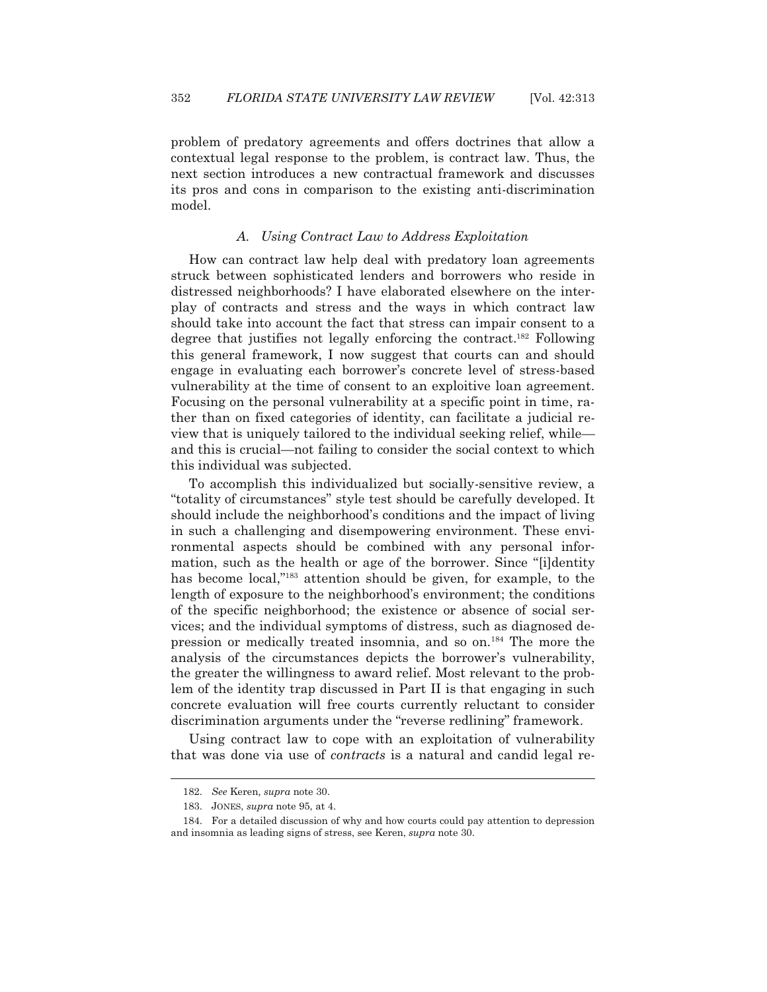problem of predatory agreements and offers doctrines that allow a contextual legal response to the problem, is contract law. Thus, the next section introduces a new contractual framework and discusses its pros and cons in comparison to the existing anti-discrimination model.

## *A. Using Contract Law to Address Exploitation*

 How can contract law help deal with predatory loan agreements struck between sophisticated lenders and borrowers who reside in distressed neighborhoods? I have elaborated elsewhere on the interplay of contracts and stress and the ways in which contract law should take into account the fact that stress can impair consent to a degree that justifies not legally enforcing the contract.182 Following this general framework, I now suggest that courts can and should engage in evaluating each borrower's concrete level of stress-based vulnerability at the time of consent to an exploitive loan agreement. Focusing on the personal vulnerability at a specific point in time, rather than on fixed categories of identity, can facilitate a judicial review that is uniquely tailored to the individual seeking relief, while and this is crucial—not failing to consider the social context to which this individual was subjected.

 To accomplish this individualized but socially-sensitive review, a "totality of circumstances" style test should be carefully developed. It should include the neighborhood's conditions and the impact of living in such a challenging and disempowering environment. These environmental aspects should be combined with any personal information, such as the health or age of the borrower. Since "[i]dentity has become local,"<sup>183</sup> attention should be given, for example, to the length of exposure to the neighborhood's environment; the conditions of the specific neighborhood; the existence or absence of social services; and the individual symptoms of distress, such as diagnosed depression or medically treated insomnia, and so on.184 The more the analysis of the circumstances depicts the borrower's vulnerability, the greater the willingness to award relief. Most relevant to the problem of the identity trap discussed in Part II is that engaging in such concrete evaluation will free courts currently reluctant to consider discrimination arguments under the "reverse redlining" framework.

 Using contract law to cope with an exploitation of vulnerability that was done via use of *contracts* is a natural and candid legal re-

 <sup>182.</sup> *See* Keren*, supra* note 30.

 <sup>183.</sup> JONES, *supra* note 95, at 4.

 <sup>184.</sup> For a detailed discussion of why and how courts could pay attention to depression and insomnia as leading signs of stress, see Keren, *supra* note 30.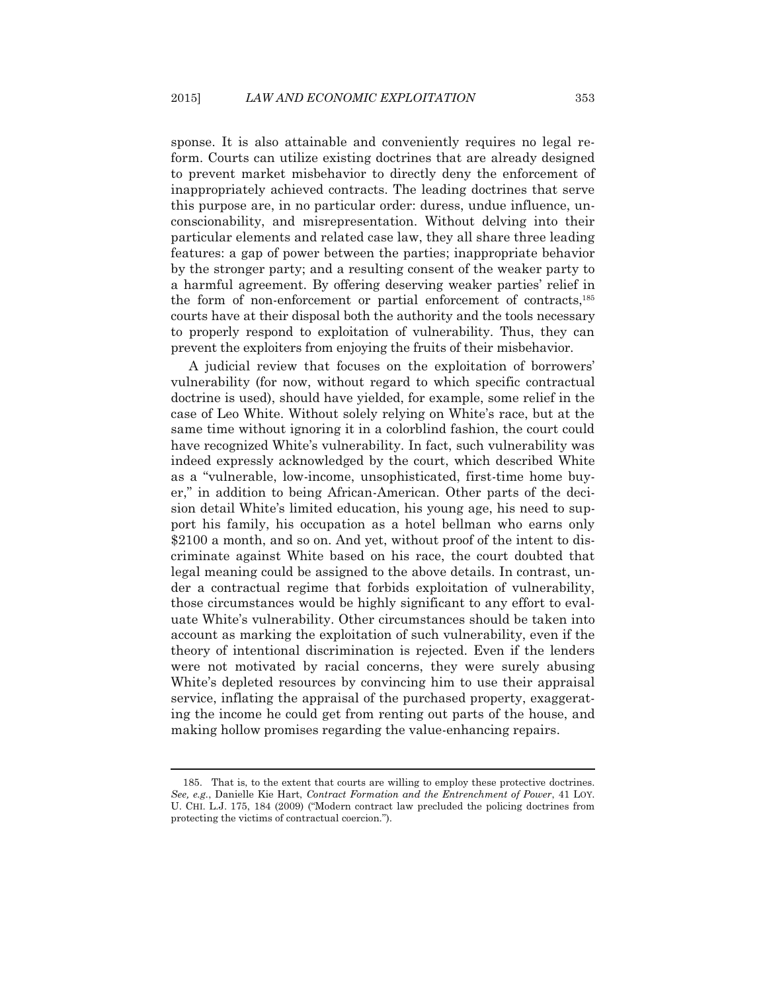sponse. It is also attainable and conveniently requires no legal reform. Courts can utilize existing doctrines that are already designed to prevent market misbehavior to directly deny the enforcement of inappropriately achieved contracts. The leading doctrines that serve this purpose are, in no particular order: duress, undue influence, unconscionability, and misrepresentation. Without delving into their particular elements and related case law, they all share three leading features: a gap of power between the parties; inappropriate behavior by the stronger party; and a resulting consent of the weaker party to a harmful agreement. By offering deserving weaker parties' relief in the form of non-enforcement or partial enforcement of contracts,185 courts have at their disposal both the authority and the tools necessary to properly respond to exploitation of vulnerability. Thus, they can prevent the exploiters from enjoying the fruits of their misbehavior.

 A judicial review that focuses on the exploitation of borrowers' vulnerability (for now, without regard to which specific contractual doctrine is used), should have yielded, for example, some relief in the case of Leo White. Without solely relying on White's race, but at the same time without ignoring it in a colorblind fashion, the court could have recognized White's vulnerability. In fact, such vulnerability was indeed expressly acknowledged by the court, which described White as a "vulnerable, low-income, unsophisticated, first-time home buyer," in addition to being African-American. Other parts of the decision detail White's limited education, his young age, his need to support his family, his occupation as a hotel bellman who earns only \$2100 a month, and so on. And yet, without proof of the intent to discriminate against White based on his race, the court doubted that legal meaning could be assigned to the above details. In contrast, under a contractual regime that forbids exploitation of vulnerability, those circumstances would be highly significant to any effort to evaluate White's vulnerability. Other circumstances should be taken into account as marking the exploitation of such vulnerability, even if the theory of intentional discrimination is rejected. Even if the lenders were not motivated by racial concerns, they were surely abusing White's depleted resources by convincing him to use their appraisal service, inflating the appraisal of the purchased property, exaggerating the income he could get from renting out parts of the house, and making hollow promises regarding the value-enhancing repairs.

 <sup>185.</sup> That is, to the extent that courts are willing to employ these protective doctrines. *See, e.g.*, Danielle Kie Hart, *Contract Formation and the Entrenchment of Power*, 41 LOY. U. CHI. L.J. 175, 184 (2009) ("Modern contract law precluded the policing doctrines from protecting the victims of contractual coercion.").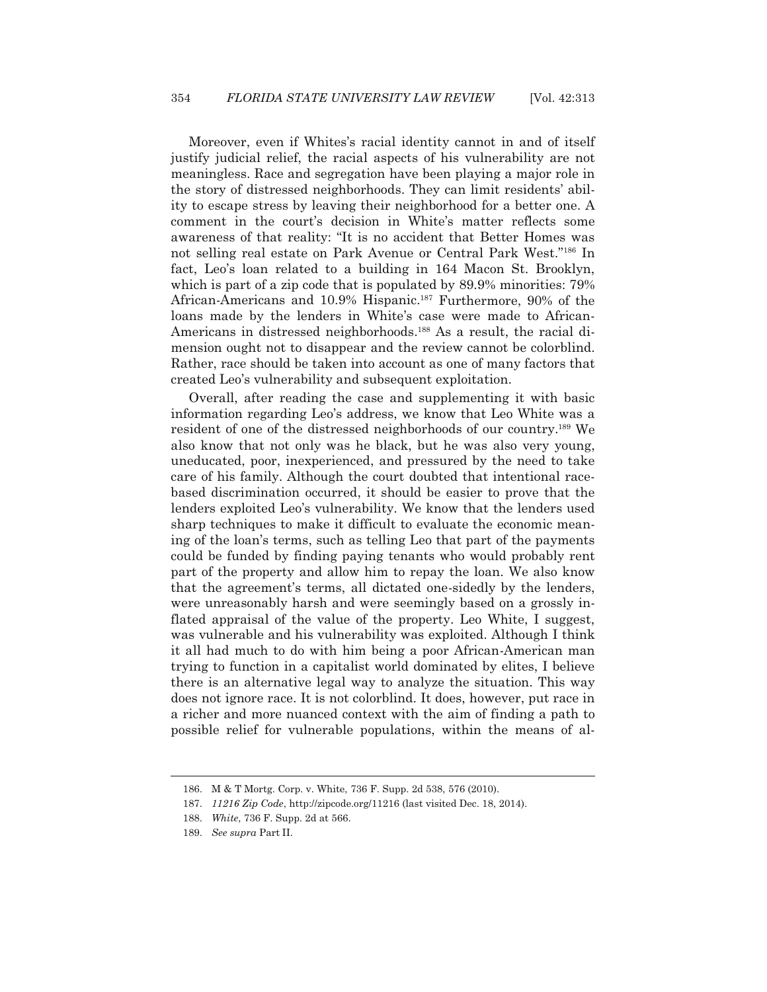Moreover, even if Whites's racial identity cannot in and of itself justify judicial relief, the racial aspects of his vulnerability are not meaningless. Race and segregation have been playing a major role in the story of distressed neighborhoods. They can limit residents' ability to escape stress by leaving their neighborhood for a better one. A comment in the court's decision in White's matter reflects some awareness of that reality: "It is no accident that Better Homes was not selling real estate on Park Avenue or Central Park West."186 In fact, Leo's loan related to a building in 164 Macon St. Brooklyn, which is part of a zip code that is populated by 89.9% minorities:  $79\%$ African-Americans and 10.9% Hispanic.<sup>187</sup> Furthermore, 90% of the loans made by the lenders in White's case were made to African-Americans in distressed neighborhoods.<sup>188</sup> As a result, the racial dimension ought not to disappear and the review cannot be colorblind. Rather, race should be taken into account as one of many factors that created Leo's vulnerability and subsequent exploitation.

 Overall, after reading the case and supplementing it with basic information regarding Leo's address, we know that Leo White was a resident of one of the distressed neighborhoods of our country.189 We also know that not only was he black, but he was also very young, uneducated, poor, inexperienced, and pressured by the need to take care of his family. Although the court doubted that intentional racebased discrimination occurred, it should be easier to prove that the lenders exploited Leo's vulnerability. We know that the lenders used sharp techniques to make it difficult to evaluate the economic meaning of the loan's terms, such as telling Leo that part of the payments could be funded by finding paying tenants who would probably rent part of the property and allow him to repay the loan. We also know that the agreement's terms, all dictated one-sidedly by the lenders, were unreasonably harsh and were seemingly based on a grossly inflated appraisal of the value of the property. Leo White, I suggest, was vulnerable and his vulnerability was exploited. Although I think it all had much to do with him being a poor African-American man trying to function in a capitalist world dominated by elites, I believe there is an alternative legal way to analyze the situation. This way does not ignore race. It is not colorblind. It does, however, put race in a richer and more nuanced context with the aim of finding a path to possible relief for vulnerable populations, within the means of al-

 <sup>186.</sup> M & T Mortg. Corp. v. White, 736 F. Supp. 2d 538, 576 (2010).

 <sup>187.</sup> *11216 Zip Code*, http://zipcode.org/11216 (last visited Dec. 18, 2014).

 <sup>188.</sup> *White*, 736 F. Supp. 2d at 566.

 <sup>189.</sup> *See supra* Part II.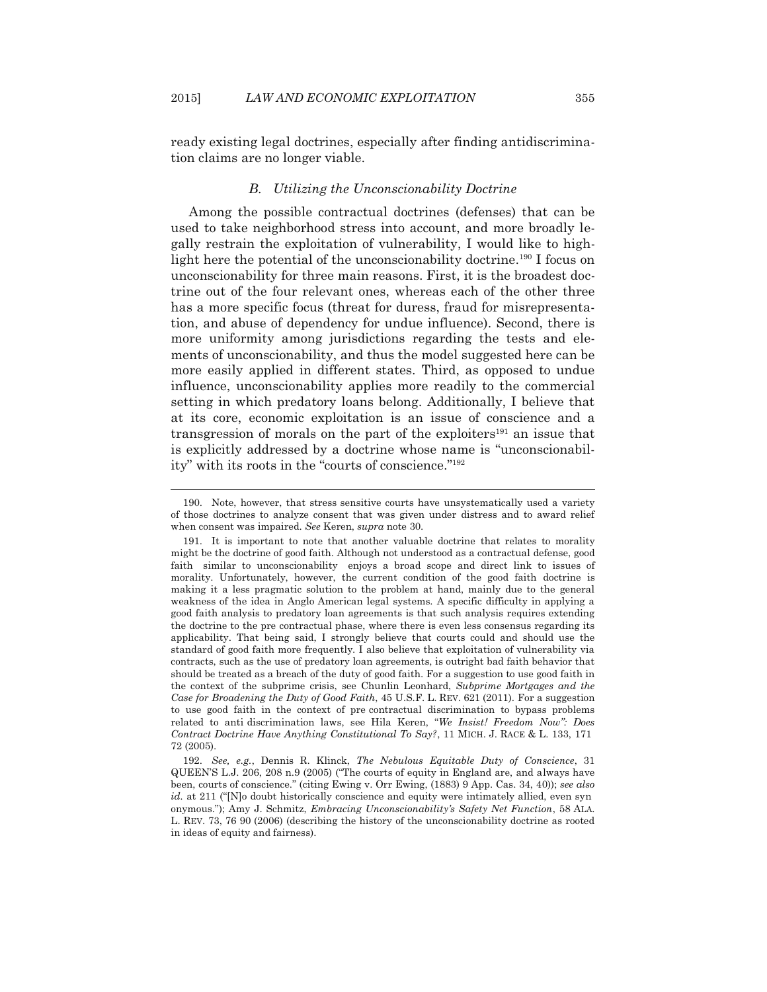ready existing legal doctrines, especially after finding antidiscrimination claims are no longer viable.

## *B. Utilizing the Unconscionability Doctrine*

Among the possible contractual doctrines (defenses) that can be used to take neighborhood stress into account, and more broadly legally restrain the exploitation of vulnerability, I would like to highlight here the potential of the unconscionability doctrine.<sup>190</sup> I focus on unconscionability for three main reasons. First, it is the broadest doctrine out of the four relevant ones, whereas each of the other three has a more specific focus (threat for duress, fraud for misrepresentation, and abuse of dependency for undue influence). Second, there is more uniformity among jurisdictions regarding the tests and elements of unconscionability, and thus the model suggested here can be more easily applied in different states. Third, as opposed to undue influence, unconscionability applies more readily to the commercial setting in which predatory loans belong. Additionally, I believe that at its core, economic exploitation is an issue of conscience and a transgression of morals on the part of the exploiters<sup>191</sup> an issue that is explicitly addressed by a doctrine whose name is "unconscionability" with its roots in the "courts of conscience."192

 <sup>190.</sup> Note, however, that stress sensitive courts have unsystematically used a variety of those doctrines to analyze consent that was given under distress and to award relief when consent was impaired. *See* Keren, *supra* note 30.

 <sup>191.</sup> It is important to note that another valuable doctrine that relates to morality might be the doctrine of good faith. Although not understood as a contractual defense, good faith similar to unconscionability enjoys a broad scope and direct link to issues of morality. Unfortunately, however, the current condition of the good faith doctrine is making it a less pragmatic solution to the problem at hand, mainly due to the general weakness of the idea in Anglo American legal systems. A specific difficulty in applying a good faith analysis to predatory loan agreements is that such analysis requires extending the doctrine to the pre contractual phase, where there is even less consensus regarding its applicability. That being said, I strongly believe that courts could and should use the standard of good faith more frequently. I also believe that exploitation of vulnerability via contracts, such as the use of predatory loan agreements, is outright bad faith behavior that should be treated as a breach of the duty of good faith. For a suggestion to use good faith in the context of the subprime crisis, see Chunlin Leonhard, *Subprime Mortgages and the Case for Broadening the Duty of Good Faith*, 45 U.S.F. L. REV. 621 (2011). For a suggestion to use good faith in the context of pre contractual discrimination to bypass problems related to anti discrimination laws, see Hila Keren, "*We Insist! Freedom Now": Does Contract Doctrine Have Anything Constitutional To Say?*, 11 MICH. J. RACE & L. 133, 171 72 (2005).

 <sup>192.</sup> *See, e.g.*, Dennis R. Klinck, *The Nebulous Equitable Duty of Conscience*, 31 QUEEN'S L.J. 206, 208 n.9 (2005) ("The courts of equity in England are, and always have been, courts of conscience." (citing Ewing v. Orr Ewing, (1883) 9 App. Cas. 34, 40)); *see also id.* at 211 ("No doubt historically conscience and equity were intimately allied, even syn onymous."); Amy J. Schmitz, *Embracing Unconscionability's Safety Net Function*, 58 ALA. L. REV. 73, 76 90 (2006) (describing the history of the unconscionability doctrine as rooted in ideas of equity and fairness).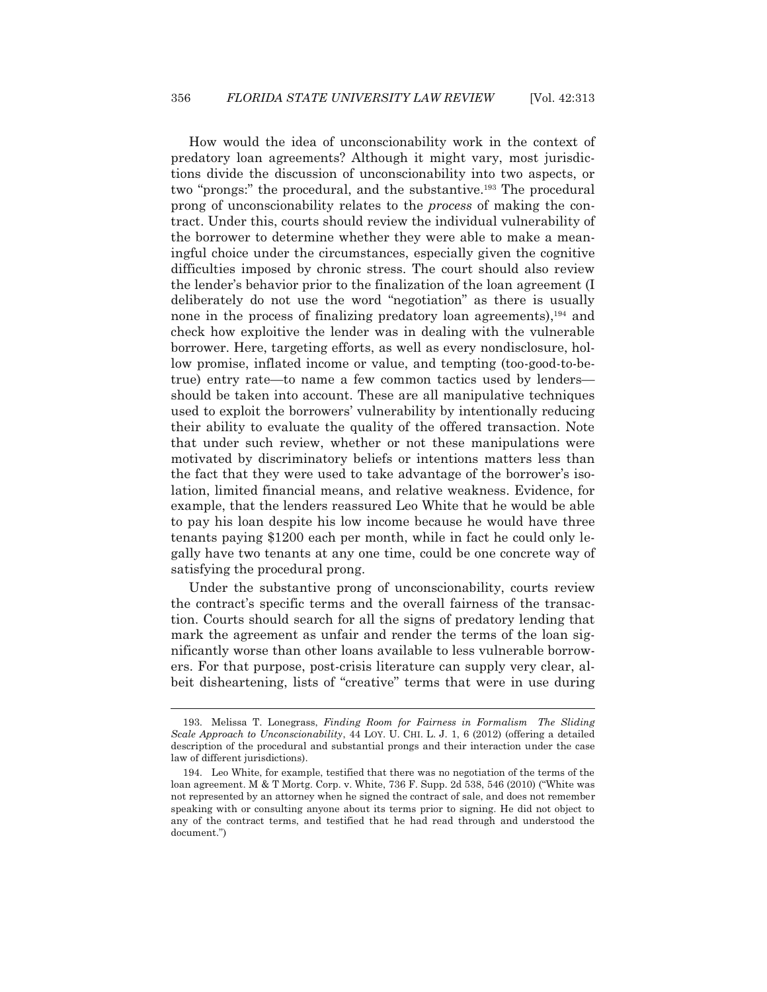How would the idea of unconscionability work in the context of predatory loan agreements? Although it might vary, most jurisdictions divide the discussion of unconscionability into two aspects, or two "prongs:" the procedural, and the substantive.<sup>193</sup> The procedural prong of unconscionability relates to the *process* of making the contract. Under this, courts should review the individual vulnerability of the borrower to determine whether they were able to make a meaningful choice under the circumstances, especially given the cognitive difficulties imposed by chronic stress. The court should also review the lender's behavior prior to the finalization of the loan agreement (I deliberately do not use the word "negotiation" as there is usually none in the process of finalizing predatory loan agreements), $194$  and check how exploitive the lender was in dealing with the vulnerable borrower. Here, targeting efforts, as well as every nondisclosure, hollow promise, inflated income or value, and tempting (too-good-to-betrue) entry rate—to name a few common tactics used by lenders should be taken into account. These are all manipulative techniques used to exploit the borrowers' vulnerability by intentionally reducing their ability to evaluate the quality of the offered transaction. Note that under such review, whether or not these manipulations were motivated by discriminatory beliefs or intentions matters less than the fact that they were used to take advantage of the borrower's isolation, limited financial means, and relative weakness. Evidence, for example, that the lenders reassured Leo White that he would be able to pay his loan despite his low income because he would have three tenants paying \$1200 each per month, while in fact he could only legally have two tenants at any one time, could be one concrete way of satisfying the procedural prong.

 Under the substantive prong of unconscionability, courts review the contract's specific terms and the overall fairness of the transaction. Courts should search for all the signs of predatory lending that mark the agreement as unfair and render the terms of the loan significantly worse than other loans available to less vulnerable borrowers. For that purpose, post-crisis literature can supply very clear, albeit disheartening, lists of "creative" terms that were in use during

 <sup>193.</sup> Melissa T. Lonegrass, *Finding Room for Fairness in Formalism The Sliding Scale Approach to Unconscionability*, 44 LOY. U. CHI. L. J. 1, 6 (2012) (offering a detailed description of the procedural and substantial prongs and their interaction under the case law of different jurisdictions).

 <sup>194.</sup> Leo White, for example, testified that there was no negotiation of the terms of the loan agreement. M & T Mortg. Corp. v. White, 736 F. Supp. 2d 538, 546 (2010) ("White was not represented by an attorney when he signed the contract of sale, and does not remember speaking with or consulting anyone about its terms prior to signing. He did not object to any of the contract terms, and testified that he had read through and understood the document.")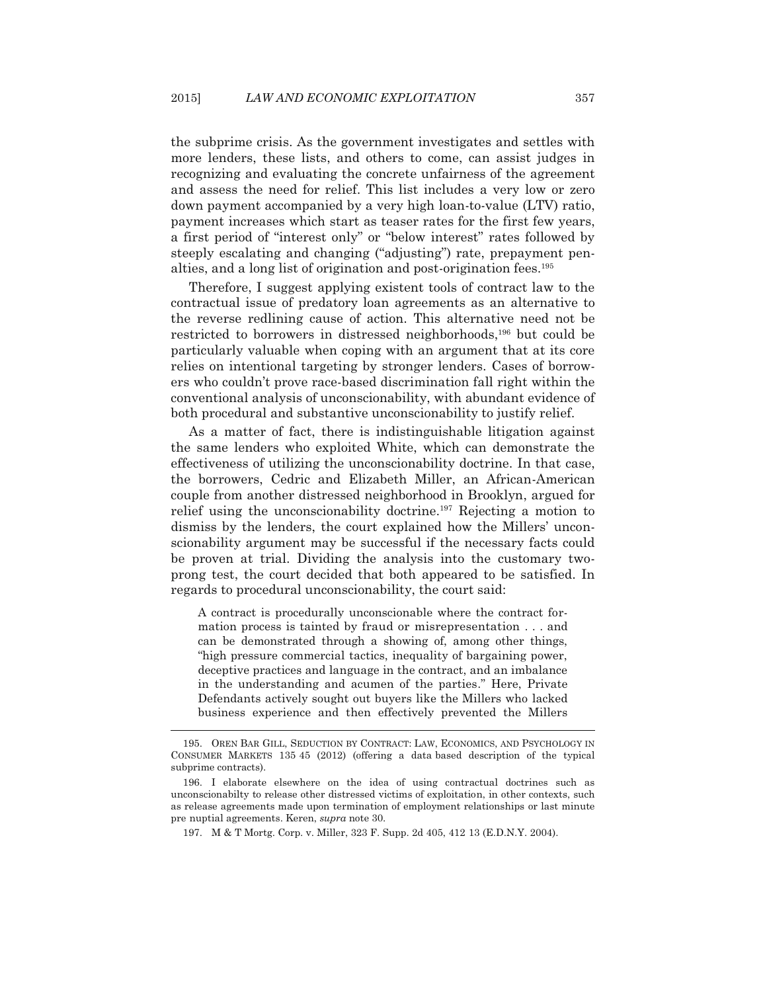the subprime crisis. As the government investigates and settles with more lenders, these lists, and others to come, can assist judges in recognizing and evaluating the concrete unfairness of the agreement and assess the need for relief. This list includes a very low or zero down payment accompanied by a very high loan-to-value (LTV) ratio, payment increases which start as teaser rates for the first few years, a first period of "interest only" or "below interest" rates followed by steeply escalating and changing ("adjusting") rate, prepayment penalties, and a long list of origination and post-origination fees.195

 Therefore, I suggest applying existent tools of contract law to the contractual issue of predatory loan agreements as an alternative to the reverse redlining cause of action. This alternative need not be restricted to borrowers in distressed neighborhoods,<sup>196</sup> but could be particularly valuable when coping with an argument that at its core relies on intentional targeting by stronger lenders. Cases of borrowers who couldn't prove race-based discrimination fall right within the conventional analysis of unconscionability, with abundant evidence of both procedural and substantive unconscionability to justify relief.

 As a matter of fact, there is indistinguishable litigation against the same lenders who exploited White, which can demonstrate the effectiveness of utilizing the unconscionability doctrine. In that case, the borrowers, Cedric and Elizabeth Miller, an African-American couple from another distressed neighborhood in Brooklyn, argued for relief using the unconscionability doctrine.<sup>197</sup> Rejecting a motion to dismiss by the lenders, the court explained how the Millers' unconscionability argument may be successful if the necessary facts could be proven at trial. Dividing the analysis into the customary twoprong test, the court decided that both appeared to be satisfied. In regards to procedural unconscionability, the court said:

A contract is procedurally unconscionable where the contract formation process is tainted by fraud or misrepresentation . . . and can be demonstrated through a showing of, among other things, "high pressure commercial tactics, inequality of bargaining power, deceptive practices and language in the contract, and an imbalance in the understanding and acumen of the parties." Here, Private Defendants actively sought out buyers like the Millers who lacked business experience and then effectively prevented the Millers

 <sup>195.</sup> OREN BAR GILL, SEDUCTION BY CONTRACT: LAW, ECONOMICS, AND PSYCHOLOGY IN CONSUMER MARKETS 135 45 (2012) (offering a data based description of the typical subprime contracts).

 <sup>196.</sup> I elaborate elsewhere on the idea of using contractual doctrines such as unconscionabilty to release other distressed victims of exploitation, in other contexts, such as release agreements made upon termination of employment relationships or last minute pre nuptial agreements. Keren, *supra* note 30.

 <sup>197.</sup> M & T Mortg. Corp. v. Miller, 323 F. Supp. 2d 405, 412 13 (E.D.N.Y. 2004).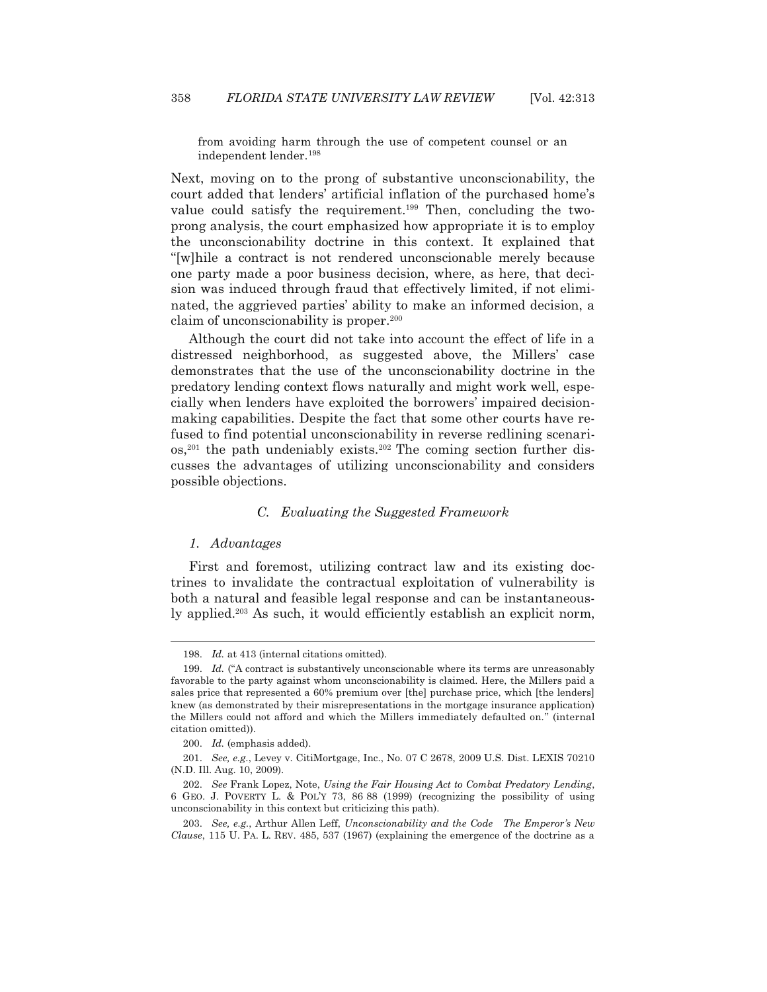from avoiding harm through the use of competent counsel or an independent lender.198

Next, moving on to the prong of substantive unconscionability, the court added that lenders' artificial inflation of the purchased home's value could satisfy the requirement.199 Then, concluding the twoprong analysis, the court emphasized how appropriate it is to employ the unconscionability doctrine in this context. It explained that "[w]hile a contract is not rendered unconscionable merely because one party made a poor business decision, where, as here, that decision was induced through fraud that effectively limited, if not eliminated, the aggrieved parties' ability to make an informed decision, a claim of unconscionability is proper.200

 Although the court did not take into account the effect of life in a distressed neighborhood, as suggested above, the Millers' case demonstrates that the use of the unconscionability doctrine in the predatory lending context flows naturally and might work well, especially when lenders have exploited the borrowers' impaired decisionmaking capabilities. Despite the fact that some other courts have refused to find potential unconscionability in reverse redlining scenari- $\cos$ ,<sup>201</sup> the path undeniably exists.<sup>202</sup> The coming section further discusses the advantages of utilizing unconscionability and considers possible objections.

## *C. Evaluating the Suggested Framework*

## *1. Advantages*

 $\overline{a}$ 

 First and foremost, utilizing contract law and its existing doctrines to invalidate the contractual exploitation of vulnerability is both a natural and feasible legal response and can be instantaneously applied.203 As such, it would efficiently establish an explicit norm,

 <sup>198.</sup> *Id.* at 413 (internal citations omitted).

 <sup>199.</sup> *Id.* ("A contract is substantively unconscionable where its terms are unreasonably favorable to the party against whom unconscionability is claimed. Here, the Millers paid a sales price that represented a 60% premium over [the] purchase price, which [the lenders] knew (as demonstrated by their misrepresentations in the mortgage insurance application) the Millers could not afford and which the Millers immediately defaulted on." (internal citation omitted)).

 <sup>200.</sup> *Id.* (emphasis added).

 <sup>201.</sup> *See, e.g*., Levey v. CitiMortgage, Inc., No. 07 C 2678, 2009 U.S. Dist. LEXIS 70210 (N.D. Ill. Aug. 10, 2009).

 <sup>202.</sup> *See* Frank Lopez, Note, *Using the Fair Housing Act to Combat Predatory Lending*, 6 GEO. J. POVERTY L. & POL'Y 73, 86 88 (1999) (recognizing the possibility of using unconscionability in this context but criticizing this path).

 <sup>203.</sup> *See, e.g.*, Arthur Allen Leff, *Unconscionability and the Code The Emperor's New Clause*, 115 U. PA. L. REV. 485, 537 (1967) (explaining the emergence of the doctrine as a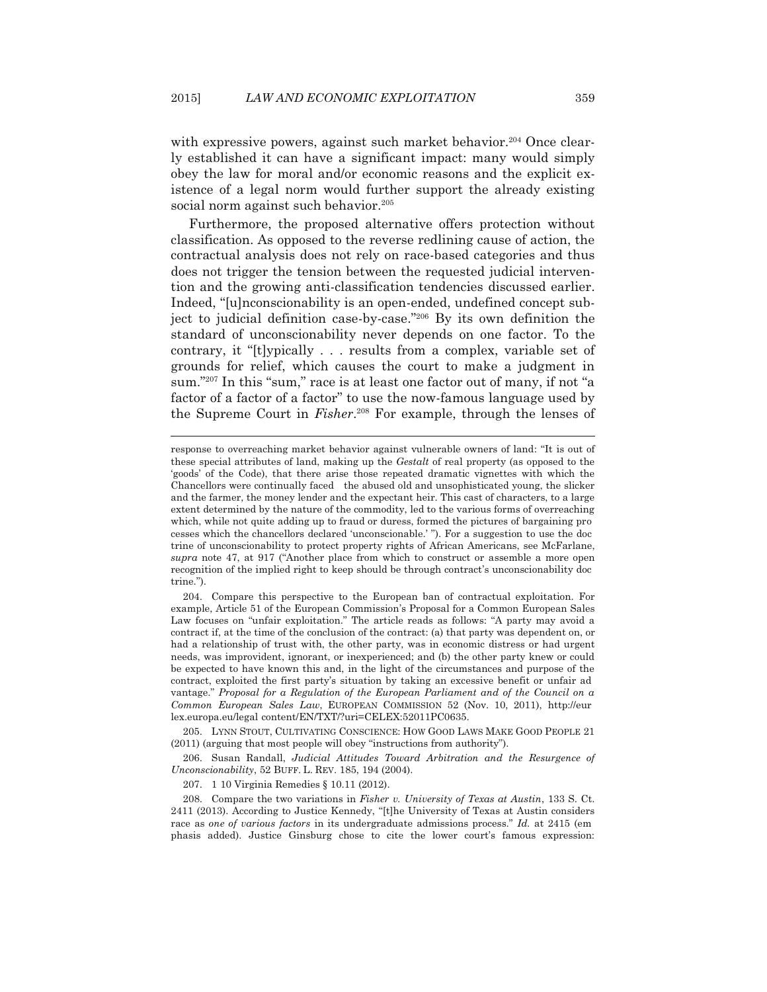with expressive powers, against such market behavior.<sup>204</sup> Once clearly established it can have a significant impact: many would simply obey the law for moral and/or economic reasons and the explicit existence of a legal norm would further support the already existing social norm against such behavior.<sup>205</sup>

 Furthermore, the proposed alternative offers protection without classification. As opposed to the reverse redlining cause of action, the contractual analysis does not rely on race-based categories and thus does not trigger the tension between the requested judicial intervention and the growing anti-classification tendencies discussed earlier. Indeed, "[u]nconscionability is an open-ended, undefined concept subject to judicial definition case-by-case."206 By its own definition the standard of unconscionability never depends on one factor. To the contrary, it "[t]ypically . . . results from a complex, variable set of grounds for relief, which causes the court to make a judgment in sum."207 In this "sum," race is at least one factor out of many, if not "a factor of a factor of a factor" to use the now-famous language used by the Supreme Court in *Fisher*. 208 For example, through the lenses of

 205. LYNN STOUT, CULTIVATING CONSCIENCE: HOW GOOD LAWS MAKE GOOD PEOPLE 21 (2011) (arguing that most people will obey "instructions from authority").

 206. Susan Randall, *Judicial Attitudes Toward Arbitration and the Resurgence of Unconscionability*, 52 BUFF. L. REV. 185, 194 (2004).

207. 1 10 Virginia Remedies § 10.11 (2012).

response to overreaching market behavior against vulnerable owners of land: "It is out of these special attributes of land, making up the *Gestalt* of real property (as opposed to the 'goods' of the Code), that there arise those repeated dramatic vignettes with which the Chancellors were continually faced the abused old and unsophisticated young, the slicker and the farmer, the money lender and the expectant heir. This cast of characters, to a large extent determined by the nature of the commodity, led to the various forms of overreaching which, while not quite adding up to fraud or duress, formed the pictures of bargaining pro cesses which the chancellors declared 'unconscionable.' "). For a suggestion to use the doc trine of unconscionability to protect property rights of African Americans, see McFarlane, *supra* note 47, at 917 ("Another place from which to construct or assemble a more open recognition of the implied right to keep should be through contract's unconscionability doc trine.").

 <sup>204.</sup> Compare this perspective to the European ban of contractual exploitation. For example, Article 51 of the European Commission's Proposal for a Common European Sales Law focuses on "unfair exploitation." The article reads as follows: "A party may avoid a contract if, at the time of the conclusion of the contract: (a) that party was dependent on, or had a relationship of trust with, the other party, was in economic distress or had urgent needs, was improvident, ignorant, or inexperienced; and (b) the other party knew or could be expected to have known this and, in the light of the circumstances and purpose of the contract, exploited the first party's situation by taking an excessive benefit or unfair ad vantage." *Proposal for a Regulation of the European Parliament and of the Council on a Common European Sales Law*, EUROPEAN COMMISSION 52 (Nov. 10, 2011), http://eur lex.europa.eu/legal content/EN/TXT/?uri=CELEX:52011PC0635.

 <sup>208.</sup> Compare the two variations in *Fisher v. University of Texas at Austin*, 133 S. Ct. 2411 (2013). According to Justice Kennedy, "[t]he University of Texas at Austin considers race as *one of various factors* in its undergraduate admissions process." *Id.* at 2415 (em phasis added). Justice Ginsburg chose to cite the lower court's famous expression: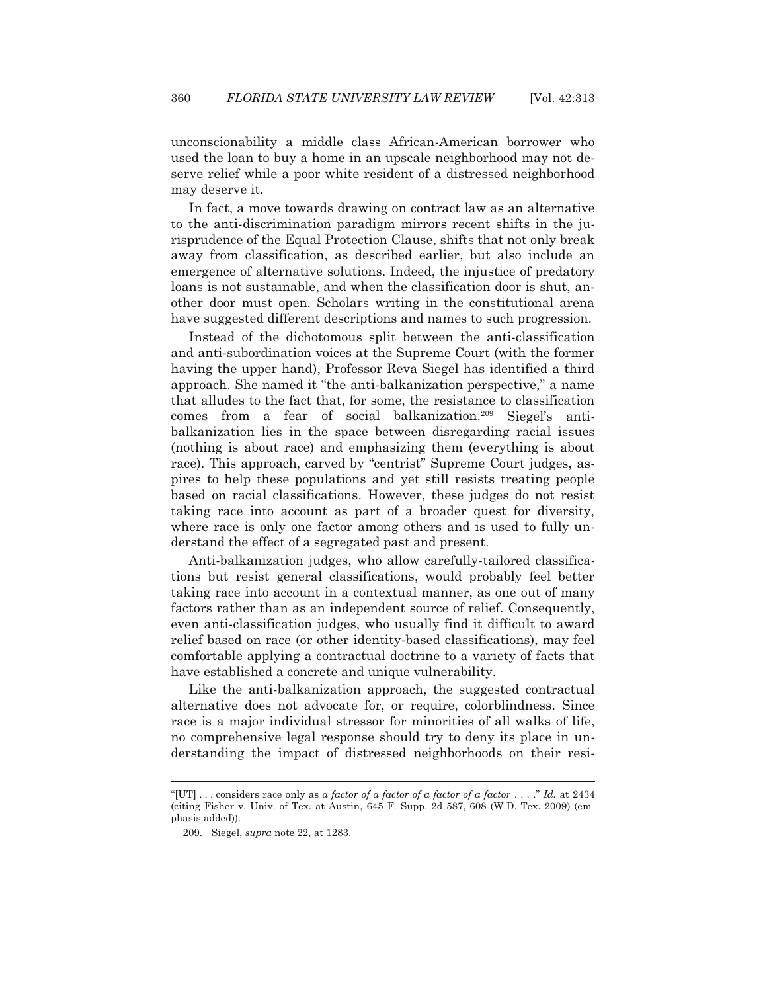unconscionability a middle class African-American borrower who used the loan to buy a home in an upscale neighborhood may not deserve relief while a poor white resident of a distressed neighborhood may deserve it.

 In fact, a move towards drawing on contract law as an alternative to the anti-discrimination paradigm mirrors recent shifts in the jurisprudence of the Equal Protection Clause, shifts that not only break away from classification, as described earlier, but also include an emergence of alternative solutions. Indeed, the injustice of predatory loans is not sustainable, and when the classification door is shut, another door must open. Scholars writing in the constitutional arena have suggested different descriptions and names to such progression.

 Instead of the dichotomous split between the anti-classification and anti-subordination voices at the Supreme Court (with the former having the upper hand), Professor Reva Siegel has identified a third approach. She named it "the anti-balkanization perspective," a name that alludes to the fact that, for some, the resistance to classification comes from a fear of social balkanization.209 Siegel's antibalkanization lies in the space between disregarding racial issues (nothing is about race) and emphasizing them (everything is about race). This approach, carved by "centrist" Supreme Court judges, aspires to help these populations and yet still resists treating people based on racial classifications. However, these judges do not resist taking race into account as part of a broader quest for diversity, where race is only one factor among others and is used to fully understand the effect of a segregated past and present.

 Anti-balkanization judges, who allow carefully-tailored classifications but resist general classifications, would probably feel better taking race into account in a contextual manner, as one out of many factors rather than as an independent source of relief. Consequently, even anti-classification judges, who usually find it difficult to award relief based on race (or other identity-based classifications), may feel comfortable applying a contractual doctrine to a variety of facts that have established a concrete and unique vulnerability.

 Like the anti-balkanization approach, the suggested contractual alternative does not advocate for, or require, colorblindness. Since race is a major individual stressor for minorities of all walks of life, no comprehensive legal response should try to deny its place in understanding the impact of distressed neighborhoods on their resi-

<sup>&</sup>quot;[UT] . . . considers race only as *a factor of a factor of a factor of a factor* . . . ." *Id.* at 2434 (citing Fisher v. Univ. of Tex. at Austin, 645 F. Supp. 2d 587, 608 (W.D. Tex. 2009) (em phasis added)).

 <sup>209.</sup> Siegel, *supra* note 22, at 1283.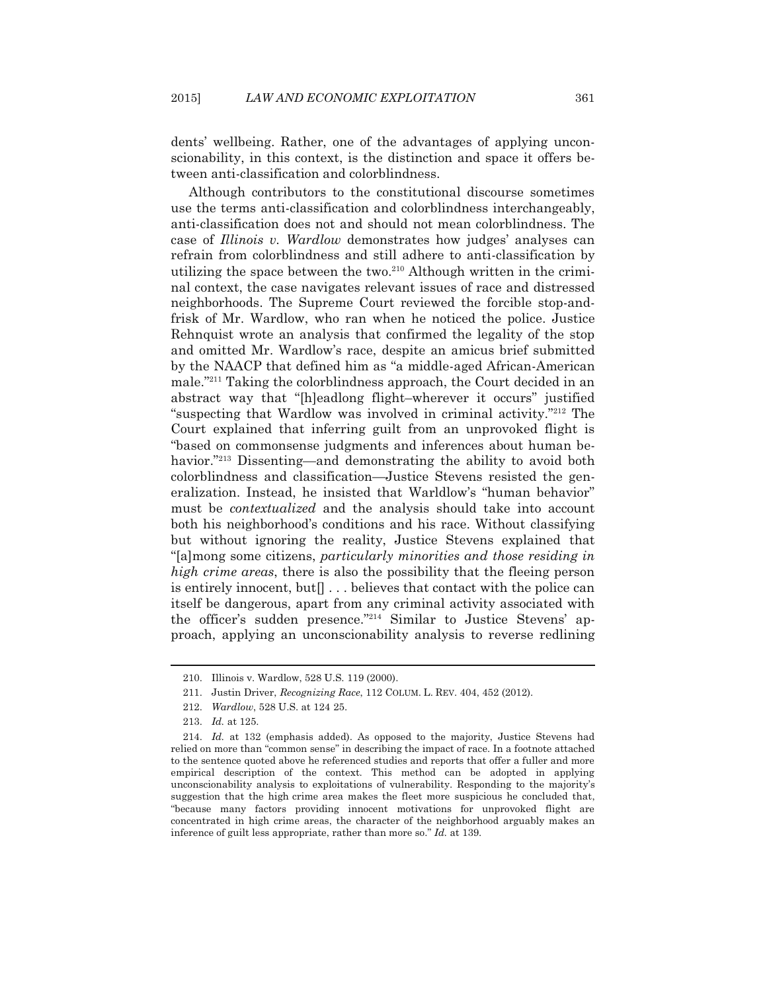dents' wellbeing. Rather, one of the advantages of applying unconscionability, in this context, is the distinction and space it offers between anti-classification and colorblindness.

 Although contributors to the constitutional discourse sometimes use the terms anti-classification and colorblindness interchangeably, anti-classification does not and should not mean colorblindness. The case of *Illinois v. Wardlow* demonstrates how judges' analyses can refrain from colorblindness and still adhere to anti-classification by utilizing the space between the two.<sup>210</sup> Although written in the criminal context, the case navigates relevant issues of race and distressed neighborhoods. The Supreme Court reviewed the forcible stop-andfrisk of Mr. Wardlow, who ran when he noticed the police. Justice Rehnquist wrote an analysis that confirmed the legality of the stop and omitted Mr. Wardlow's race, despite an amicus brief submitted by the NAACP that defined him as "a middle-aged African-American male."211 Taking the colorblindness approach, the Court decided in an abstract way that "[h]eadlong flight–wherever it occurs" justified "suspecting that Wardlow was involved in criminal activity."212 The Court explained that inferring guilt from an unprovoked flight is "based on commonsense judgments and inferences about human behavior."<sup>213</sup> Dissenting—and demonstrating the ability to avoid both colorblindness and classification—Justice Stevens resisted the generalization. Instead, he insisted that Warldlow's "human behavior" must be *contextualized* and the analysis should take into account both his neighborhood's conditions and his race. Without classifying but without ignoring the reality, Justice Stevens explained that "[a]mong some citizens, *particularly minorities and those residing in high crime areas*, there is also the possibility that the fleeing person is entirely innocent, but  $\lceil \cdot \rceil$ ... believes that contact with the police can itself be dangerous, apart from any criminal activity associated with the officer's sudden presence."214 Similar to Justice Stevens' approach, applying an unconscionability analysis to reverse redlining

 <sup>210.</sup> Illinois v. Wardlow, 528 U.S. 119 (2000).

 <sup>211.</sup> Justin Driver, *Recognizing Race*, 112 COLUM. L. REV. 404, 452 (2012).

 <sup>212.</sup> *Wardlow*, 528 U.S. at 124 25.

 <sup>213.</sup> *Id.* at 125.

 <sup>214.</sup> *Id.* at 132 (emphasis added). As opposed to the majority, Justice Stevens had relied on more than "common sense" in describing the impact of race. In a footnote attached to the sentence quoted above he referenced studies and reports that offer a fuller and more empirical description of the context. This method can be adopted in applying unconscionability analysis to exploitations of vulnerability. Responding to the majority's suggestion that the high crime area makes the fleet more suspicious he concluded that, "because many factors providing innocent motivations for unprovoked flight are concentrated in high crime areas, the character of the neighborhood arguably makes an inference of guilt less appropriate, rather than more so." *Id.* at 139.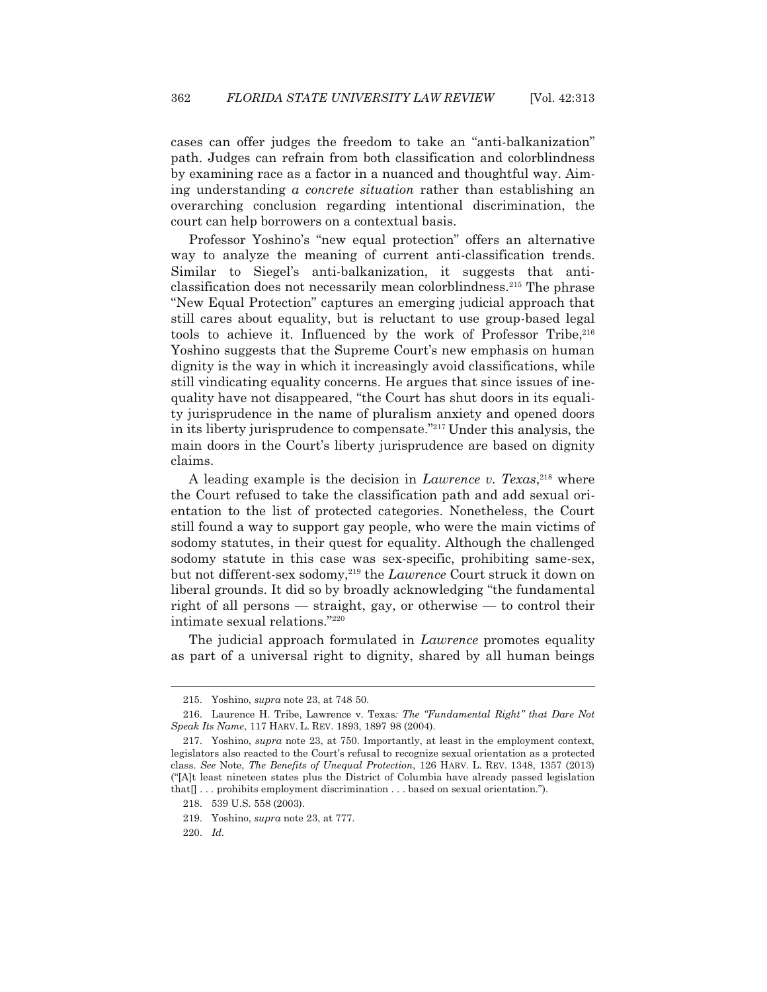cases can offer judges the freedom to take an "anti-balkanization" path. Judges can refrain from both classification and colorblindness by examining race as a factor in a nuanced and thoughtful way. Aiming understanding *a concrete situation* rather than establishing an overarching conclusion regarding intentional discrimination, the court can help borrowers on a contextual basis.

 Professor Yoshino's "new equal protection" offers an alternative way to analyze the meaning of current anti-classification trends. Similar to Siegel's anti-balkanization, it suggests that anticlassification does not necessarily mean colorblindness.215 The phrase "New Equal Protection" captures an emerging judicial approach that still cares about equality, but is reluctant to use group-based legal tools to achieve it. Influenced by the work of Professor Tribe,  $216$ Yoshino suggests that the Supreme Court's new emphasis on human dignity is the way in which it increasingly avoid classifications, while still vindicating equality concerns. He argues that since issues of inequality have not disappeared, "the Court has shut doors in its equality jurisprudence in the name of pluralism anxiety and opened doors in its liberty jurisprudence to compensate."217 Under this analysis, the main doors in the Court's liberty jurisprudence are based on dignity claims.

 A leading example is the decision in *Lawrence v. Texas*, 218 where the Court refused to take the classification path and add sexual orientation to the list of protected categories. Nonetheless, the Court still found a way to support gay people, who were the main victims of sodomy statutes, in their quest for equality. Although the challenged sodomy statute in this case was sex-specific, prohibiting same-sex, but not different-sex sodomy,<sup>219</sup> the *Lawrence* Court struck it down on liberal grounds. It did so by broadly acknowledging "the fundamental right of all persons — straight, gay, or otherwise — to control their intimate sexual relations."220

 The judicial approach formulated in *Lawrence* promotes equality as part of a universal right to dignity, shared by all human beings

 <sup>215.</sup> Yoshino, *supra* note 23, at 748 50.

 <sup>216.</sup> Laurence H. Tribe, Lawrence v. Texas*: The "Fundamental Right" that Dare Not Speak Its Name*, 117 HARV. L. REV. 1893, 1897 98 (2004).

 <sup>217.</sup> Yoshino, *supra* note 23, at 750. Importantly, at least in the employment context, legislators also reacted to the Court's refusal to recognize sexual orientation as a protected class. *See* Note, *The Benefits of Unequal Protection*, 126 HARV. L. REV. 1348, 1357 (2013) ("[A]t least nineteen states plus the District of Columbia have already passed legislation that[] . . . prohibits employment discrimination . . . based on sexual orientation.").

 <sup>218. 539</sup> U.S. 558 (2003).

 <sup>219.</sup> Yoshino, *supra* note 23, at 777.

 <sup>220.</sup> *Id.*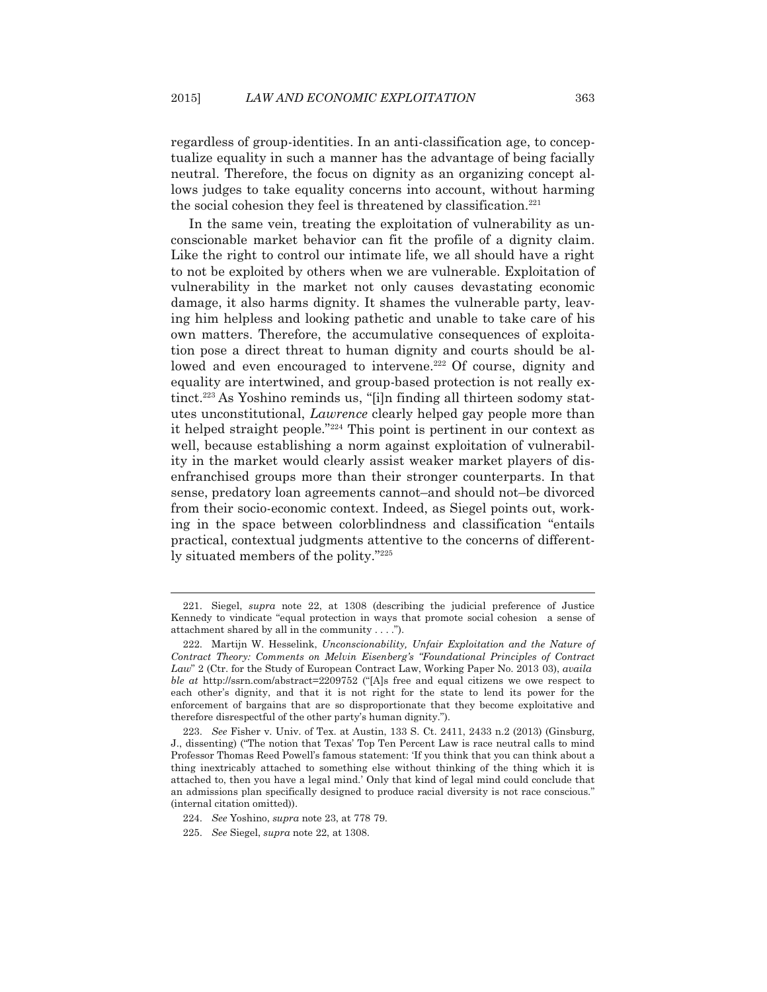regardless of group-identities. In an anti-classification age, to conceptualize equality in such a manner has the advantage of being facially neutral. Therefore, the focus on dignity as an organizing concept allows judges to take equality concerns into account, without harming the social cohesion they feel is threatened by classification.<sup>221</sup>

 In the same vein, treating the exploitation of vulnerability as unconscionable market behavior can fit the profile of a dignity claim. Like the right to control our intimate life, we all should have a right to not be exploited by others when we are vulnerable. Exploitation of vulnerability in the market not only causes devastating economic damage, it also harms dignity. It shames the vulnerable party, leaving him helpless and looking pathetic and unable to take care of his own matters. Therefore, the accumulative consequences of exploitation pose a direct threat to human dignity and courts should be allowed and even encouraged to intervene.<sup>222</sup> Of course, dignity and equality are intertwined, and group-based protection is not really extinct.223 As Yoshino reminds us, "[i]n finding all thirteen sodomy statutes unconstitutional, *Lawrence* clearly helped gay people more than it helped straight people."224 This point is pertinent in our context as well, because establishing a norm against exploitation of vulnerability in the market would clearly assist weaker market players of disenfranchised groups more than their stronger counterparts. In that sense, predatory loan agreements cannot–and should not–be divorced from their socio-economic context. Indeed, as Siegel points out, working in the space between colorblindness and classification "entails practical, contextual judgments attentive to the concerns of differently situated members of the polity."225

 <sup>221.</sup> Siegel, *supra* note 22, at 1308 (describing the judicial preference of Justice Kennedy to vindicate "equal protection in ways that promote social cohesion a sense of attachment shared by all in the community . . . .").

 <sup>222.</sup> Martijn W. Hesselink, *Unconscionability, Unfair Exploitation and the Nature of Contract Theory: Comments on Melvin Eisenberg's "Foundational Principles of Contract Law*" 2 (Ctr. for the Study of European Contract Law, Working Paper No. 2013 03), *availa ble at* http://ssrn.com/abstract=2209752 ("[A]s free and equal citizens we owe respect to each other's dignity, and that it is not right for the state to lend its power for the enforcement of bargains that are so disproportionate that they become exploitative and therefore disrespectful of the other party's human dignity.").

 <sup>223.</sup> *See* Fisher v. Univ. of Tex. at Austin, 133 S. Ct. 2411, 2433 n.2 (2013) (Ginsburg, J., dissenting) ("The notion that Texas' Top Ten Percent Law is race neutral calls to mind Professor Thomas Reed Powell's famous statement: 'If you think that you can think about a thing inextricably attached to something else without thinking of the thing which it is attached to, then you have a legal mind.' Only that kind of legal mind could conclude that an admissions plan specifically designed to produce racial diversity is not race conscious." (internal citation omitted)).

 <sup>224.</sup> *See* Yoshino, *supra* note 23, at 778 79.

 <sup>225.</sup> *See* Siegel, *supra* note 22, at 1308.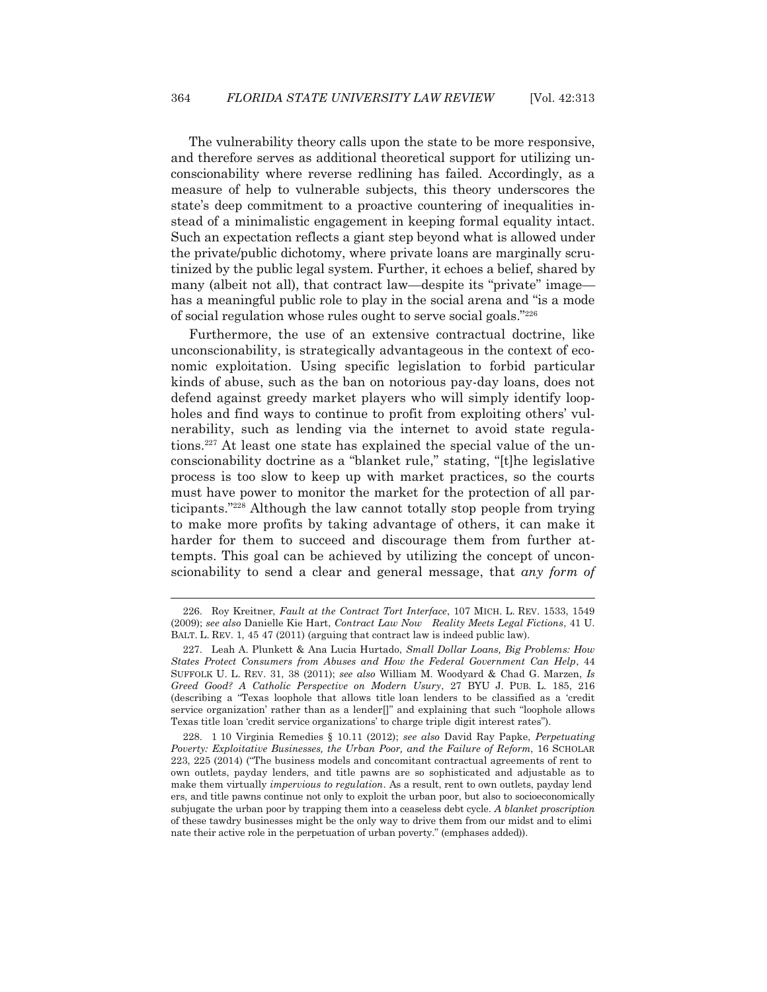The vulnerability theory calls upon the state to be more responsive, and therefore serves as additional theoretical support for utilizing unconscionability where reverse redlining has failed. Accordingly, as a measure of help to vulnerable subjects, this theory underscores the state's deep commitment to a proactive countering of inequalities instead of a minimalistic engagement in keeping formal equality intact. Such an expectation reflects a giant step beyond what is allowed under the private/public dichotomy, where private loans are marginally scrutinized by the public legal system. Further, it echoes a belief, shared by many (albeit not all), that contract law—despite its "private" image has a meaningful public role to play in the social arena and "is a mode of social regulation whose rules ought to serve social goals."226

 Furthermore, the use of an extensive contractual doctrine, like unconscionability, is strategically advantageous in the context of economic exploitation. Using specific legislation to forbid particular kinds of abuse, such as the ban on notorious pay-day loans, does not defend against greedy market players who will simply identify loopholes and find ways to continue to profit from exploiting others' vulnerability, such as lending via the internet to avoid state regulations.<sup>227</sup> At least one state has explained the special value of the unconscionability doctrine as a "blanket rule," stating, "[t]he legislative process is too slow to keep up with market practices, so the courts must have power to monitor the market for the protection of all participants."228 Although the law cannot totally stop people from trying to make more profits by taking advantage of others, it can make it harder for them to succeed and discourage them from further attempts. This goal can be achieved by utilizing the concept of unconscionability to send a clear and general message, that *any form of* 

 <sup>226.</sup> Roy Kreitner, *Fault at the Contract Tort Interface*, 107 MICH. L. REV. 1533, 1549 (2009); *see also* Danielle Kie Hart, *Contract Law Now Reality Meets Legal Fictions*, 41 U. BALT. L. REV. 1, 45 47 (2011) (arguing that contract law is indeed public law).

 <sup>227.</sup> Leah A. Plunkett & Ana Lucia Hurtado, *Small Dollar Loans, Big Problems: How States Protect Consumers from Abuses and How the Federal Government Can Help*, 44 SUFFOLK U. L. REV. 31, 38 (2011); *see also* William M. Woodyard & Chad G. Marzen, *Is Greed Good? A Catholic Perspective on Modern Usury*, 27 BYU J. PUB. L. 185, 216 (describing a "Texas loophole that allows title loan lenders to be classified as a 'credit service organization' rather than as a lender[]" and explaining that such "loophole allows Texas title loan 'credit service organizations' to charge triple digit interest rates").

 <sup>228. 1 10</sup> Virginia Remedies § 10.11 (2012); *see also* David Ray Papke, *Perpetuating Poverty: Exploitative Businesses, the Urban Poor, and the Failure of Reform*, 16 SCHOLAR 223, 225 (2014) ("The business models and concomitant contractual agreements of rent to own outlets, payday lenders, and title pawns are so sophisticated and adjustable as to make them virtually *impervious to regulation*. As a result, rent to own outlets, payday lend ers, and title pawns continue not only to exploit the urban poor, but also to socioeconomically subjugate the urban poor by trapping them into a ceaseless debt cycle. *A blanket proscription* of these tawdry businesses might be the only way to drive them from our midst and to elimi nate their active role in the perpetuation of urban poverty." (emphases added)).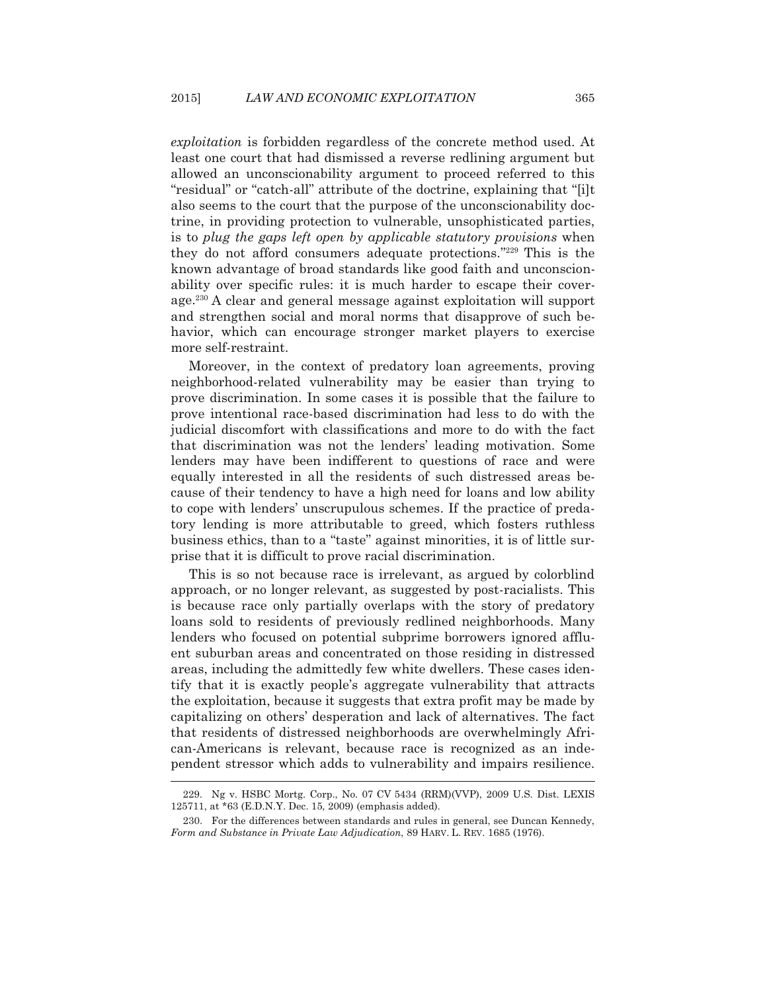*exploitation* is forbidden regardless of the concrete method used. At least one court that had dismissed a reverse redlining argument but allowed an unconscionability argument to proceed referred to this "residual" or "catch-all" attribute of the doctrine, explaining that "[i]t also seems to the court that the purpose of the unconscionability doctrine, in providing protection to vulnerable, unsophisticated parties, is to *plug the gaps left open by applicable statutory provisions* when they do not afford consumers adequate protections."229 This is the known advantage of broad standards like good faith and unconscionability over specific rules: it is much harder to escape their coverage.230 A clear and general message against exploitation will support and strengthen social and moral norms that disapprove of such behavior, which can encourage stronger market players to exercise more self-restraint.

 Moreover, in the context of predatory loan agreements, proving neighborhood-related vulnerability may be easier than trying to prove discrimination. In some cases it is possible that the failure to prove intentional race-based discrimination had less to do with the judicial discomfort with classifications and more to do with the fact that discrimination was not the lenders' leading motivation. Some lenders may have been indifferent to questions of race and were equally interested in all the residents of such distressed areas because of their tendency to have a high need for loans and low ability to cope with lenders' unscrupulous schemes. If the practice of predatory lending is more attributable to greed, which fosters ruthless business ethics, than to a "taste" against minorities, it is of little surprise that it is difficult to prove racial discrimination.

 This is so not because race is irrelevant, as argued by colorblind approach, or no longer relevant, as suggested by post-racialists. This is because race only partially overlaps with the story of predatory loans sold to residents of previously redlined neighborhoods. Many lenders who focused on potential subprime borrowers ignored affluent suburban areas and concentrated on those residing in distressed areas, including the admittedly few white dwellers. These cases identify that it is exactly people's aggregate vulnerability that attracts the exploitation, because it suggests that extra profit may be made by capitalizing on others' desperation and lack of alternatives. The fact that residents of distressed neighborhoods are overwhelmingly African-Americans is relevant, because race is recognized as an independent stressor which adds to vulnerability and impairs resilience. -<br>-

 <sup>229.</sup> Ng v. HSBC Mortg. Corp., No. 07 CV 5434 (RRM)(VVP), 2009 U.S. Dist. LEXIS 125711, at \*63 (E.D.N.Y. Dec. 15, 2009) (emphasis added).

 <sup>230.</sup> For the differences between standards and rules in general, see Duncan Kennedy, *Form and Substance in Private Law Adjudication*, 89 HARV. L. REV. 1685 (1976).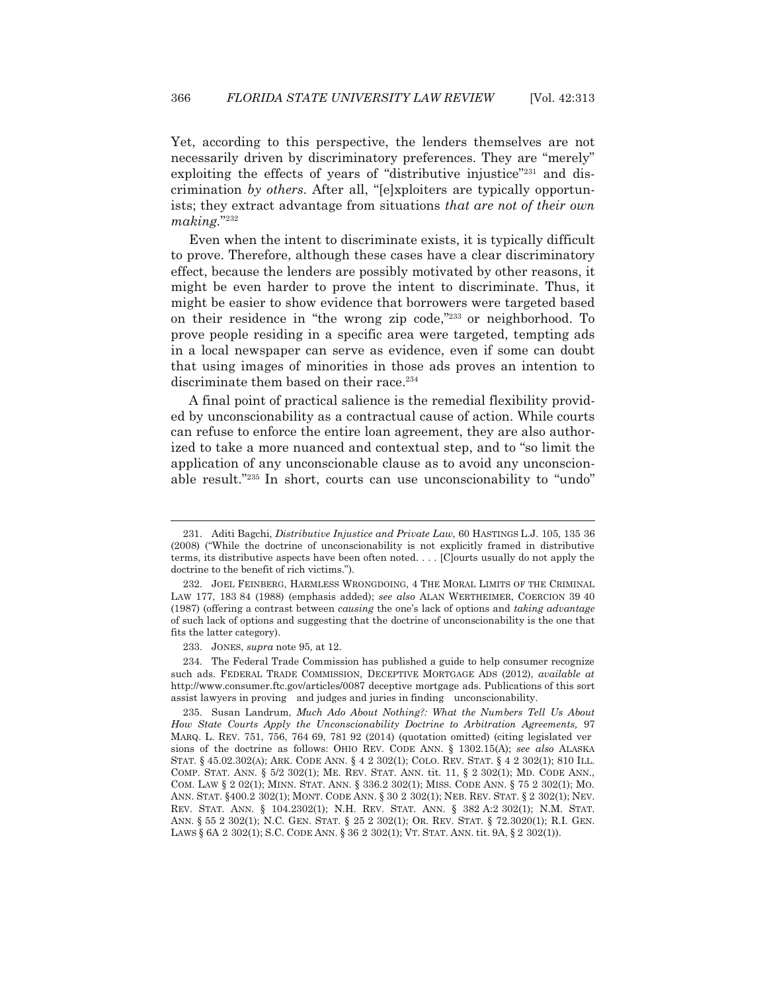Yet, according to this perspective, the lenders themselves are not necessarily driven by discriminatory preferences. They are "merely" exploiting the effects of years of "distributive injustice"<sup>231</sup> and discrimination *by others*. After all, "[e]xploiters are typically opportunists; they extract advantage from situations *that are not of their own making.*"232

 Even when the intent to discriminate exists, it is typically difficult to prove. Therefore, although these cases have a clear discriminatory effect, because the lenders are possibly motivated by other reasons, it might be even harder to prove the intent to discriminate. Thus, it might be easier to show evidence that borrowers were targeted based on their residence in "the wrong zip code,"233 or neighborhood. To prove people residing in a specific area were targeted, tempting ads in a local newspaper can serve as evidence, even if some can doubt that using images of minorities in those ads proves an intention to discriminate them based on their race.<sup>234</sup>

 A final point of practical salience is the remedial flexibility provided by unconscionability as a contractual cause of action. While courts can refuse to enforce the entire loan agreement, they are also authorized to take a more nuanced and contextual step, and to "so limit the application of any unconscionable clause as to avoid any unconscionable result."235 In short, courts can use unconscionability to "undo"

 <sup>231.</sup> Aditi Bagchi, *Distributive Injustice and Private Law*, 60 HASTINGS L.J. 105, 135 36 (2008) ("While the doctrine of unconscionability is not explicitly framed in distributive terms, its distributive aspects have been often noted. . . . [C]ourts usually do not apply the doctrine to the benefit of rich victims.").

 <sup>232.</sup> JOEL FEINBERG, HARMLESS WRONGDOING,4THE MORAL LIMITS OF THE CRIMINAL LAW 177, 183 84 (1988) (emphasis added); *see also* ALAN WERTHEIMER, COERCION 39 40 (1987) (offering a contrast between *causing* the one's lack of options and *taking advantage* of such lack of options and suggesting that the doctrine of unconscionability is the one that fits the latter category).

 <sup>233.</sup> JONES, *supra* note 95, at 12.

 <sup>234.</sup> The Federal Trade Commission has published a guide to help consumer recognize such ads. FEDERAL TRADE COMMISSION, DECEPTIVE MORTGAGE ADS (2012), *available at* http://www.consumer.ftc.gov/articles/0087 deceptive mortgage ads. Publications of this sort assist lawyers in proving and judges and juries in finding unconscionability.

 <sup>235.</sup> Susan Landrum, *Much Ado About Nothing?: What the Numbers Tell Us About How State Courts Apply the Unconscionability Doctrine to Arbitration Agreements,* 97 MARQ. L. REV. 751, 756, 764 69, 781 92 (2014) (quotation omitted) (citing legislated ver sions of the doctrine as follows: OHIO REV. CODE ANN. § 1302.15(A); *see also* ALASKA STAT. § 45.02.302(A); ARK. CODE ANN. § 4 2 302(1); COLO. REV. STAT. § 4 2 302(1); 810 ILL. COMP. STAT. ANN. § 5/2 302(1); ME. REV. STAT. ANN. tit. 11, § 2 302(1); MD. CODE ANN., COM. LAW § 2 02(1); MINN. STAT. ANN. § 336.2 302(1); MISS. CODE ANN. § 75 2 302(1); MO. ANN. STAT. §400.2 302(1); MONT. CODE ANN. § 30 2 302(1); NEB. REV. STAT. § 2 302(1); NEV. REV. STAT. ANN. § 104.2302(1); N.H. REV. STAT. ANN. § 382 A:2 302(1); N.M. STAT. ANN. § 55 2 302(1); N.C. GEN. STAT. § 25 2 302(1); OR. REV. STAT. § 72.3020(1); R.I. GEN. LAWS § 6A 2 302(1); S.C. CODE ANN. § 36 2 302(1); VT. STAT. ANN. tit. 9A, § 2 302(1)).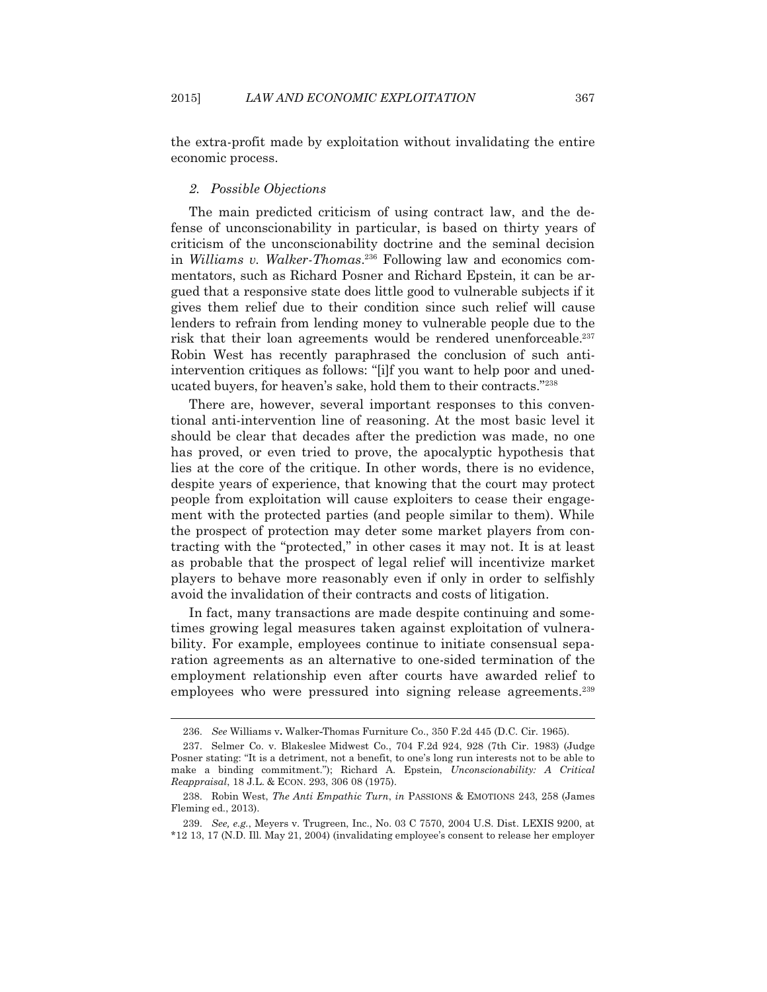the extra-profit made by exploitation without invalidating the entire economic process.

## *2. Possible Objections*

 $\overline{a}$ 

 The main predicted criticism of using contract law, and the defense of unconscionability in particular, is based on thirty years of criticism of the unconscionability doctrine and the seminal decision in *Williams v. Walker-Thomas*. <sup>236</sup> Following law and economics commentators, such as Richard Posner and Richard Epstein, it can be argued that a responsive state does little good to vulnerable subjects if it gives them relief due to their condition since such relief will cause lenders to refrain from lending money to vulnerable people due to the risk that their loan agreements would be rendered unenforceable.237 Robin West has recently paraphrased the conclusion of such antiintervention critiques as follows: "[i]f you want to help poor and uneducated buyers, for heaven's sake, hold them to their contracts."238

 There are, however, several important responses to this conventional anti-intervention line of reasoning. At the most basic level it should be clear that decades after the prediction was made, no one has proved, or even tried to prove, the apocalyptic hypothesis that lies at the core of the critique. In other words, there is no evidence, despite years of experience, that knowing that the court may protect people from exploitation will cause exploiters to cease their engagement with the protected parties (and people similar to them). While the prospect of protection may deter some market players from contracting with the "protected," in other cases it may not. It is at least as probable that the prospect of legal relief will incentivize market players to behave more reasonably even if only in order to selfishly avoid the invalidation of their contracts and costs of litigation.

 In fact, many transactions are made despite continuing and sometimes growing legal measures taken against exploitation of vulnerability. For example, employees continue to initiate consensual separation agreements as an alternative to one-sided termination of the employment relationship even after courts have awarded relief to employees who were pressured into signing release agreements.<sup>239</sup>

 <sup>236.</sup> *See* Williams v**.** Walker**-**Thomas Furniture Co., 350 F.2d 445 (D.C. Cir. 1965).

 <sup>237.</sup> Selmer Co. v. Blakeslee Midwest Co., 704 F.2d 924, 928 (7th Cir. 1983) (Judge Posner stating: "It is a detriment, not a benefit, to one's long run interests not to be able to make a binding commitment."); Richard A. Epstein, *Unconscionability: A Critical Reappraisal*, 18 J.L. & ECON. 293, 306 08 (1975).

 <sup>238.</sup> Robin West, *The Anti Empathic Turn*, *in* PASSIONS & EMOTIONS 243, 258 (James Fleming ed., 2013).

 <sup>239.</sup> *See, e.g.*, Meyers v. Trugreen, Inc., No. 03 C 7570, 2004 U.S. Dist. LEXIS 9200, at \*12 13, 17 (N.D. Ill. May 21, 2004) (invalidating employee's consent to release her employer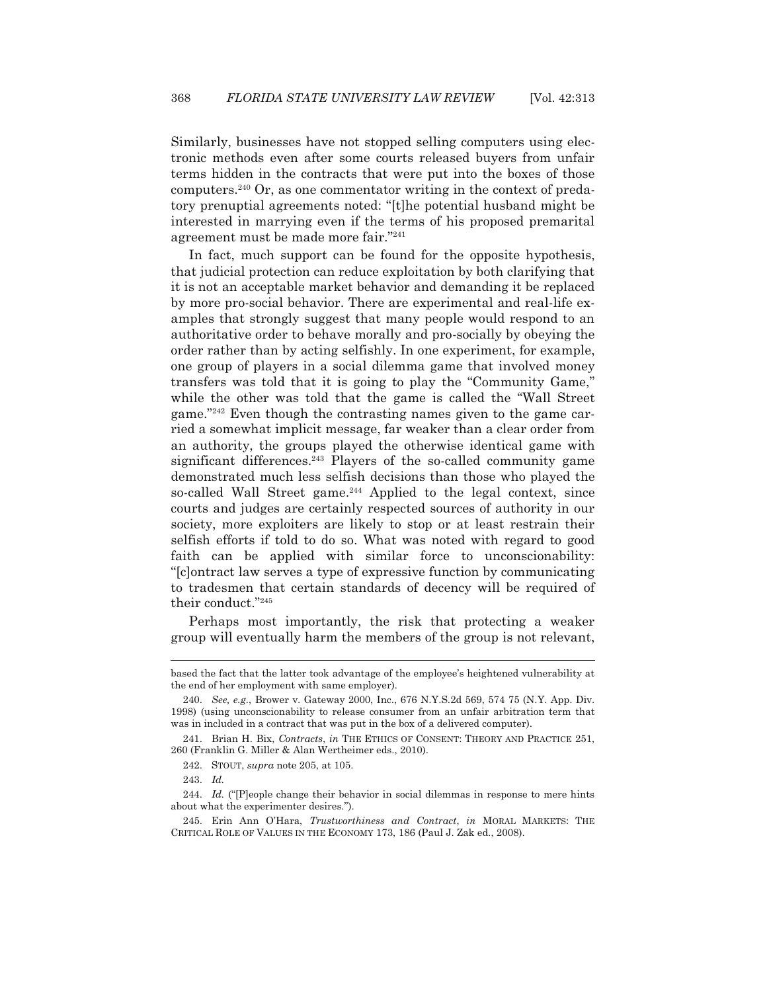Similarly, businesses have not stopped selling computers using electronic methods even after some courts released buyers from unfair terms hidden in the contracts that were put into the boxes of those computers.240 Or, as one commentator writing in the context of predatory prenuptial agreements noted: "[t]he potential husband might be interested in marrying even if the terms of his proposed premarital agreement must be made more fair."241

 In fact, much support can be found for the opposite hypothesis, that judicial protection can reduce exploitation by both clarifying that it is not an acceptable market behavior and demanding it be replaced by more pro-social behavior. There are experimental and real-life examples that strongly suggest that many people would respond to an authoritative order to behave morally and pro-socially by obeying the order rather than by acting selfishly. In one experiment, for example, one group of players in a social dilemma game that involved money transfers was told that it is going to play the "Community Game," while the other was told that the game is called the "Wall Street game."242 Even though the contrasting names given to the game carried a somewhat implicit message, far weaker than a clear order from an authority, the groups played the otherwise identical game with significant differences.<sup>243</sup> Players of the so-called community game demonstrated much less selfish decisions than those who played the so-called Wall Street game.244 Applied to the legal context, since courts and judges are certainly respected sources of authority in our society, more exploiters are likely to stop or at least restrain their selfish efforts if told to do so. What was noted with regard to good faith can be applied with similar force to unconscionability: "[c]ontract law serves a type of expressive function by communicating to tradesmen that certain standards of decency will be required of their conduct."245

 Perhaps most importantly, the risk that protecting a weaker group will eventually harm the members of the group is not relevant,

based the fact that the latter took advantage of the employee's heightened vulnerability at the end of her employment with same employer).

 <sup>240.</sup> *See, e.g.*, Brower v. Gateway 2000, Inc., 676 N.Y.S.2d 569, 574 75 (N.Y. App. Div. 1998) (using unconscionability to release consumer from an unfair arbitration term that was in included in a contract that was put in the box of a delivered computer).

 <sup>241.</sup> Brian H. Bix, *Contracts*, *in* THE ETHICS OF CONSENT: THEORY AND PRACTICE 251, 260 (Franklin G. Miller & Alan Wertheimer eds., 2010).

 <sup>242.</sup> STOUT, *supra* note 205, at 105.

 <sup>243.</sup> *Id.*

<sup>244.</sup> *Id.* ("[P]eople change their behavior in social dilemmas in response to mere hints about what the experimenter desires.").

 <sup>245.</sup> Erin Ann O'Hara, *Trustworthiness and Contract*, *in* MORAL MARKETS: THE CRITICAL ROLE OF VALUES IN THE ECONOMY 173, 186 (Paul J. Zak ed., 2008).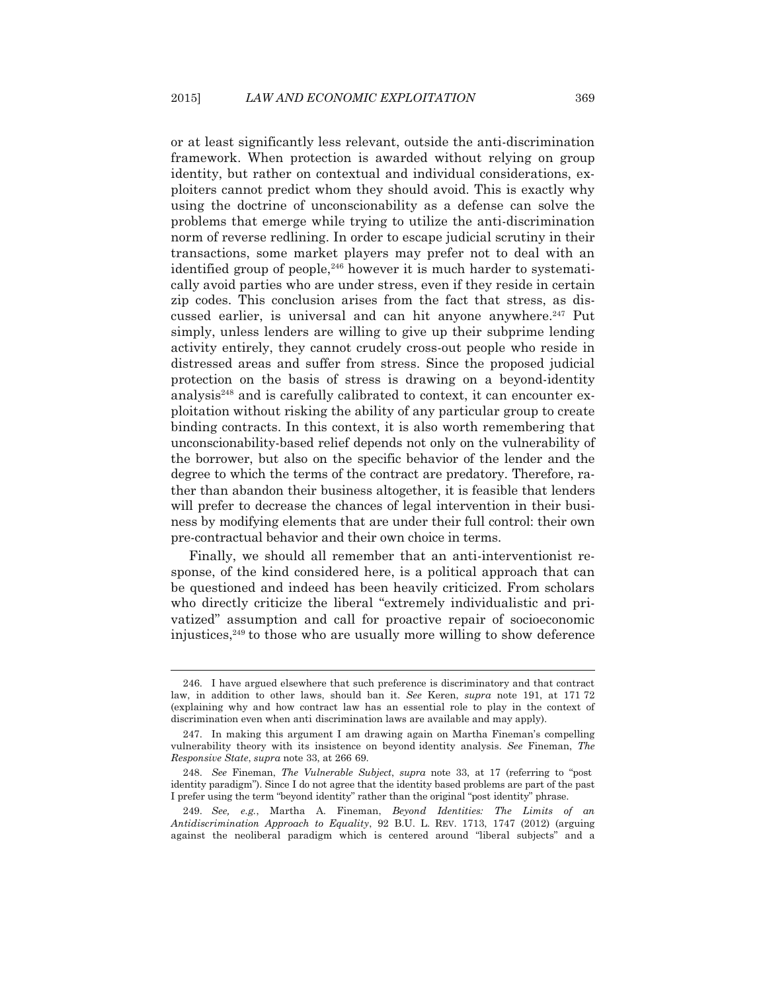or at least significantly less relevant, outside the anti-discrimination framework. When protection is awarded without relying on group identity, but rather on contextual and individual considerations, exploiters cannot predict whom they should avoid. This is exactly why using the doctrine of unconscionability as a defense can solve the problems that emerge while trying to utilize the anti-discrimination norm of reverse redlining. In order to escape judicial scrutiny in their transactions, some market players may prefer not to deal with an identified group of people,<sup>246</sup> however it is much harder to systematically avoid parties who are under stress, even if they reside in certain zip codes. This conclusion arises from the fact that stress, as discussed earlier, is universal and can hit anyone anywhere.<sup>247</sup> Put simply, unless lenders are willing to give up their subprime lending activity entirely, they cannot crudely cross-out people who reside in distressed areas and suffer from stress. Since the proposed judicial protection on the basis of stress is drawing on a beyond-identity analysis<sup>248</sup> and is carefully calibrated to context, it can encounter exploitation without risking the ability of any particular group to create binding contracts. In this context, it is also worth remembering that unconscionability-based relief depends not only on the vulnerability of the borrower, but also on the specific behavior of the lender and the degree to which the terms of the contract are predatory. Therefore, rather than abandon their business altogether, it is feasible that lenders will prefer to decrease the chances of legal intervention in their business by modifying elements that are under their full control: their own pre-contractual behavior and their own choice in terms.

 Finally, we should all remember that an anti-interventionist response, of the kind considered here, is a political approach that can be questioned and indeed has been heavily criticized. From scholars who directly criticize the liberal "extremely individualistic and privatized" assumption and call for proactive repair of socioeconomic injustices, $249$  to those who are usually more willing to show deference

 <sup>246.</sup> I have argued elsewhere that such preference is discriminatory and that contract law, in addition to other laws, should ban it. *See* Keren, *supra* note 191, at 171 72 (explaining why and how contract law has an essential role to play in the context of discrimination even when anti discrimination laws are available and may apply).

 <sup>247.</sup> In making this argument I am drawing again on Martha Fineman's compelling vulnerability theory with its insistence on beyond identity analysis. *See* Fineman, *The Responsive State*, *supra* note 33, at 266 69.

 <sup>248.</sup> *See* Fineman, *The Vulnerable Subject*, *supra* note 33, at 17 (referring to "post identity paradigm"). Since I do not agree that the identity based problems are part of the past I prefer using the term "beyond identity" rather than the original "post identity" phrase.

 <sup>249.</sup> *See, e.g.*, Martha A. Fineman, *Beyond Identities: The Limits of an Antidiscrimination Approach to Equality*, 92 B.U. L. REV. 1713, 1747 (2012) (arguing against the neoliberal paradigm which is centered around "liberal subjects" and a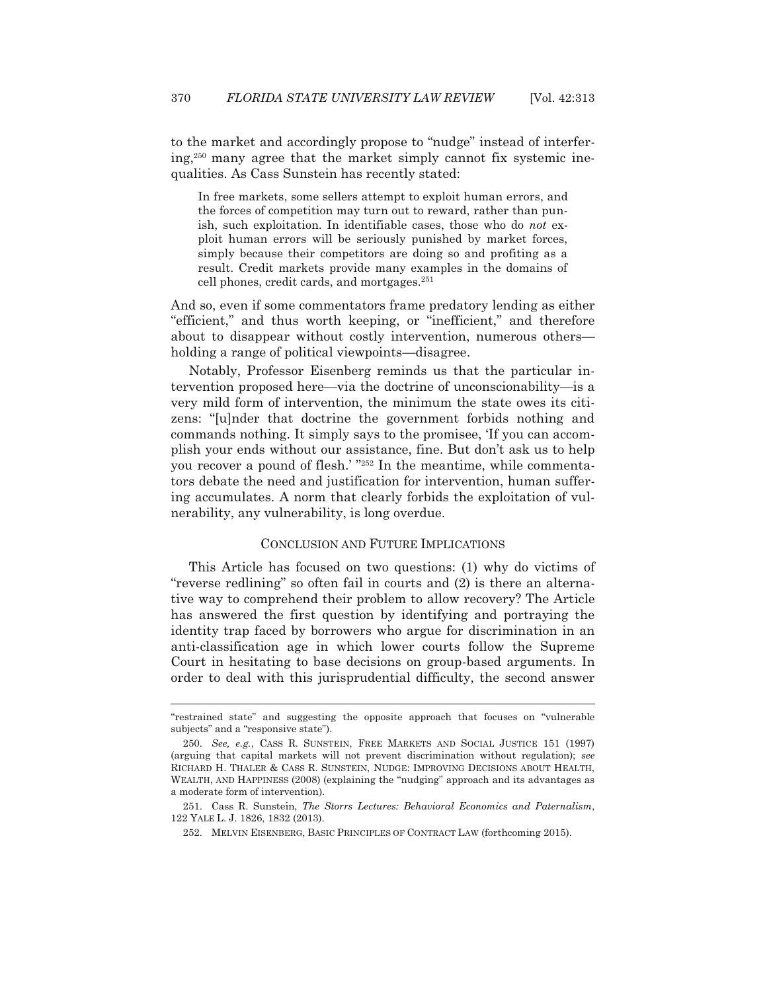to the market and accordingly propose to "nudge" instead of interfering,250 many agree that the market simply cannot fix systemic inequalities. As Cass Sunstein has recently stated:

In free markets, some sellers attempt to exploit human errors, and the forces of competition may turn out to reward, rather than punish, such exploitation. In identifiable cases, those who do *not* exploit human errors will be seriously punished by market forces, simply because their competitors are doing so and profiting as a result. Credit markets provide many examples in the domains of cell phones, credit cards, and mortgages.<sup>251</sup>

And so, even if some commentators frame predatory lending as either "efficient," and thus worth keeping, or "inefficient," and therefore about to disappear without costly intervention, numerous others holding a range of political viewpoints—disagree.

 Notably, Professor Eisenberg reminds us that the particular intervention proposed here—via the doctrine of unconscionability—is a very mild form of intervention, the minimum the state owes its citizens: "[u]nder that doctrine the government forbids nothing and commands nothing. It simply says to the promisee, 'If you can accomplish your ends without our assistance, fine. But don't ask us to help you recover a pound of flesh.' "252 In the meantime, while commentators debate the need and justification for intervention, human suffering accumulates. A norm that clearly forbids the exploitation of vulnerability, any vulnerability, is long overdue.

## CONCLUSION AND FUTURE IMPLICATIONS

 This Article has focused on two questions: (1) why do victims of "reverse redlining" so often fail in courts and (2) is there an alternative way to comprehend their problem to allow recovery? The Article has answered the first question by identifying and portraying the identity trap faced by borrowers who argue for discrimination in an anti-classification age in which lower courts follow the Supreme Court in hesitating to base decisions on group-based arguments. In order to deal with this jurisprudential difficulty, the second answer

<sup>&</sup>quot;restrained state" and suggesting the opposite approach that focuses on "vulnerable subjects" and a "responsive state").

 <sup>250.</sup> *See, e.g.*, CASS R. SUNSTEIN, FREE MARKETS AND SOCIAL JUSTICE 151 (1997) (arguing that capital markets will not prevent discrimination without regulation); *see* RICHARD H. THALER & CASS R. SUNSTEIN, NUDGE: IMPROVING DECISIONS ABOUT HEALTH, WEALTH, AND HAPPINESS (2008) (explaining the "nudging" approach and its advantages as a moderate form of intervention).

 <sup>251.</sup> Cass R. Sunstein, *The Storrs Lectures: Behavioral Economics and Paternalism*, 122 YALE L. J. 1826, 1832 (2013).

 <sup>252.</sup> MELVIN EISENBERG, BASIC PRINCIPLES OF CONTRACT LAW (forthcoming 2015).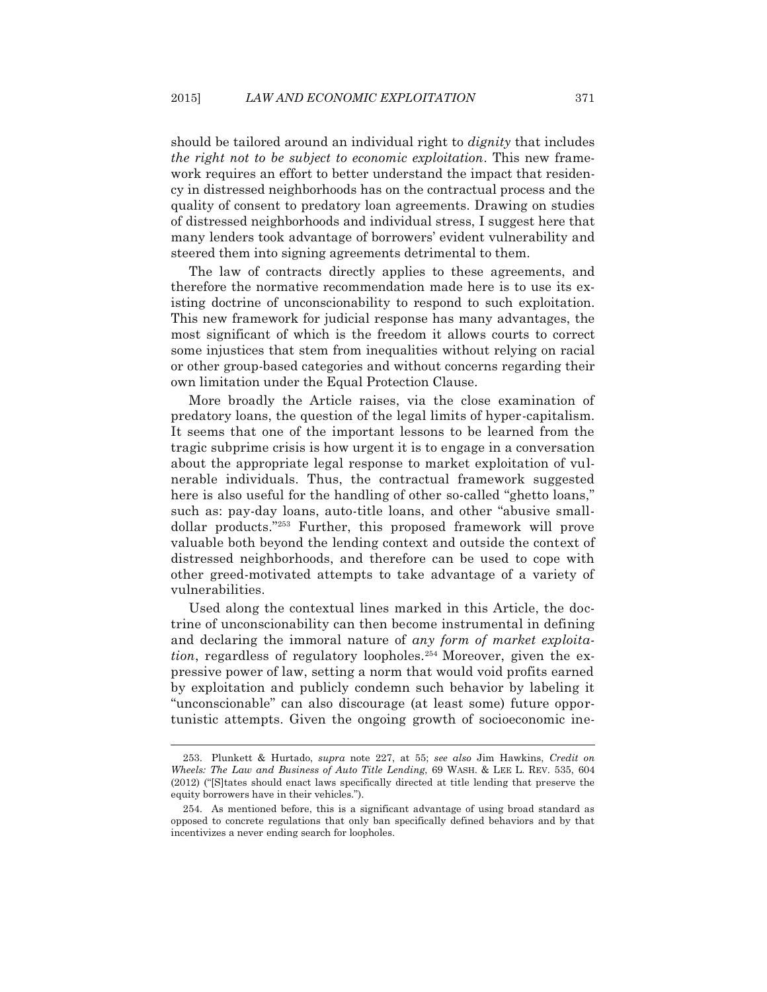should be tailored around an individual right to *dignity* that includes *the right not to be subject to economic exploitation*. This new framework requires an effort to better understand the impact that residency in distressed neighborhoods has on the contractual process and the quality of consent to predatory loan agreements. Drawing on studies of distressed neighborhoods and individual stress, I suggest here that many lenders took advantage of borrowers' evident vulnerability and steered them into signing agreements detrimental to them.

 The law of contracts directly applies to these agreements, and therefore the normative recommendation made here is to use its existing doctrine of unconscionability to respond to such exploitation. This new framework for judicial response has many advantages, the most significant of which is the freedom it allows courts to correct some injustices that stem from inequalities without relying on racial or other group-based categories and without concerns regarding their own limitation under the Equal Protection Clause.

 More broadly the Article raises, via the close examination of predatory loans, the question of the legal limits of hyper-capitalism. It seems that one of the important lessons to be learned from the tragic subprime crisis is how urgent it is to engage in a conversation about the appropriate legal response to market exploitation of vulnerable individuals. Thus, the contractual framework suggested here is also useful for the handling of other so-called "ghetto loans," such as: pay-day loans, auto-title loans, and other "abusive smalldollar products."253 Further, this proposed framework will prove valuable both beyond the lending context and outside the context of distressed neighborhoods, and therefore can be used to cope with other greed-motivated attempts to take advantage of a variety of vulnerabilities.

 Used along the contextual lines marked in this Article, the doctrine of unconscionability can then become instrumental in defining and declaring the immoral nature of *any form of market exploitation*, regardless of regulatory loopholes.<sup>254</sup> Moreover, given the expressive power of law, setting a norm that would void profits earned by exploitation and publicly condemn such behavior by labeling it "unconscionable" can also discourage (at least some) future opportunistic attempts. Given the ongoing growth of socioeconomic ine-

 <sup>253.</sup> Plunkett & Hurtado, *supra* note 227, at 55; *see also* Jim Hawkins, *Credit on Wheels: The Law and Business of Auto Title Lending*, 69 WASH.&LEE L. REV. 535, 604 (2012) ("[S]tates should enact laws specifically directed at title lending that preserve the equity borrowers have in their vehicles.").

 <sup>254.</sup> As mentioned before, this is a significant advantage of using broad standard as opposed to concrete regulations that only ban specifically defined behaviors and by that incentivizes a never ending search for loopholes.